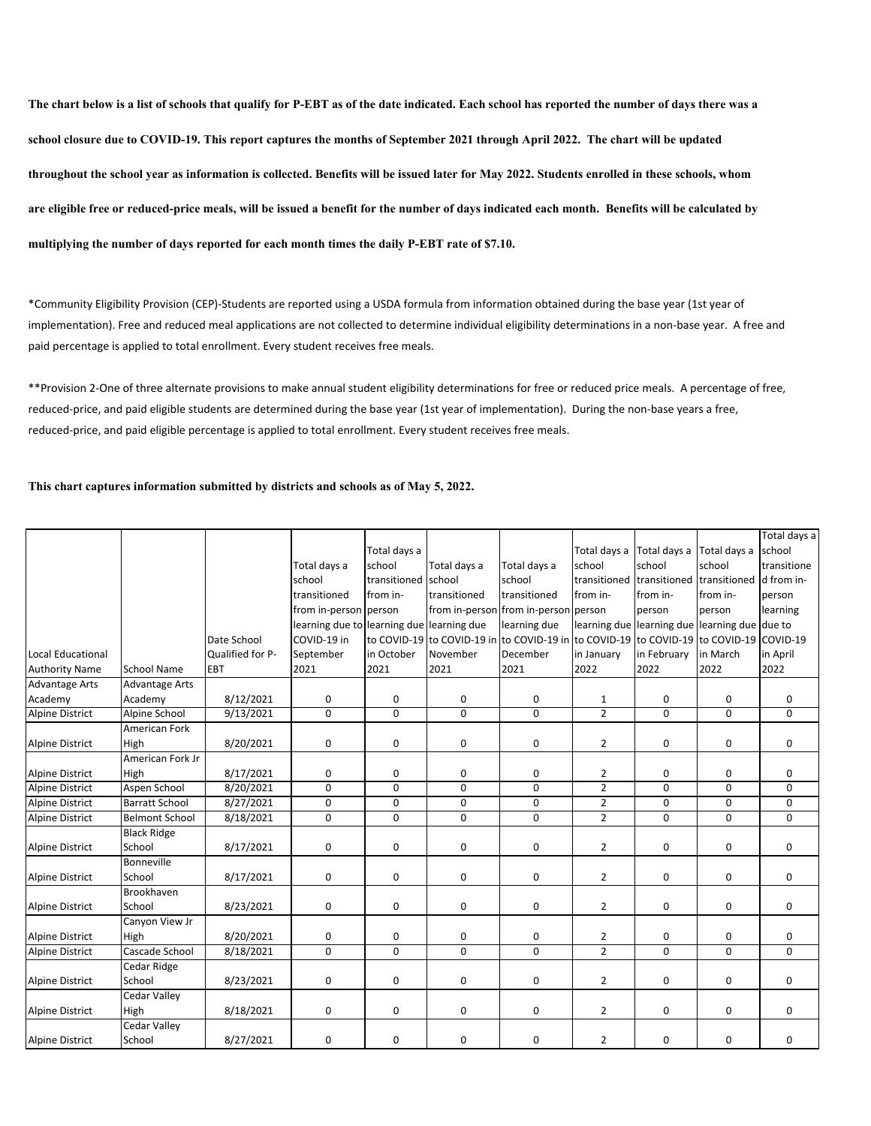**The chart below is a list of schools that qualify for P-EBT as of the date indicated. Each school has reported the number of days there was a school closure due to COVID-19. This report captures the months of September 2021 through April 2022. The chart will be updated throughout the school year as information is collected. Benefits will be issued later for May 2022. Students enrolled in these schools, whom are eligible free or reduced-price meals, will be issued a benefit for the number of days indicated each month. Benefits will be calculated by multiplying the number of days reported for each month times the daily P-EBT rate of \$7.10.**

\*Community Eligibility Provision (CEP)‐Students are reported using a USDA formula from information obtained during the base year (1st year of implementation). Free and reduced meal applications are not collected to determine individual eligibility determinations in a non-base year. A free and paid percentage is applied to total enrollment. Every student receives free meals.

\*\*Provision 2‐One of three alternate provisions to make annual student eligibility determinations for free or reduced price meals. A percentage of free, reduced‐price, and paid eligible students are determined during the base year (1st year of implementation). During the non‐base years a free, reduced‐price, and paid eligible percentage is applied to total enrollment. Every student receives free meals.

## **This chart captures information submitted by districts and schools as of May 5, 2022.**

|                        |                       |                  |                                           |              |                            |                                                    |                |                           |              | Total days a |
|------------------------|-----------------------|------------------|-------------------------------------------|--------------|----------------------------|----------------------------------------------------|----------------|---------------------------|--------------|--------------|
|                        |                       |                  |                                           | Total days a |                            |                                                    | Total days a   | Total days a              | Total davs a | school       |
|                        |                       |                  | Total days a                              | school       | Total days a               | Total days a                                       | school         | school                    | school       | transitione  |
|                        |                       |                  | school                                    | transitioned | school                     | school                                             | transitioned   | transitioned              | transitioned | d from in-   |
|                        |                       |                  | transitioned                              | from in-     | transitioned               | transitioned                                       | from in-       | from in-                  | from in-     | person       |
|                        |                       |                  | from in-person person                     |              |                            | from in-person from in-person person               |                | person                    | person       | learning     |
|                        |                       |                  | learning due to learning due learning due |              |                            | learning due                                       | learning due   | learning due learning due |              | due to       |
|                        |                       | Date School      | COVID-19 in                               |              | to COVID-19 to COVID-19 in | to COVID-19 in to COVID-19 to COVID-19 to COVID-19 |                |                           |              | COVID-19     |
| Local Educational      |                       | Qualified for P- | September                                 | in October   | November                   | December                                           | in January     | in February               | in March     | in April     |
| <b>Authority Name</b>  | School Name           | EBT              | 2021                                      | 2021         | 2021                       | 2021                                               | 2022           | 2022                      | 2022         | 2022         |
| <b>Advantage Arts</b>  | <b>Advantage Arts</b> |                  |                                           |              |                            |                                                    |                |                           |              |              |
| Academy                | Academy               | 8/12/2021        | 0                                         | 0            | 0                          | 0                                                  | $\mathbf{1}$   | 0                         | 0            | 0            |
| <b>Alpine District</b> | Alpine School         | 9/13/2021        | 0                                         | $\mathbf 0$  | 0                          | 0                                                  | $\overline{2}$ | 0                         | 0            | 0            |
|                        | American Fork         |                  |                                           |              |                            |                                                    |                |                           |              |              |
| Alpine District        | High                  | 8/20/2021        | 0                                         | 0            | 0                          | 0                                                  | $\overline{2}$ | 0                         | 0            | 0            |
|                        | American Fork Jr      |                  |                                           |              |                            |                                                    |                |                           |              |              |
| <b>Alpine District</b> | High                  | 8/17/2021        | 0                                         | 0            | 0                          | 0                                                  | 2              | 0                         | 0            | 0            |
| <b>Alpine District</b> | Aspen School          | 8/20/2021        | $\mathbf 0$                               | $\Omega$     | $\Omega$                   | 0                                                  | $\overline{2}$ | 0                         | 0            | 0            |
| <b>Alpine District</b> | <b>Barratt School</b> | 8/27/2021        | 0                                         | 0            | 0                          | 0                                                  | $\overline{2}$ | 0                         | 0            | 0            |
| <b>Alpine District</b> | <b>Belmont School</b> | 8/18/2021        | 0                                         | $\mathbf 0$  | $\mathbf 0$                | 0                                                  | $\overline{2}$ | 0                         | 0            | 0            |
|                        | <b>Black Ridge</b>    |                  |                                           |              |                            |                                                    |                |                           |              |              |
| <b>Alpine District</b> | School                | 8/17/2021        | 0                                         | 0            | 0                          | 0                                                  | $\overline{2}$ | 0                         | 0            | 0            |
|                        | <b>Bonneville</b>     |                  |                                           |              |                            |                                                    |                |                           |              |              |
| Alpine District        | School                | 8/17/2021        | 0                                         | 0            | 0                          | 0                                                  | $\overline{2}$ | 0                         | 0            | 0            |
|                        | Brookhaven            |                  |                                           |              |                            |                                                    |                |                           |              |              |
| Alpine District        | School                | 8/23/2021        | 0                                         | 0            | 0                          | 0                                                  | $\overline{2}$ | 0                         | 0            | 0            |
|                        | Canyon View Jr        |                  |                                           |              |                            |                                                    |                |                           |              |              |
| <b>Alpine District</b> | High                  | 8/20/2021        | 0                                         | 0            | 0                          | 0                                                  | $\overline{2}$ | 0                         | 0            | 0            |
| Alpine District        | Cascade School        | 8/18/2021        | $\mathbf 0$                               | $\Omega$     | $\mathbf 0$                | 0                                                  | $\overline{2}$ | 0                         | 0            | 0            |
|                        | Cedar Ridge           |                  |                                           |              |                            |                                                    |                |                           |              |              |
| Alpine District        | School                | 8/23/2021        | 0                                         | 0            | 0                          | 0                                                  | $\overline{2}$ | 0                         | 0            | 0            |
|                        | Cedar Valley          |                  |                                           |              |                            |                                                    |                |                           |              |              |
| Alpine District        | High                  | 8/18/2021        | 0                                         | $\mathbf 0$  | 0                          | 0                                                  | 2              | 0                         | 0            | 0            |
|                        | Cedar Valley          |                  |                                           |              |                            |                                                    |                |                           |              |              |
| <b>Alpine District</b> | School                | 8/27/2021        | 0                                         | 0            | 0                          | 0                                                  | $\overline{2}$ | 0                         | 0            | 0            |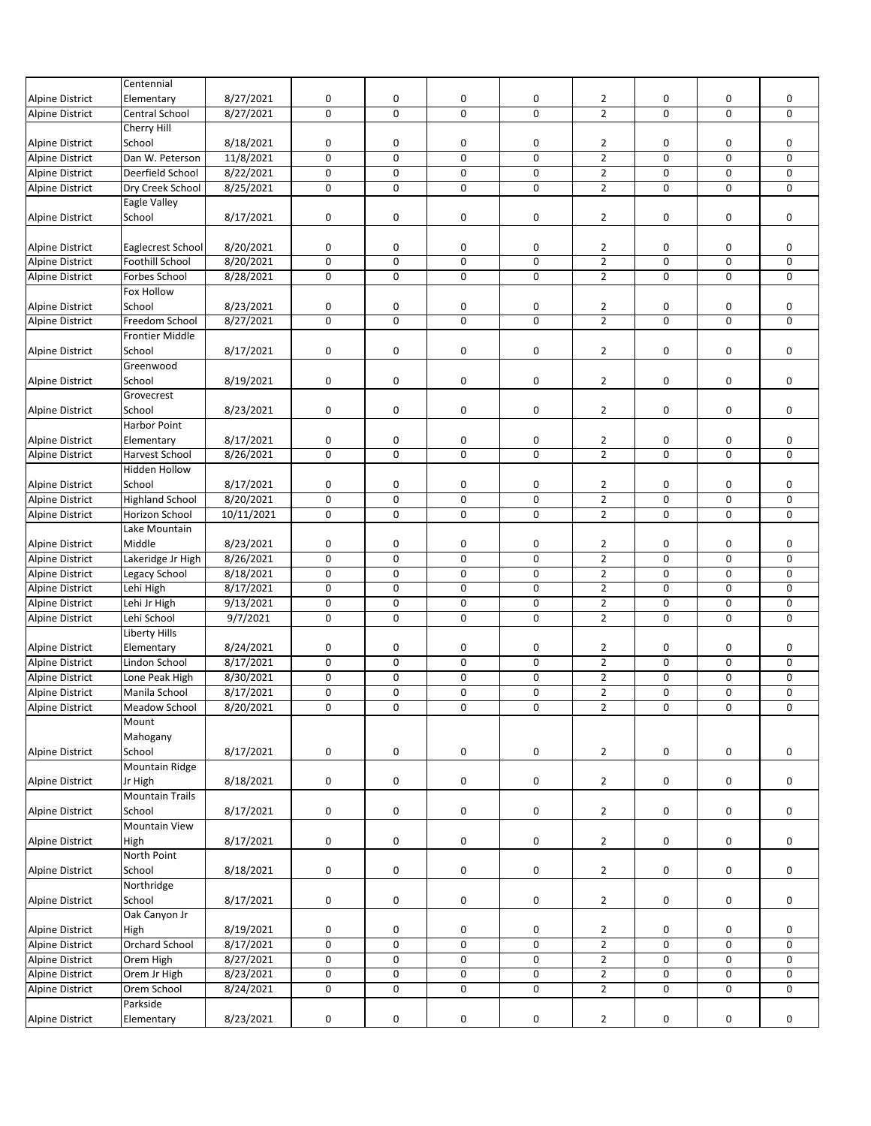|                        | Centennial             |            |             |             |             |   |                |             |             |             |
|------------------------|------------------------|------------|-------------|-------------|-------------|---|----------------|-------------|-------------|-------------|
| <b>Alpine District</b> | Elementary             | 8/27/2021  | 0           | 0           | 0           | 0 | $\overline{2}$ | 0           | 0           | 0           |
| <b>Alpine District</b> | Central School         | 8/27/2021  | $\mathbf 0$ | 0           | 0           | 0 | $\overline{2}$ | 0           | 0           | $\mathbf 0$ |
|                        | Cherry Hill            |            |             |             |             |   |                |             |             |             |
| <b>Alpine District</b> | School                 | 8/18/2021  | 0           | 0           | 0           | 0 | $\overline{2}$ | 0           | 0           | 0           |
| <b>Alpine District</b> | Dan W. Peterson        | 11/8/2021  | $\mathbf 0$ | 0           | $\mathbf 0$ | 0 | $\overline{2}$ | 0           | $\mathbf 0$ | $\mathbf 0$ |
| <b>Alpine District</b> | Deerfield School       | 8/22/2021  | $\pmb{0}$   | 0           | 0           | 0 | $\overline{2}$ | 0           | 0           | 0           |
| <b>Alpine District</b> | Dry Creek School       | 8/25/2021  | $\mathbf 0$ | 0           | 0           | 0 | $\overline{2}$ | 0           | 0           | 0           |
|                        | Eagle Valley           |            |             |             |             |   |                |             |             |             |
| <b>Alpine District</b> | School                 | 8/17/2021  | $\mathbf 0$ | 0           | 0           | 0 | $\overline{2}$ | 0           | 0           | 0           |
|                        |                        |            |             |             |             |   |                |             |             |             |
| <b>Alpine District</b> | Eaglecrest School      | 8/20/2021  | 0           | 0           | 0           | 0 | 2              | 0           | 0           | 0           |
| <b>Alpine District</b> | Foothill School        | 8/20/2021  | $\pmb{0}$   | 0           | 0           | 0 | $\overline{2}$ | 0           | 0           | 0           |
| <b>Alpine District</b> | Forbes School          | 8/28/2021  | 0           | 0           | 0           | 0 | $\overline{2}$ | 0           | 0           | 0           |
|                        | Fox Hollow             |            |             |             |             |   |                |             |             |             |
| <b>Alpine District</b> | School                 | 8/23/2021  | 0           | 0           | 0           | 0 | $\overline{2}$ | 0           | 0           | 0           |
| <b>Alpine District</b> | Freedom School         | 8/27/2021  | $\mathbf 0$ | $\mathbf 0$ | $\mathbf 0$ | 0 | $\overline{2}$ | 0           | 0           | 0           |
|                        | <b>Frontier Middle</b> |            |             |             |             |   |                |             |             |             |
| Alpine District        | School                 | 8/17/2021  | 0           | 0           | 0           | 0 | $\overline{2}$ | 0           | 0           | 0           |
|                        | Greenwood              |            |             |             |             |   |                |             |             |             |
| <b>Alpine District</b> | School                 | 8/19/2021  | 0           | 0           | 0           | 0 | $\overline{2}$ | 0           | 0           | $\mathbf 0$ |
|                        | Grovecrest             |            |             |             |             |   |                |             |             |             |
| Alpine District        | School                 | 8/23/2021  | 0           | 0           | 0           | 0 | $\overline{2}$ | 0           | 0           | 0           |
|                        | Harbor Point           |            |             |             |             |   |                |             |             |             |
| <b>Alpine District</b> | Elementary             | 8/17/2021  | 0           | 0           | 0           | 0 | $\overline{2}$ | 0           | 0           | 0           |
| <b>Alpine District</b> | Harvest School         | 8/26/2021  | 0           | 0           | $\mathbf 0$ | 0 | $\overline{2}$ | $\mathbf 0$ | 0           | $\mathbf 0$ |
|                        | Hidden Hollow          |            |             |             |             |   |                |             |             |             |
| <b>Alpine District</b> | School                 | 8/17/2021  | 0           | 0           | 0           | 0 | $\overline{2}$ | 0           | 0           | 0           |
| <b>Alpine District</b> | <b>Highland School</b> | 8/20/2021  | $\pmb{0}$   | 0           | 0           | 0 | $\overline{2}$ | 0           | 0           | 0           |
| <b>Alpine District</b> | Horizon School         | 10/11/2021 | $\pmb{0}$   | 0           | $\mathbf 0$ | 0 | $\overline{2}$ | 0           | 0           | 0           |
|                        | Lake Mountain          |            |             |             |             |   |                |             |             |             |
| <b>Alpine District</b> | Middle                 | 8/23/2021  | 0           | 0           | 0           | 0 | $\overline{2}$ | 0           | 0           | 0           |
| Alpine District        | Lakeridge Jr High      | 8/26/2021  | $\pmb{0}$   | 0           | $\mathbf 0$ | 0 | $\overline{2}$ | 0           | 0           | 0           |
| <b>Alpine District</b> | Legacy School          | 8/18/2021  | $\pmb{0}$   | 0           | 0           | 0 | $\overline{2}$ | 0           | 0           | 0           |
| <b>Alpine District</b> | Lehi High              | 8/17/2021  | $\mathbf 0$ | 0           | 0           | 0 | $\overline{2}$ | 0           | 0           | 0           |
| <b>Alpine District</b> | Lehi Jr High           | 9/13/2021  | $\mathsf 0$ | 0           | 0           | 0 | $\overline{2}$ | 0           | 0           | 0           |
| <b>Alpine District</b> | Lehi School            | 9/7/2021   | 0           | 0           | $\mathbf 0$ | 0 | $\overline{2}$ | 0           | 0           | 0           |
|                        | Liberty Hills          |            |             |             |             |   |                |             |             |             |
| <b>Alpine District</b> | Elementary             | 8/24/2021  | 0           | 0           | 0           | 0 | $\overline{2}$ | 0           | 0           | 0           |
| <b>Alpine District</b> | Lindon School          | 8/17/2021  | $\pmb{0}$   | 0           | 0           | 0 | $\overline{2}$ | 0           | 0           | 0           |
| <b>Alpine District</b> | Lone Peak High         | 8/30/2021  | 0           | 0           | 0           | 0 | $\overline{2}$ | 0           | 0           | 0           |
| <b>Alpine District</b> | Manila School          | 8/17/2021  | $\mathbf 0$ | 0           | 0           | 0 | $\overline{2}$ | 0           | 0           | 0           |
| <b>Alpine District</b> | <b>Meadow School</b>   | 8/20/2021  | $\mathbf 0$ | 0           | $\mathbf 0$ | 0 | $\overline{2}$ | 0           | 0           | $\mathbf 0$ |
|                        | Mount                  |            |             |             |             |   |                |             |             |             |
|                        | Mahogany               |            |             |             |             |   |                |             |             |             |
| <b>Alpine District</b> | School                 | 8/17/2021  | 0           | 0           | 0           | 0 | $\overline{2}$ | 0           | 0           | 0           |
|                        | Mountain Ridge         |            |             |             |             |   |                |             |             |             |
| Alpine District        | Jr High                | 8/18/2021  | 0           | 0           | 0           | 0 | $\overline{2}$ | 0           | 0           | 0           |
|                        | <b>Mountain Trails</b> |            |             |             |             |   |                |             |             |             |
| <b>Alpine District</b> | School                 | 8/17/2021  | $\pmb{0}$   | 0           | 0           | 0 | $\overline{2}$ | 0           | 0           | 0           |
|                        | <b>Mountain View</b>   |            |             |             |             |   |                |             |             |             |
| <b>Alpine District</b> | High                   | 8/17/2021  | $\pmb{0}$   | 0           | $\pmb{0}$   | 0 | $\overline{2}$ | 0           | 0           | 0           |
|                        | North Point            |            |             |             |             |   |                |             |             |             |
| <b>Alpine District</b> | School                 | 8/18/2021  | $\pmb{0}$   | 0           | 0           | 0 | $\overline{2}$ | $\pmb{0}$   | 0           | 0           |
|                        | Northridge             |            |             |             |             |   |                |             |             |             |
| Alpine District        | School                 | 8/17/2021  | $\pmb{0}$   | 0           | 0           | 0 | $\overline{2}$ | 0           | 0           | 0           |
|                        | Oak Canyon Jr          |            |             |             |             |   |                |             |             |             |
| <b>Alpine District</b> | High                   | 8/19/2021  | 0           | 0           | 0           | 0 | $\overline{2}$ | 0           | 0           | 0           |
| <b>Alpine District</b> | Orchard School         | 8/17/2021  | $\pmb{0}$   | 0           | 0           | 0 | $\overline{2}$ | 0           | 0           | 0           |
| <b>Alpine District</b> | Orem High              | 8/27/2021  | 0           | 0           | 0           | 0 | $\overline{2}$ | $\pmb{0}$   | 0           | 0           |
| <b>Alpine District</b> | Orem Jr High           | 8/23/2021  | $\pmb{0}$   | 0           | $\pmb{0}$   | 0 | $\overline{2}$ | 0           | 0           | 0           |
| <b>Alpine District</b> | Orem School            | 8/24/2021  | 0           | 0           | 0           | 0 | $\overline{2}$ | 0           | 0           | 0           |
|                        | Parkside               |            |             |             |             |   |                |             |             |             |
| <b>Alpine District</b> | Elementary             | 8/23/2021  | 0           | 0           | 0           | 0 | $\overline{2}$ | 0           | 0           | 0           |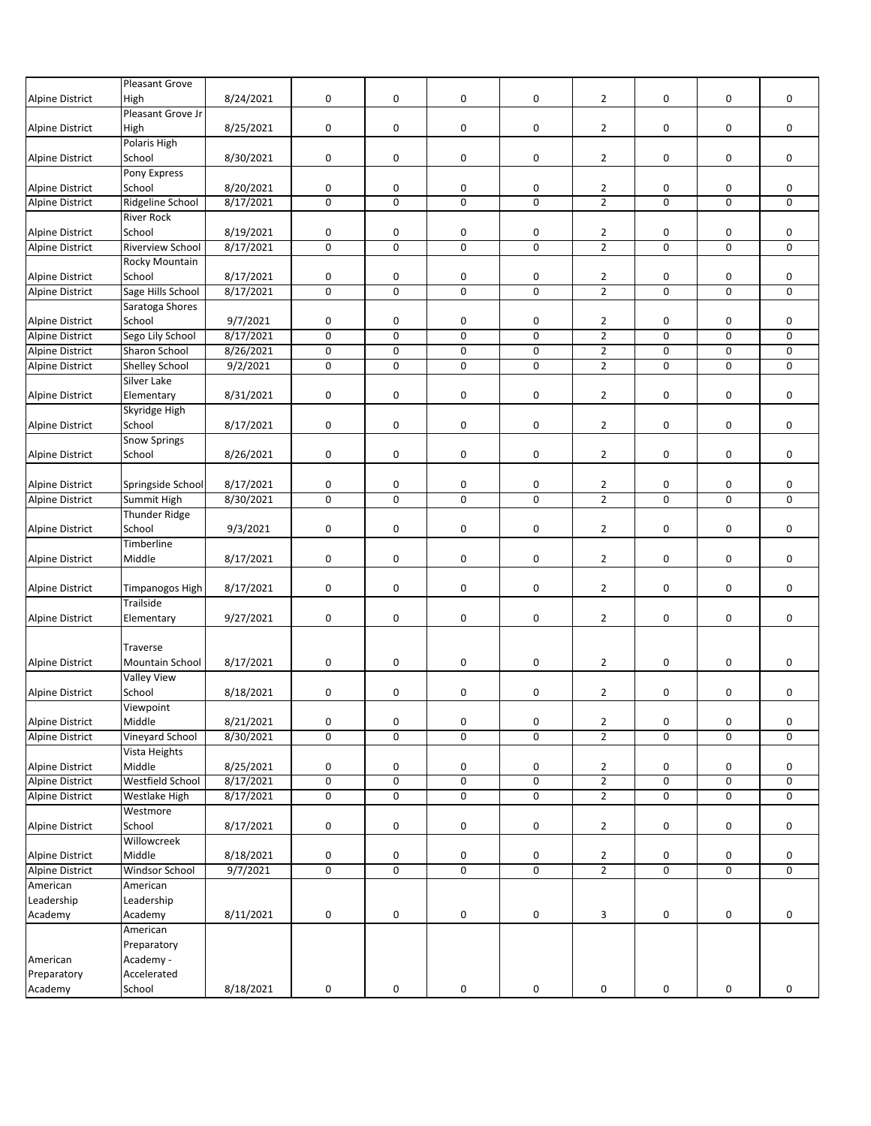|                        | Pleasant Grove       |           |                         |                |                |                |                |           |   |             |
|------------------------|----------------------|-----------|-------------------------|----------------|----------------|----------------|----------------|-----------|---|-------------|
| <b>Alpine District</b> | High                 | 8/24/2021 | 0                       | 0              | 0              | 0              | $\overline{2}$ | 0         | 0 | 0           |
|                        | Pleasant Grove Jr    |           |                         |                |                |                |                |           |   |             |
|                        |                      |           |                         | 0              | $\pmb{0}$      |                |                |           |   | 0           |
| <b>Alpine District</b> | High                 | 8/25/2021 | 0                       |                |                | 0              | $\overline{2}$ | 0         | 0 |             |
|                        | Polaris High         |           |                         |                |                |                |                |           |   |             |
| Alpine District        | School               | 8/30/2021 | 0                       | 0              | 0              | 0              | $\overline{2}$ | 0         | 0 | 0           |
|                        | Pony Express         |           |                         |                |                |                |                |           |   |             |
| <b>Alpine District</b> | School               | 8/20/2021 | 0                       | 0              | 0              | 0              | $\overline{2}$ | 0         | 0 | 0           |
| <b>Alpine District</b> | Ridgeline School     | 8/17/2021 | $\pmb{0}$               | 0              | 0              | 0              | $\overline{2}$ | 0         | 0 | 0           |
|                        | <b>River Rock</b>    |           |                         |                |                |                |                |           |   |             |
| <b>Alpine District</b> | School               | 8/19/2021 | 0                       | 0              | 0              | 0              | $\overline{2}$ | 0         | 0 | 0           |
| Alpine District        | Riverview School     | 8/17/2021 | $\mathbf 0$             | 0              | $\mathbf 0$    | 0              | $\overline{2}$ | $\pmb{0}$ | 0 | 0           |
|                        | Rocky Mountain       |           |                         |                |                |                |                |           |   |             |
| <b>Alpine District</b> | School               | 8/17/2021 | 0                       | 0              | 0              | 0              | $\overline{2}$ | 0         | 0 | 0           |
| <b>Alpine District</b> | Sage Hills School    | 8/17/2021 | $\mathbf 0$             | $\mathbf 0$    | $\mathbf 0$    | 0              | $\overline{2}$ | 0         | 0 | $\mathbf 0$ |
|                        | Saratoga Shores      |           |                         |                |                |                |                |           |   |             |
| <b>Alpine District</b> | School               | 9/7/2021  | $\pmb{0}$               | 0              | 0              | 0              | $\overline{2}$ | 0         | 0 | 0           |
| <b>Alpine District</b> | Sego Lily School     | 8/17/2021 | $\mathbf 0$             | 0              | $\mathbf 0$    | 0              | $\overline{2}$ | 0         | 0 | 0           |
| <b>Alpine District</b> | Sharon School        |           |                         | 0              | 0              |                | $\overline{2}$ |           |   | 0           |
|                        |                      | 8/26/2021 | $\pmb{0}$               |                |                | 0              |                | 0         | 0 |             |
| <b>Alpine District</b> | Shelley School       | 9/2/2021  | $\pmb{0}$               | 0              | 0              | 0              | $\overline{2}$ | 0         | 0 | 0           |
|                        | Silver Lake          |           |                         |                |                |                |                |           |   |             |
| Alpine District        | Elementary           | 8/31/2021 | $\pmb{0}$               | 0              | 0              | 0              | $\overline{2}$ | 0         | 0 | 0           |
|                        | Skyridge High        |           |                         |                |                |                |                |           |   |             |
| <b>Alpine District</b> | School               | 8/17/2021 | $\pmb{0}$               | 0              | 0              | 0              | $\overline{2}$ | 0         | 0 | 0           |
|                        | <b>Snow Springs</b>  |           |                         |                |                |                |                |           |   |             |
| <b>Alpine District</b> | School               | 8/26/2021 | $\pmb{0}$               | 0              | 0              | 0              | $\overline{2}$ | 0         | 0 | 0           |
|                        |                      |           |                         |                |                |                |                |           |   |             |
| <b>Alpine District</b> | Springside School    | 8/17/2021 | 0                       | 0              | 0              | 0              | $\overline{2}$ | 0         | 0 | 0           |
| <b>Alpine District</b> | Summit High          | 8/30/2021 | $\mathbf 0$             | $\mathbf 0$    | $\mathbf 0$    | 0              | $\overline{2}$ | 0         | 0 | 0           |
|                        | <b>Thunder Ridge</b> |           |                         |                |                |                |                |           |   |             |
| <b>Alpine District</b> | School               | 9/3/2021  | 0                       | 0              | 0              | 0              | $\overline{2}$ | 0         | 0 | 0           |
|                        | Timberline           |           |                         |                |                |                |                |           |   |             |
|                        |                      |           |                         |                |                |                |                |           |   |             |
| <b>Alpine District</b> | Middle               | 8/17/2021 | 0                       | 0              | 0              | 0              | $\overline{2}$ | 0         | 0 | 0           |
|                        |                      |           |                         |                |                |                |                |           |   |             |
| <b>Alpine District</b> | Timpanogos High      | 8/17/2021 | 0                       | 0              | $\pmb{0}$      | 0              | $\overline{2}$ | 0         | 0 | 0           |
|                        | Trailside            |           |                         |                |                |                |                |           |   |             |
| <b>Alpine District</b> | Elementary           | 9/27/2021 | $\pmb{0}$               | 0              | 0              | 0              | $\overline{2}$ | 0         | 0 | 0           |
|                        |                      |           |                         |                |                |                |                |           |   |             |
|                        | Traverse             |           |                         |                |                |                |                |           |   |             |
| <b>Alpine District</b> | Mountain School      | 8/17/2021 | 0                       | 0              | 0              | 0              | $\overline{2}$ | 0         | 0 | 0           |
|                        | <b>Valley View</b>   |           |                         |                |                |                |                |           |   |             |
| <b>Alpine District</b> | School               | 8/18/2021 | 0                       | 0              | 0              | 0              | $\overline{2}$ | 0         | 0 | 0           |
|                        | Viewpoint            |           |                         |                |                |                |                |           |   |             |
| <b>Alpine District</b> | Middle               | 8/21/2021 | $\pmb{0}$               | 0              | 0              | 0              | $\overline{2}$ | 0         | 0 | 0           |
| <b>Alpine District</b> | Vineyard School      | 8/30/2021 | 0                       | $\mathbf 0$    | 0              | 0              | $\overline{2}$ | 0         | 0 | 0           |
|                        | Vista Heights        |           |                         |                |                |                |                |           |   |             |
| <b>Alpine District</b> | Middle               | 8/25/2021 | 0                       | 0              | 0              | 0              | $\overline{2}$ | 0         | 0 | 0           |
|                        | Westfield School     | 8/17/2021 | $\pmb{0}$               | 0              | 0              | 0              | $\overline{2}$ |           |   | 0           |
| Alpine District        |                      |           |                         | $\overline{0}$ | $\overline{0}$ |                |                | 0         | 0 |             |
| <b>Alpine District</b> | Westlake High        | 8/17/2021 | $\overline{\mathbf{0}}$ |                |                | $\overline{0}$ | $\overline{2}$ | 0         | 0 | 0           |
|                        | Westmore             |           |                         |                |                |                |                |           |   |             |
| <b>Alpine District</b> | School               | 8/17/2021 | $\pmb{0}$               | 0              | 0              | 0              | $\overline{2}$ | 0         | 0 | 0           |
|                        | Willowcreek          |           |                         |                |                |                |                |           |   |             |
| <b>Alpine District</b> | Middle               | 8/18/2021 | 0                       | 0              | 0              | 0              | $\overline{2}$ | 0         | 0 | 0           |
| <b>Alpine District</b> | Windsor School       | 9/7/2021  | $\pmb{0}$               | 0              | 0              | 0              | $\overline{2}$ | 0         | 0 | 0           |
| American               | American             |           |                         |                |                |                |                |           |   |             |
| Leadership             | Leadership           |           |                         |                |                |                |                |           |   |             |
| Academy                | Academy              | 8/11/2021 | 0                       | 0              | 0              | 0              | 3              | 0         | 0 | 0           |
|                        | American             |           |                         |                |                |                |                |           |   |             |
|                        |                      |           |                         |                |                |                |                |           |   |             |
|                        | Preparatory          |           |                         |                |                |                |                |           |   |             |
| American               | Academy -            |           |                         |                |                |                |                |           |   |             |
| Preparatory            | Accelerated          |           |                         |                |                |                |                |           |   |             |
| Academy                | School               | 8/18/2021 | 0                       | 0              | 0              | 0              | 0              | 0         | 0 | 0           |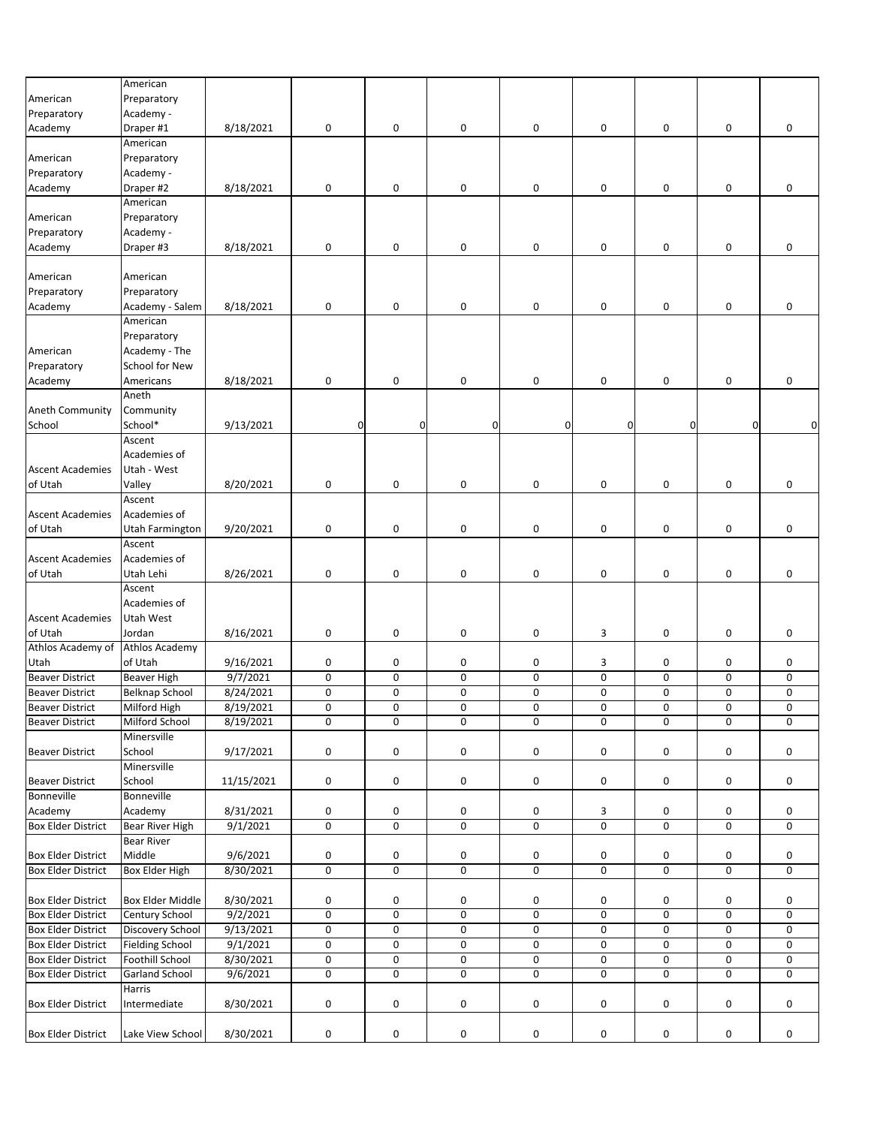|                           | American                |            |           |                     |                         |              |          |              |              |           |
|---------------------------|-------------------------|------------|-----------|---------------------|-------------------------|--------------|----------|--------------|--------------|-----------|
| American                  | Preparatory             |            |           |                     |                         |              |          |              |              |           |
| Preparatory               | Academy -               |            |           |                     |                         |              |          |              |              |           |
| Academy                   | Draper #1               | 8/18/2021  | $\pmb{0}$ | 0                   | 0                       | 0            | 0        | 0            | 0            | 0         |
|                           | American                |            |           |                     |                         |              |          |              |              |           |
| American                  | Preparatory             |            |           |                     |                         |              |          |              |              |           |
| Preparatory               | Academy -               |            |           |                     |                         |              |          |              |              |           |
| Academy                   | Draper #2               | 8/18/2021  | $\pmb{0}$ | 0                   | 0                       | 0            | 0        | 0            | 0            | 0         |
|                           | American                |            |           |                     |                         |              |          |              |              |           |
| American                  | Preparatory             |            |           |                     |                         |              |          |              |              |           |
|                           |                         |            |           |                     |                         |              |          |              |              |           |
| Preparatory               | Academy -               |            |           |                     |                         |              |          |              |              |           |
| Academy                   | Draper #3               | 8/18/2021  | 0         | 0                   | 0                       | 0            | 0        | 0            | 0            | 0         |
|                           |                         |            |           |                     |                         |              |          |              |              |           |
| American                  | American                |            |           |                     |                         |              |          |              |              |           |
| Preparatory               | Preparatory             |            |           |                     |                         |              |          |              |              |           |
| Academy                   | Academy - Salem         | 8/18/2021  | $\pmb{0}$ | 0                   | 0                       | 0            | 0        | 0            | 0            | 0         |
|                           | American                |            |           |                     |                         |              |          |              |              |           |
|                           | Preparatory             |            |           |                     |                         |              |          |              |              |           |
| American                  | Academy - The           |            |           |                     |                         |              |          |              |              |           |
| Preparatory               | School for New          |            |           |                     |                         |              |          |              |              |           |
| Academy                   | Americans               | 8/18/2021  | $\pmb{0}$ | 0                   | 0                       | 0            | 0        | $\pmb{0}$    | 0            | 0         |
|                           | Aneth                   |            |           |                     |                         |              |          |              |              |           |
| <b>Aneth Community</b>    | Community               |            |           |                     |                         |              |          |              |              |           |
| School                    | School*                 | 9/13/2021  | 0         | 0                   | $\mathbf 0$             | $\mathbf{0}$ | $\Omega$ | $\mathbf{0}$ | $\mathbf{0}$ | $\Omega$  |
|                           | Ascent                  |            |           |                     |                         |              |          |              |              |           |
|                           | Academies of            |            |           |                     |                         |              |          |              |              |           |
| <b>Ascent Academies</b>   | Utah - West             |            |           |                     |                         |              |          |              |              |           |
|                           |                         | 8/20/2021  |           |                     |                         |              |          |              |              |           |
| of Utah                   | Valley                  |            | $\pmb{0}$ | 0                   | 0                       | 0            | 0        | 0            | 0            | 0         |
|                           | Ascent                  |            |           |                     |                         |              |          |              |              |           |
| <b>Ascent Academies</b>   | Academies of            |            |           |                     |                         |              |          |              |              |           |
| of Utah                   | Utah Farmington         | 9/20/2021  | $\pmb{0}$ | 0                   | 0                       | 0            | 0        | 0            | 0            | 0         |
|                           | Ascent                  |            |           |                     |                         |              |          |              |              |           |
| <b>Ascent Academies</b>   | Academies of            |            |           |                     |                         |              |          |              |              |           |
| of Utah                   | Utah Lehi               | 8/26/2021  | 0         | 0                   | 0                       | 0            | 0        | 0            | 0            | 0         |
|                           | Ascent                  |            |           |                     |                         |              |          |              |              |           |
|                           | Academies of            |            |           |                     |                         |              |          |              |              |           |
| <b>Ascent Academies</b>   | Utah West               |            |           |                     |                         |              |          |              |              |           |
| of Utah                   | Jordan                  | 8/16/2021  | 0         | 0                   | 0                       | 0            | 3        | 0            | 0            | 0         |
| Athlos Academy of         | <b>Athlos Academy</b>   |            |           |                     |                         |              |          |              |              |           |
| Utah                      | of Utah                 | 9/16/2021  | 0         | 0                   | 0                       | 0            | 3        | 0            | 0            | 0         |
| <b>Beaver District</b>    | <b>Beaver High</b>      | 9/7/2021   | $\pmb{0}$ | $\mathbf 0$         | 0                       | 0            | 0        | 0            | 0            | 0         |
| <b>Beaver District</b>    | <b>Belknap School</b>   | 8/24/2021  | $\pmb{0}$ | 0                   | 0                       | 0            | 0        | 0            | 0            | 0         |
|                           |                         |            | $\pmb{0}$ | 0                   | 0                       | 0            | 0        | $\mathsf 0$  | 0            | $\pmb{0}$ |
| <b>Beaver District</b>    | Milford High            | 8/19/2021  |           |                     |                         |              |          |              |              |           |
| <b>Beaver District</b>    | Milford School          | 8/19/2021  | 0         | 0                   | 0                       | 0            | 0        | 0            | 0            | 0         |
|                           | Minersville             |            |           |                     |                         |              |          |              |              |           |
| <b>Beaver District</b>    | School                  | 9/17/2021  | 0         | 0                   | 0                       | 0            | 0        | 0            | 0            | 0         |
|                           | Minersville             |            |           |                     |                         |              |          |              |              |           |
| <b>Beaver District</b>    | School                  | 11/15/2021 | 0         | 0                   | 0                       | 0            | 0        | 0            | 0            | 0         |
| <b>Bonneville</b>         | <b>Bonneville</b>       |            |           |                     |                         |              |          |              |              |           |
| Academy                   | Academy                 | 8/31/2021  | 0         | 0                   | 0                       | 0            | 3        | 0            | 0            | 0         |
| <b>Box Elder District</b> | <b>Bear River High</b>  | 9/1/2021   | $\pmb{0}$ | 0                   | $\mathbf 0$             | 0            | 0        | 0            | 0            | 0         |
|                           | <b>Bear River</b>       |            |           |                     |                         |              |          |              |              |           |
| <b>Box Elder District</b> | Middle                  | 9/6/2021   | 0         | 0                   | 0                       | 0            | 0        | 0            | 0            | 0         |
| <b>Box Elder District</b> | Box Elder High          | 8/30/2021  | $\pmb{0}$ | 0                   | $\overline{\mathbf{0}}$ | 0            | 0        | $\mathbf 0$  | 0            | 0         |
|                           |                         |            |           |                     |                         |              |          |              |              |           |
| <b>Box Elder District</b> | <b>Box Elder Middle</b> | 8/30/2021  | 0         | 0                   | 0                       | 0            | 0        | 0            | 0            | 0         |
| <b>Box Elder District</b> | Century School          | 9/2/2021   | $\pmb{0}$ | 0                   | 0                       | 0            | 0        | 0            | 0            | $\pmb{0}$ |
|                           |                         |            |           |                     |                         |              |          |              |              |           |
| <b>Box Elder District</b> | <b>Discovery School</b> | 9/13/2021  | $\pmb{0}$ | 0                   | 0                       | 0            | 0        | $\pmb{0}$    | 0            | 0         |
| <b>Box Elder District</b> | <b>Fielding School</b>  | 9/1/2021   | $\pmb{0}$ | 0                   | $\pmb{0}$               | 0            | 0        | 0            | 0            | 0         |
| <b>Box Elder District</b> | <b>Foothill School</b>  | 8/30/2021  | $\pmb{0}$ | $\mathsf{O}\xspace$ | 0                       | $\pmb{0}$    | 0        | $\pmb{0}$    | 0            | 0         |
| <b>Box Elder District</b> | <b>Garland School</b>   | 9/6/2021   | $\pmb{0}$ | 0                   | 0                       | 0            | 0        | 0            | 0            | 0         |
|                           | Harris                  |            |           |                     |                         |              |          |              |              |           |
| <b>Box Elder District</b> | Intermediate            | 8/30/2021  | 0         | 0                   | 0                       | 0            | 0        | 0            | 0            | 0         |
|                           |                         |            |           |                     |                         |              |          |              |              |           |
| <b>Box Elder District</b> | Lake View School        | 8/30/2021  | 0         | 0                   | 0                       | 0            | 0        | 0            | 0            | 0         |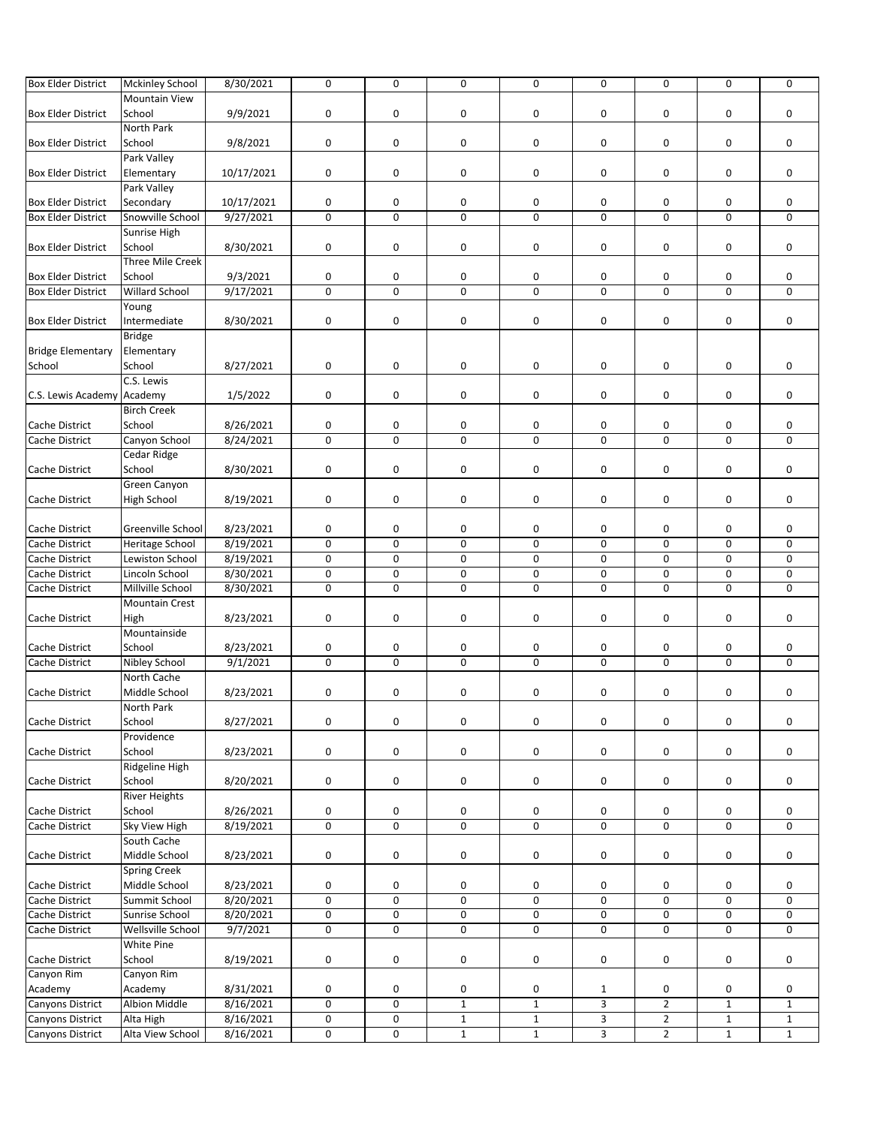| <b>Box Elder District</b>  | <b>Mckinley School</b>  | 8/30/2021  | $\mathsf 0$ | $\mathbf 0$ | $\mathbf 0$         | 0            | 0              | $\mathsf{O}\xspace$ | 0            | 0            |
|----------------------------|-------------------------|------------|-------------|-------------|---------------------|--------------|----------------|---------------------|--------------|--------------|
|                            | <b>Mountain View</b>    |            |             |             |                     |              |                |                     |              |              |
| <b>Box Elder District</b>  | School                  | 9/9/2021   | $\pmb{0}$   | 0           | 0                   | 0            | 0              | 0                   | 0            | 0            |
|                            | <b>North Park</b>       |            |             |             |                     |              |                |                     |              |              |
|                            |                         |            |             |             |                     |              |                |                     |              |              |
| <b>Box Elder District</b>  | School                  | 9/8/2021   | 0           | 0           | 0                   | 0            | 0              | 0                   | 0            | 0            |
|                            | Park Valley             |            |             |             |                     |              |                |                     |              |              |
| <b>Box Elder District</b>  | Elementary              | 10/17/2021 | $\pmb{0}$   | 0           | 0                   | 0            | 0              | 0                   | 0            | $\mathbf 0$  |
|                            | Park Valley             |            |             |             |                     |              |                |                     |              |              |
| <b>Box Elder District</b>  | Secondary               | 10/17/2021 | 0           | 0           | 0                   | 0            | 0              | 0                   | 0            | 0            |
| <b>Box Elder District</b>  | Snowville School        | 9/27/2021  | $\pmb{0}$   | 0           | $\mathbf 0$         | $\mathbf 0$  | $\mathbf 0$    | 0                   | $\mathbf 0$  | 0            |
|                            | Sunrise High            |            |             |             |                     |              |                |                     |              |              |
| <b>Box Elder District</b>  | School                  | 8/30/2021  | $\pmb{0}$   | 0           | 0                   | 0            | 0              | 0                   | 0            | 0            |
|                            | <b>Three Mile Creek</b> |            |             |             |                     |              |                |                     |              |              |
| <b>Box Elder District</b>  | School                  | 9/3/2021   | 0           | 0           | 0                   | 0            | 0              | 0                   | 0            | 0            |
|                            |                         |            |             | $\mathbf 0$ | $\overline{0}$      | 0            | $\mathbf 0$    | $\mathbf 0$         | $\mathbf 0$  |              |
| <b>Box Elder District</b>  | <b>Willard School</b>   | 9/17/2021  | 0           |             |                     |              |                |                     |              | 0            |
|                            | Young                   |            |             |             |                     |              |                |                     |              |              |
| <b>Box Elder District</b>  | Intermediate            | 8/30/2021  | $\mathbf 0$ | 0           | 0                   | 0            | 0              | 0                   | 0            | 0            |
|                            | <b>Bridge</b>           |            |             |             |                     |              |                |                     |              |              |
| <b>Bridge Elementary</b>   | Elementary              |            |             |             |                     |              |                |                     |              |              |
| School                     | School                  | 8/27/2021  | 0           | 0           | 0                   | 0            | 0              | 0                   | 0            | 0            |
|                            | C.S. Lewis              |            |             |             |                     |              |                |                     |              |              |
| C.S. Lewis Academy Academy |                         | 1/5/2022   | 0           | 0           | 0                   | 0            | 0              | 0                   | 0            | 0            |
|                            | <b>Birch Creek</b>      |            |             |             |                     |              |                |                     |              |              |
| <b>Cache District</b>      |                         |            |             |             |                     |              |                |                     |              |              |
|                            | School                  | 8/26/2021  | 0           | 0           | 0                   | 0            | 0              | 0                   | 0            | 0            |
| Cache District             | Canyon School           | 8/24/2021  | $\mathsf 0$ | 0           | $\mathbf 0$         | 0            | $\mathbf 0$    | $\mathbf 0$         | $\mathbf 0$  | 0            |
|                            | Cedar Ridge             |            |             |             |                     |              |                |                     |              |              |
| Cache District             | School                  | 8/30/2021  | $\mathsf 0$ | 0           | 0                   | 0            | 0              | 0                   | 0            | 0            |
|                            | Green Canyon            |            |             |             |                     |              |                |                     |              |              |
| Cache District             | <b>High School</b>      | 8/19/2021  | $\mathsf 0$ | 0           | 0                   | 0            | 0              | 0                   | 0            | 0            |
|                            |                         |            |             |             |                     |              |                |                     |              |              |
| Cache District             | Greenville School       | 8/23/2021  | 0           | 0           | 0                   | 0            | 0              | 0                   | 0            | 0            |
| Cache District             | <b>Heritage School</b>  | 8/19/2021  | $\mathsf 0$ | $\mathbf 0$ | 0                   | 0            | 0              | 0                   | 0            | 0            |
| Cache District             | Lewiston School         | 8/19/2021  | $\mathsf 0$ | 0           | $\pmb{0}$           | 0            | $\mathsf 0$    | 0                   | 0            | 0            |
|                            | Lincoln School          |            | $\pmb{0}$   | 0           | 0                   | 0            | 0              | 0                   | 0            | 0            |
| Cache District             |                         | 8/30/2021  |             |             |                     |              |                |                     |              |              |
| Cache District             | Millville School        | 8/30/2021  | $\pmb{0}$   | 0           | 0                   | 0            | 0              | 0                   | 0            | 0            |
|                            | <b>Mountain Crest</b>   |            |             |             |                     |              |                |                     |              |              |
| Cache District             | High                    | 8/23/2021  | $\mathsf 0$ | 0           | 0                   | 0            | 0              | 0                   | 0            | 0            |
|                            | Mountainside            |            |             |             |                     |              |                |                     |              |              |
| Cache District             | School                  | 8/23/2021  | 0           | 0           | 0                   | 0            | 0              | 0                   | 0            | 0            |
| Cache District             | Nibley School           | 9/1/2021   | $\mathsf 0$ | $\mathbf 0$ | $\mathbf 0$         | 0            | $\mathbf 0$    | $\mathbf 0$         | $\mathbf 0$  | 0            |
|                            | North Cache             |            |             |             |                     |              |                |                     |              |              |
| Cache District             | Middle School           | 8/23/2021  | $\pmb{0}$   | 0           | 0                   | 0            | 0              | 0                   | 0            | 0            |
|                            | North Park              |            |             |             |                     |              |                |                     |              |              |
|                            | School                  |            | $\mathsf 0$ | 0           | 0                   |              | 0              | 0                   |              | 0            |
| Cache District             |                         | 8/27/2021  |             |             |                     | 0            |                |                     | 0            |              |
|                            | Providence              |            |             |             |                     |              |                |                     |              |              |
| Cache District             | School                  | 8/23/2021  | 0           | 0           | 0                   | 0            | 0              | 0                   | 0            | 0            |
|                            | Ridgeline High          |            |             |             |                     |              |                |                     |              |              |
| Cache District             | School                  | 8/20/2021  | 0           | 0           | 0                   | 0            | 0              | 0                   | 0            | 0            |
|                            | <b>River Heights</b>    |            |             |             |                     |              |                |                     |              |              |
| Cache District             | School                  | 8/26/2021  | 0           | 0           | 0                   | 0            | 0              | 0                   | 0            | 0            |
| Cache District             | Sky View High           | 8/19/2021  | 0           | 0           | $\mathbf 0$         | 0            | 0              | 0                   | 0            | 0            |
|                            | South Cache             |            |             |             |                     |              |                |                     |              |              |
| Cache District             | Middle School           | 8/23/2021  | $\mathsf 0$ | 0           | 0                   | 0            | 0              | 0                   | 0            | 0            |
|                            |                         |            |             |             |                     |              |                |                     |              |              |
|                            | <b>Spring Creek</b>     |            |             |             |                     |              |                |                     |              |              |
| Cache District             | Middle School           | 8/23/2021  | 0           | 0           | 0                   | 0            | 0              | 0                   | 0            | 0            |
| Cache District             | Summit School           | 8/20/2021  | $\pmb{0}$   | 0           | $\mathsf{O}\xspace$ | 0            | 0              | 0                   | 0            | 0            |
| Cache District             | Sunrise School          | 8/20/2021  | 0           | 0           | 0                   | 0            | 0              | 0                   | 0            | 0            |
| Cache District             | Wellsville School       | 9/7/2021   | $\pmb{0}$   | 0           | 0                   | 0            | 0              | 0                   | 0            | 0            |
|                            | White Pine              |            |             |             |                     |              |                |                     |              |              |
| Cache District             | School                  | 8/19/2021  | $\mathsf 0$ | 0           | 0                   | 0            | 0              | 0                   | 0            | 0            |
| Canyon Rim                 | Canyon Rim              |            |             |             |                     |              |                |                     |              |              |
| Academy                    |                         |            |             |             |                     |              |                |                     |              |              |
|                            | Academy                 | 8/31/2021  | 0           | 0           | 0                   | 0            | $\mathbf{1}$   | 0                   | 0            | 0            |
| <b>Canyons District</b>    | <b>Albion Middle</b>    | 8/16/2021  | $\mathbf 0$ | 0           | $\mathbf{1}$        | $\mathbf{1}$ | 3              | $\overline{2}$      | $\mathbf 1$  | $\mathbf{1}$ |
| Canyons District           | Alta High               | 8/16/2021  | 0           | 0           | $\mathbf{1}$        | $\mathbf 1$  | 3              | $\mathbf{2}$        | $\mathbf 1$  | $\mathbf 1$  |
| Canyons District           | Alta View School        | 8/16/2021  | 0           | 0           | $\overline{1}$      | $\mathbf 1$  | $\overline{3}$ | $\overline{2}$      | $\mathbf{1}$ | $\mathbf{1}$ |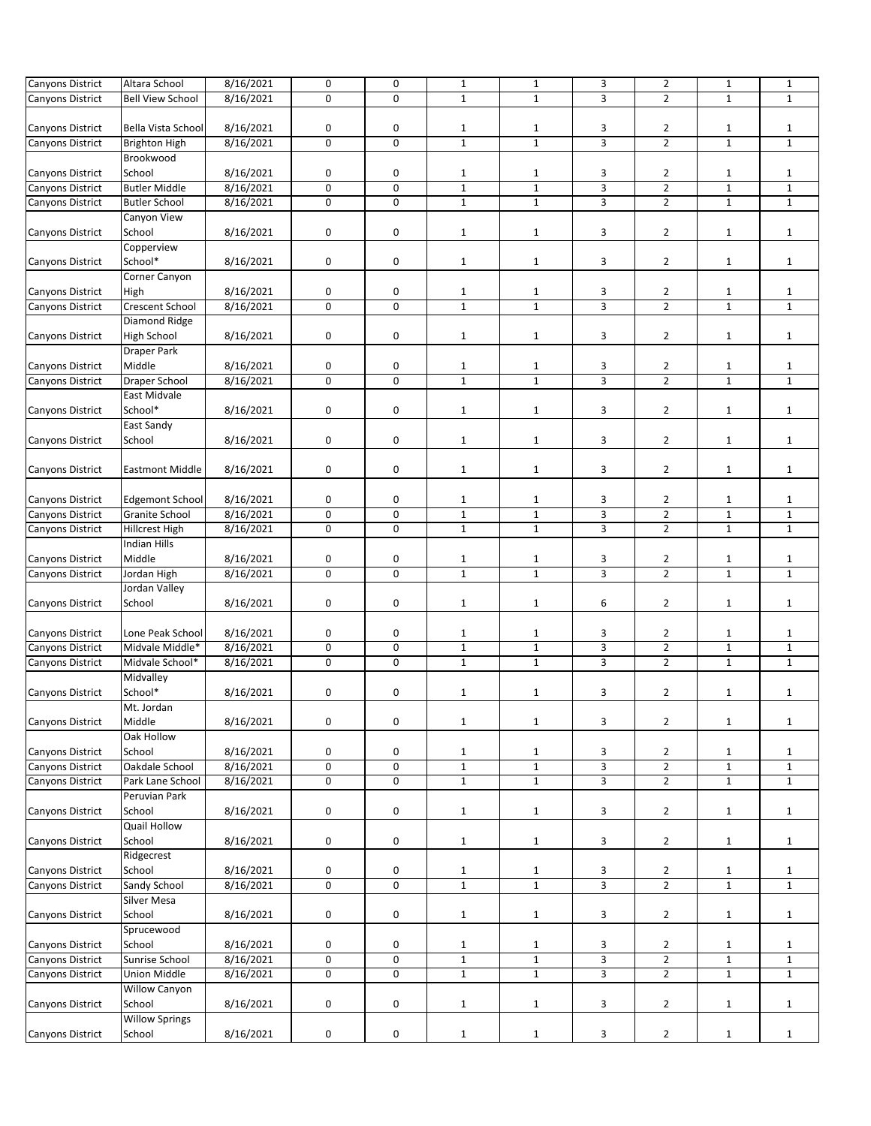| Canyons District        | Altara School           | 8/16/2021 | 0           | 0              | $\mathbf{1}$ | $1\,$            | 3              | $\mathbf{2}$   | $\mathbf{1}$ | $\mathbf{1}$ |
|-------------------------|-------------------------|-----------|-------------|----------------|--------------|------------------|----------------|----------------|--------------|--------------|
| Canyons District        | <b>Bell View School</b> | 8/16/2021 | $\mathbf 0$ | $\Omega$       | $\mathbf{1}$ | $\mathbf{1}$     | 3              | $\overline{2}$ | $\mathbf{1}$ | $\mathbf{1}$ |
|                         |                         |           |             |                |              |                  |                |                |              |              |
| Canyons District        | Bella Vista School      | 8/16/2021 | 0           | 0              | $\mathbf{1}$ | $\mathbf{1}$     | 3              | $\overline{2}$ | 1            | $\mathbf{1}$ |
| Canyons District        | <b>Brighton High</b>    | 8/16/2021 | $\pmb{0}$   | 0              | $\mathbf{1}$ | $\mathbf 1$      | 3              | $\mathbf{2}$   | $\mathbf{1}$ | $1\,$        |
|                         | Brookwood               |           |             |                |              |                  |                |                |              |              |
| Canyons District        | School                  | 8/16/2021 | 0           | 0              | $\mathbf{1}$ | $\mathbf{1}$     | 3              | $\overline{2}$ | $\mathbf{1}$ | $1\,$        |
| Canyons District        | <b>Butler Middle</b>    | 8/16/2021 | $\pmb{0}$   | $\mathbf 0$    | $\mathbf{1}$ | $\mathbf 1$      | 3              | $\mathbf{2}$   | $\mathbf 1$  | $\mathbf{1}$ |
| Canyons District        | <b>Butler School</b>    | 8/16/2021 | 0           | $\mathbf 0$    | $\mathbf{1}$ | $\mathbf 1$      | 3              | $\overline{2}$ | $\mathbf{1}$ | $\mathbf 1$  |
|                         | Canyon View             |           |             |                |              |                  |                |                |              |              |
|                         |                         |           |             |                |              |                  |                |                |              |              |
| <b>Canyons District</b> | School                  | 8/16/2021 | 0           | 0              | $\mathbf{1}$ | $\mathbf{1}$     | 3              | $\overline{2}$ | $\mathbf{1}$ | $\mathbf{1}$ |
|                         | Copperview              |           |             |                |              |                  |                |                |              |              |
| Canyons District        | School*                 | 8/16/2021 | 0           | 0              | $\mathbf{1}$ | $\mathbf{1}$     | 3              | $\overline{2}$ | $\mathbf{1}$ | $\mathbf{1}$ |
|                         | Corner Canyon           |           |             |                |              |                  |                |                |              |              |
| Canyons District        | High                    | 8/16/2021 | 0           | 0              | $\mathbf{1}$ | $\mathbf{1}$     | 3              | $\overline{2}$ | $\mathbf{1}$ | $\mathbf{1}$ |
| Canyons District        | Crescent School         | 8/16/2021 | 0           | $\mathbf 0$    | $\mathbf{1}$ | $\mathbf 1$      | 3              | $\overline{2}$ | $\mathbf{1}$ | $\mathbf{1}$ |
|                         | Diamond Ridge           |           |             |                |              |                  |                |                |              |              |
| Canyons District        | High School             | 8/16/2021 | 0           | 0              | $\mathbf{1}$ | $\mathbf{1}$     | 3              | $\overline{2}$ | $\mathbf{1}$ | $\mathbf{1}$ |
|                         | <b>Draper Park</b>      |           |             |                |              |                  |                |                |              |              |
| Canyons District        | Middle                  | 8/16/2021 | 0           | 0              | $\mathbf{1}$ | $\mathbf{1}$     | 3              | $\overline{2}$ | $\mathbf{1}$ | $\mathbf{1}$ |
| Canyons District        | Draper School           | 8/16/2021 | $\mathbf 0$ | 0              | $\mathbf{1}$ | $\mathbf{1}$     | 3              | $\overline{2}$ | $\mathbf{1}$ | $\mathbf{1}$ |
|                         | East Midvale            |           |             |                |              |                  |                |                |              |              |
| <b>Canyons District</b> | School*                 | 8/16/2021 | 0           | 0              | $\mathbf{1}$ | $\mathbf{1}$     | 3              | $\overline{2}$ | $\mathbf{1}$ | $\mathbf{1}$ |
|                         | East Sandy              |           |             |                |              |                  |                |                |              |              |
| Canyons District        | School                  | 8/16/2021 | 0           | 0              | $\mathbf{1}$ | $\mathbf{1}$     | 3              | $\mathbf{2}$   | $\mathbf{1}$ | $\mathbf{1}$ |
|                         |                         |           |             |                |              |                  |                |                |              |              |
| Canyons District        | <b>Eastmont Middle</b>  | 8/16/2021 | 0           | 0              | $\mathbf{1}$ | $\mathbf{1}$     | 3              | $\mathbf{2}$   | $\mathbf{1}$ | $\mathbf{1}$ |
|                         |                         |           |             |                |              |                  |                |                |              |              |
| Canyons District        | <b>Edgemont School</b>  | 8/16/2021 | 0           | 0              | $\mathbf{1}$ | $\mathbf{1}$     | 3              | 2              | 1            | $\mathbf{1}$ |
| Canyons District        | Granite School          | 8/16/2021 | $\pmb{0}$   | $\mathbf 0$    | $\mathbf 1$  | $\mathbf 1$      | 3              | $\overline{2}$ | $\mathbf{1}$ | $1\,$        |
| Canyons District        | Hillcrest High          | 8/16/2021 | 0           | 0              | $\mathbf{1}$ | $\mathbf{1}$     | 3              | $\overline{2}$ | $\mathbf{1}$ | $\mathbf{1}$ |
|                         | <b>Indian Hills</b>     |           |             |                |              |                  |                |                |              |              |
| Canyons District        | Middle                  | 8/16/2021 | 0           | 0              | $\mathbf{1}$ | $\mathbf{1}$     | 3              | $\overline{2}$ | $\mathbf{1}$ | $\mathbf{1}$ |
| Canyons District        | Jordan High             | 8/16/2021 | $\mathbf 0$ | 0              | $\mathbf{1}$ | $\mathbf 1$      | 3              | $\overline{2}$ | $\mathbf{1}$ | $1\,$        |
|                         | Jordan Valley           |           |             |                |              |                  |                |                |              |              |
| Canyons District        | School                  | 8/16/2021 | 0           | 0              | $\mathbf{1}$ | $1\,$            | 6              | $\mathbf{2}$   | $\mathbf{1}$ | $\mathbf{1}$ |
|                         |                         |           |             |                |              |                  |                |                |              |              |
| Canyons District        | Lone Peak School        | 8/16/2021 | 0           | 0              | $\mathbf{1}$ | $\mathbf{1}$     | 3              | $\overline{2}$ | $\mathbf{1}$ | $\mathbf{1}$ |
| Canyons District        | Midvale Middle*         | 8/16/2021 | 0           | 0              | $\mathbf 1$  | $\mathbf 1$      | 3              | $\mathbf{2}$   | $\mathbf{1}$ | $\mathbf{1}$ |
| Canyons District        | Midvale School*         | 8/16/2021 | $\mathsf 0$ | $\overline{0}$ | $\mathbf{1}$ | $\overline{1}$   | $\overline{3}$ | $\overline{2}$ | $\mathbf{1}$ | $\mathbf{1}$ |
|                         | Midvalley               |           |             |                |              |                  |                |                |              |              |
| Canyons District        | School*                 | 8/16/2021 | 0           | 0              | $\mathbf{1}$ | $1\,$            | 3              | $\overline{2}$ | $\mathbf{1}$ | $\mathbf{1}$ |
|                         | Mt. Jordan              |           |             |                |              |                  |                |                |              |              |
| Canyons District        | Middle                  | 8/16/2021 | 0           | $\pmb{0}$      | $\mathbf{1}$ | $\mathbf 1$      | 3              | $\mathbf{2}$   | $\mathbf{1}$ | $\mathbf 1$  |
|                         | Oak Hollow              |           |             |                |              |                  |                |                |              |              |
| Canyons District        | School                  | 8/16/2021 | 0           | 0              | $\mathbf{1}$ | 1                | 3              | $\overline{2}$ | 1            | $\mathbf{1}$ |
| Canyons District        | Oakdale School          | 8/16/2021 | $\pmb{0}$   | 0              | $\mathbf 1$  | $\mathbf 1$      | 3              | 2              | $\mathbf{1}$ | $\mathbf{1}$ |
| Canyons District        | Park Lane School        | 8/16/2021 | 0           | $\mathbf 0$    | $\mathbf{1}$ | $\mathbf 1$      | 3              | $\overline{2}$ | $\mathbf{1}$ | $\mathbf{1}$ |
|                         | Peruvian Park           |           |             |                |              |                  |                |                |              |              |
| Canyons District        | School                  | 8/16/2021 | 0           | 0              | $\mathbf{1}$ | $\mathbf{1}$     | 3              | $\mathbf{2}$   | $\mathbf{1}$ | $\mathbf{1}$ |
|                         | <b>Quail Hollow</b>     |           |             |                |              |                  |                |                |              |              |
| Canyons District        | School                  | 8/16/2021 | 0           | 0              | $\mathbf{1}$ | $\mathbf{1}$     | 3              | $\mathbf{2}$   | $\mathbf{1}$ | $\mathbf{1}$ |
|                         | Ridgecrest              |           |             |                |              |                  |                |                |              |              |
| Canyons District        | School                  | 8/16/2021 | 0           | 0              | $\mathbf{1}$ |                  | 3              | $\overline{2}$ | $\mathbf{1}$ | $\mathbf{1}$ |
| Canyons District        | Sandy School            |           | $\pmb{0}$   | 0              | $\mathbf 1$  | 1<br>$\mathbf 1$ | 3              | $\mathbf{2}$   | $\mathbf{1}$ | $\mathbf{1}$ |
|                         | Silver Mesa             | 8/16/2021 |             |                |              |                  |                |                |              |              |
| Canyons District        | School                  | 8/16/2021 | 0           | 0              | $\mathbf{1}$ | $\mathbf{1}$     | 3              | $\mathbf{2}$   | $\mathbf{1}$ | $\mathbf{1}$ |
|                         |                         |           |             |                |              |                  |                |                |              |              |
|                         | Sprucewood              |           |             |                |              |                  |                |                |              |              |
| Canyons District        | School                  | 8/16/2021 | $\mathbf 0$ | 0              | $\mathbf{1}$ | $\mathbf{1}$     | 3              | $\overline{2}$ | $\mathbf{1}$ | $\mathbf{1}$ |
| Canyons District        | Sunrise School          | 8/16/2021 | 0           | 0              | $\mathbf 1$  | $\mathbf 1$      | $\overline{3}$ | $\overline{2}$ | $\mathbf 1$  | $\mathbf{1}$ |
| Canyons District        | Union Middle            | 8/16/2021 | 0           | $\mathbf 0$    | $\mathbf{1}$ | $\mathbf 1$      | 3              | $\overline{2}$ | $\mathbf{1}$ | $\mathbf{1}$ |
|                         | Willow Canyon           |           |             |                |              |                  |                |                |              |              |
| Canyons District        | School                  | 8/16/2021 | 0           | 0              | $\mathbf{1}$ | $\mathbf{1}$     | 3              | $\overline{2}$ | $\mathbf{1}$ | $\mathbf{1}$ |
|                         | <b>Willow Springs</b>   |           |             |                |              |                  |                |                |              |              |
| Canyons District        | School                  | 8/16/2021 | 0           | 0              | $\mathbf{1}$ | $\mathbf{1}$     | 3              | $\overline{2}$ | $\mathbf 1$  | $\mathbf{1}$ |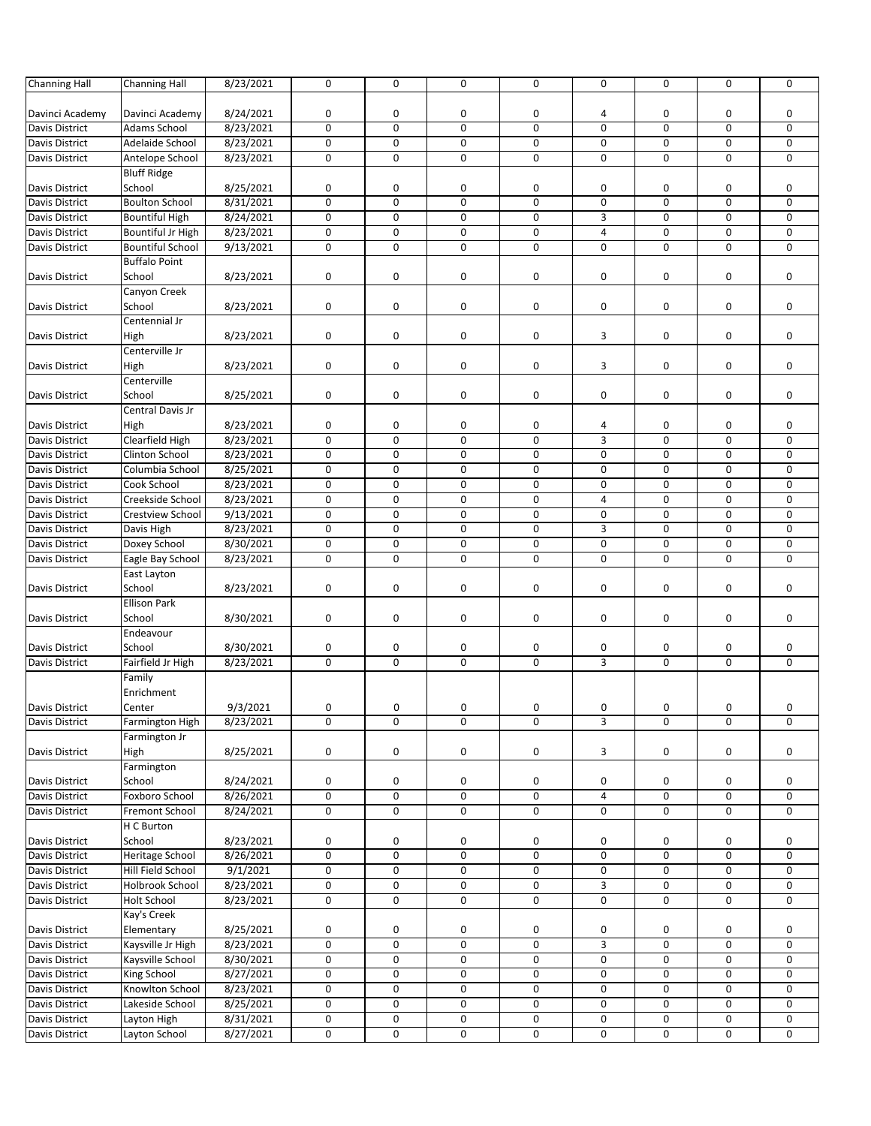| <b>Channing Hall</b>  | <b>Channing Hall</b>    | 8/23/2021 | $\mathbf 0$ | $\mathbf 0$ | $\mathbf 0$ | 0 | $\mathbf 0$    | $\mathbf 0$ | $\mathbf 0$         | 0 |
|-----------------------|-------------------------|-----------|-------------|-------------|-------------|---|----------------|-------------|---------------------|---|
|                       |                         |           |             |             |             |   |                |             |                     |   |
| Davinci Academy       | Davinci Academy         | 8/24/2021 | 0           | 0           | 0           | 0 | 4              | 0           | 0                   | 0 |
| <b>Davis District</b> | <b>Adams School</b>     | 8/23/2021 | $\mathbf 0$ | 0           | 0           | 0 | $\mathbf 0$    | 0           | 0                   | 0 |
| Davis District        | Adelaide School         | 8/23/2021 | 0           | 0           | 0           | 0 | 0              | 0           | 0                   | 0 |
| Davis District        | Antelope School         | 8/23/2021 | 0           | 0           | 0           | 0 | $\mathbf 0$    | $\mathbf 0$ | $\mathbf 0$         | 0 |
|                       | <b>Bluff Ridge</b>      |           |             |             |             |   |                |             |                     |   |
| Davis District        | School                  | 8/25/2021 | 0           | 0           | 0           | 0 | 0              | 0           | 0                   | 0 |
| Davis District        | <b>Boulton School</b>   | 8/31/2021 | $\mathbf 0$ | 0           | 0           | 0 | 0              | 0           | 0                   | 0 |
| Davis District        | <b>Bountiful High</b>   | 8/24/2021 | 0           | 0           | 0           | 0 | 3              | $\mathbf 0$ | $\mathbf 0$         | 0 |
| Davis District        | Bountiful Jr High       | 8/23/2021 | $\mathbf 0$ | 0           | 0           | 0 | $\overline{4}$ | 0           | 0                   | 0 |
| <b>Davis District</b> | <b>Bountiful School</b> | 9/13/2021 | $\mathbf 0$ | 0           | 0           | 0 | $\mathbf 0$    | 0           | 0                   | 0 |
|                       | <b>Buffalo Point</b>    |           |             |             |             |   |                |             |                     |   |
| Davis District        | School                  | 8/23/2021 | 0           | 0           | 0           | 0 | 0              | 0           | 0                   | 0 |
|                       | Canyon Creek            |           |             |             |             |   |                |             |                     |   |
| Davis District        | School                  | 8/23/2021 | 0           | 0           | 0           | 0 | 0              | 0           | 0                   | 0 |
|                       | Centennial Jr           |           |             |             |             |   |                |             |                     |   |
| Davis District        | High                    | 8/23/2021 | $\mathbf 0$ | 0           | 0           | 0 | 3              | 0           | 0                   | 0 |
|                       | Centerville Jr          |           |             |             |             |   |                |             |                     |   |
|                       |                         |           |             |             |             |   |                |             |                     |   |
| Davis District        | High                    | 8/23/2021 | 0           | 0           | $\pmb{0}$   | 0 | 3              | 0           | 0                   | 0 |
|                       | Centerville             |           |             |             |             |   |                |             |                     |   |
| Davis District        | School                  | 8/25/2021 | 0           | 0           | 0           | 0 | 0              | 0           | 0                   | 0 |
|                       | Central Davis Jr        |           |             |             |             |   |                |             |                     |   |
| <b>Davis District</b> | High                    | 8/23/2021 | 0           | 0           | 0           | 0 | 4              | 0           | 0                   | 0 |
| Davis District        | Clearfield High         | 8/23/2021 | $\mathbf 0$ | 0           | $\mathbf 0$ | 0 | 3              | 0           | 0                   | 0 |
| <b>Davis District</b> | <b>Clinton School</b>   | 8/23/2021 | $\mathbf 0$ | 0           | 0           | 0 | $\mathbf 0$    | 0           | 0                   | 0 |
| Davis District        | Columbia School         | 8/25/2021 | 0           | 0           | $\mathbf 0$ | 0 | 0              | 0           | 0                   | 0 |
| <b>Davis District</b> | Cook School             | 8/23/2021 | 0           | 0           | 0           | 0 | $\mathbf 0$    | 0           | 0                   | 0 |
| Davis District        | Creekside School        | 8/23/2021 | $\mathbf 0$ | 0           | 0           | 0 | $\overline{4}$ | $\mathbf 0$ | $\mathbf 0$         | 0 |
| Davis District        | <b>Crestview School</b> | 9/13/2021 | $\mathbf 0$ | 0           | $\mathbf 0$ | 0 | 0              | $\mathbf 0$ | 0                   | 0 |
| Davis District        | Davis High              | 8/23/2021 | 0           | 0           | 0           | 0 | 3              | 0           | 0                   | 0 |
| Davis District        | Doxey School            | 8/30/2021 | 0           | 0           | 0           | 0 | 0              | 0           | 0                   | 0 |
| Davis District        | Eagle Bay School        | 8/23/2021 | $\mathbf 0$ | 0           | 0           | 0 | $\mathbf 0$    | $\mathbf 0$ | $\mathbf 0$         | 0 |
|                       | East Layton             |           |             |             |             |   |                |             |                     |   |
| Davis District        | School                  | 8/23/2021 | 0           | 0           | 0           | 0 | 0              | 0           | 0                   | 0 |
|                       | <b>Ellison Park</b>     |           |             |             |             |   |                |             |                     |   |
| Davis District        | School                  | 8/30/2021 | 0           | 0           | 0           | 0 | 0              | 0           | 0                   | 0 |
|                       | Endeavour               |           |             |             |             |   |                |             |                     |   |
| Davis District        | School                  | 8/30/2021 | 0           | 0           | 0           | 0 | 0              | 0           | 0                   | 0 |
| Davis District        | Fairfield Jr High       | 8/23/2021 | $\mathbf 0$ | 0           | 0           | 0 | 3              | $\mathbf 0$ | $\mathbf 0$         | 0 |
|                       | Family                  |           |             |             |             |   |                |             |                     |   |
|                       | Enrichment              |           |             |             |             |   |                |             |                     |   |
| <b>Davis District</b> | Center                  | 9/3/2021  | 0           | 0           | 0           | 0 | 0              | 0           | 0                   | 0 |
| Davis District        | Farmington High         | 8/23/2021 | $\mathbf 0$ | 0           | 0           | 0 | 3              | 0           | 0                   | 0 |
|                       | Farmington Jr           |           |             |             |             |   |                |             |                     |   |
| Davis District        | High                    | 8/25/2021 | 0           | 0           | 0           | 0 | 3              | 0           | 0                   | 0 |
|                       | Farmington              |           |             |             |             |   |                |             |                     |   |
| Davis District        | School                  | 8/24/2021 | 0           | 0           | 0           | 0 | 0              | 0           | 0                   | 0 |
| Davis District        | Foxboro School          | 8/26/2021 | 0           | $\mathbf 0$ | 0           | 0 | 4              | 0           | $\mathsf{O}\xspace$ | 0 |
| <b>Davis District</b> | Fremont School          | 8/24/2021 | 0           | 0           | 0           | 0 | 0              | 0           | 0                   | 0 |
|                       | H C Burton              |           |             |             |             |   |                |             |                     |   |
| Davis District        | School                  | 8/23/2021 | 0           | 0           | 0           | 0 | 0              | 0           | 0                   | 0 |
| Davis District        | Heritage School         | 8/26/2021 | 0           | 0           | 0           | 0 | 0              | 0           | 0                   | 0 |
| <b>Davis District</b> | Hill Field School       | 9/1/2021  | 0           | 0           | 0           | 0 | 0              | 0           | 0                   | 0 |
| Davis District        | Holbrook School         | 8/23/2021 | 0           | 0           | 0           | 0 | 3              | 0           | 0                   | 0 |
| Davis District        | <b>Holt School</b>      | 8/23/2021 | 0           | 0           | 0           | 0 | $\pmb{0}$      | 0           | 0                   | 0 |
|                       | Kay's Creek             |           |             |             |             |   |                |             |                     |   |
| Davis District        | Elementary              | 8/25/2021 | 0           |             | 0           |   |                |             | 0                   | 0 |
|                       |                         |           |             | 0           |             | 0 | 0              | 0           |                     |   |
| Davis District        | Kaysville Jr High       | 8/23/2021 | 0           | 0           | 0           | 0 | 3              | 0           | 0                   | 0 |
| <b>Davis District</b> | Kaysville School        | 8/30/2021 | 0           | 0           | $\mathbf 0$ | 0 | $\pmb{0}$      | 0           | 0                   | 0 |
| <b>Davis District</b> | King School             | 8/27/2021 | 0           | 0           | 0           | 0 | 0              | 0           | 0                   | 0 |
| Davis District        | Knowlton School         | 8/23/2021 | $\mathbf 0$ | 0           | 0           | 0 | 0              | 0           | 0                   | 0 |
| Davis District        | Lakeside School         | 8/25/2021 | 0           | 0           | 0           | 0 | 0              | 0           | 0                   | 0 |
| Davis District        | Layton High             | 8/31/2021 | $\mathbf 0$ | 0           | 0           | 0 | 0              | 0           | 0                   | 0 |
| <b>Davis District</b> | Layton School           | 8/27/2021 | 0           | 0           | 0           | 0 | 0              | 0           | 0                   | 0 |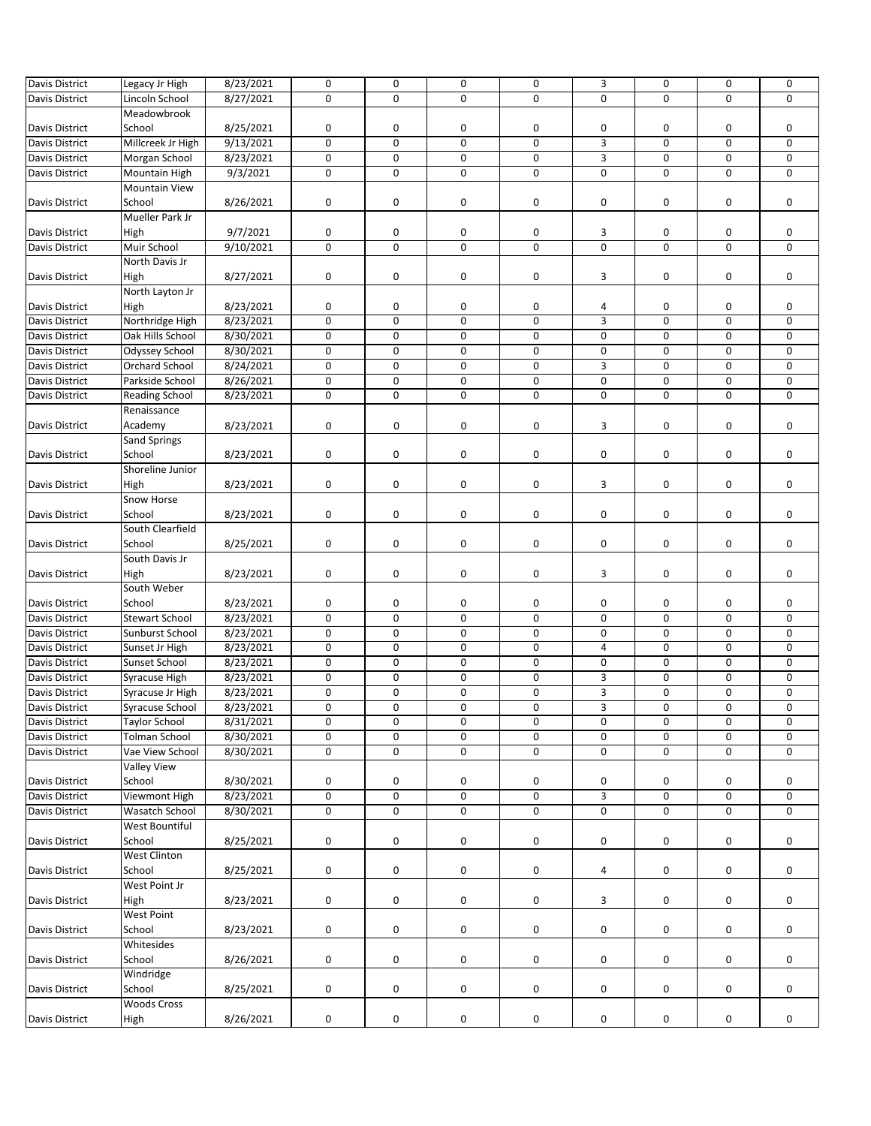| <b>Davis District</b> | Legacy Jr High        | 8/23/2021 | $\mathbf 0$ | 0           | 0           | 0 | 3           | 0           | 0           | 0           |
|-----------------------|-----------------------|-----------|-------------|-------------|-------------|---|-------------|-------------|-------------|-------------|
|                       |                       |           | $\mathbf 0$ | $\mathbf 0$ | $\Omega$    | 0 | $\mathbf 0$ | $\mathbf 0$ | $\mathbf 0$ | $\mathbf 0$ |
| Davis District        | Lincoln School        | 8/27/2021 |             |             |             |   |             |             |             |             |
|                       | Meadowbrook           |           |             |             |             |   |             |             |             |             |
| Davis District        | School                | 8/25/2021 | 0           | 0           | 0           | 0 | 0           | 0           | 0           | 0           |
| Davis District        | Millcreek Jr High     | 9/13/2021 | 0           | 0           | 0           | 0 | 3           | 0           | 0           | 0           |
| Davis District        | Morgan School         | 8/23/2021 | $\mathbf 0$ | 0           | 0           | 0 | 3           | 0           | 0           | $\mathbf 0$ |
| Davis District        | Mountain High         | 9/3/2021  | 0           | 0           | 0           | 0 | $\mathbf 0$ | 0           | 0           | $\mathbf 0$ |
|                       | <b>Mountain View</b>  |           |             |             |             |   |             |             |             |             |
| Davis District        | School                | 8/26/2021 | $\mathbf 0$ | 0           | 0           | 0 | 0           | 0           | 0           | 0           |
|                       |                       |           |             |             |             |   |             |             |             |             |
|                       | Mueller Park Jr       |           |             |             |             |   |             |             |             |             |
| Davis District        | High                  | 9/7/2021  | 0           | 0           | 0           | 0 | 3           | 0           | 0           | 0           |
| Davis District        | Muir School           | 9/10/2021 | 0           | 0           | 0           | 0 | 0           | 0           | 0           | $\mathbf 0$ |
|                       | North Davis Jr        |           |             |             |             |   |             |             |             |             |
| Davis District        | High                  | 8/27/2021 | 0           | 0           | 0           | 0 | 3           | 0           | 0           | 0           |
|                       | North Layton Jr       |           |             |             |             |   |             |             |             |             |
| Davis District        | High                  | 8/23/2021 | 0           | 0           | 0           | 0 | 4           | 0           | 0           | 0           |
| Davis District        | Northridge High       | 8/23/2021 | $\pmb{0}$   | 0           | 0           | 0 | 3           | 0           | 0           | 0           |
|                       |                       |           | 0           | $\mathbf 0$ | $\mathbf 0$ | 0 | $\mathbf 0$ | 0           | 0           | 0           |
| Davis District        | Oak Hills School      | 8/30/2021 |             |             |             |   |             |             |             |             |
| Davis District        | Odyssey School        | 8/30/2021 | $\pmb{0}$   | 0           | 0           | 0 | 0           | 0           | 0           | 0           |
| Davis District        | <b>Orchard School</b> | 8/24/2021 | 0           | 0           | 0           | 0 | 3           | 0           | 0           | 0           |
| Davis District        | Parkside School       | 8/26/2021 | 0           | 0           | 0           | 0 | 0           | 0           | 0           | 0           |
| Davis District        | <b>Reading School</b> | 8/23/2021 | $\mathbf 0$ | $\mathbf 0$ | 0           | 0 | $\mathbf 0$ | 0           | 0           | 0           |
|                       | Renaissance           |           |             |             |             |   |             |             |             |             |
| Davis District        | Academy               | 8/23/2021 | 0           | 0           | 0           | 0 | 3           | 0           | 0           | 0           |
|                       |                       |           |             |             |             |   |             |             |             |             |
|                       | Sand Springs          |           |             |             |             |   |             |             |             |             |
| Davis District        | School                | 8/23/2021 | $\pmb{0}$   | 0           | 0           | 0 | 0           | 0           | 0           | 0           |
|                       | Shoreline Junior      |           |             |             |             |   |             |             |             |             |
| Davis District        | High                  | 8/23/2021 | 0           | 0           | 0           | 0 | 3           | 0           | 0           | 0           |
|                       | Snow Horse            |           |             |             |             |   |             |             |             |             |
| Davis District        | School                | 8/23/2021 | 0           | 0           | $\pmb{0}$   | 0 | 0           | 0           | 0           | 0           |
|                       | South Clearfield      |           |             |             |             |   |             |             |             |             |
| Davis District        | School                | 8/25/2021 | 0           | 0           | 0           | 0 | 0           | 0           | 0           | 0           |
|                       |                       |           |             |             |             |   |             |             |             |             |
|                       | South Davis Jr        |           |             |             |             |   |             |             |             |             |
| Davis District        | High                  | 8/23/2021 | $\pmb{0}$   | 0           | 0           | 0 | 3           | 0           | 0           | 0           |
|                       | South Weber           |           |             |             |             |   |             |             |             |             |
| Davis District        | School                | 8/23/2021 | 0           | 0           | 0           | 0 | 0           | 0           | 0           | 0           |
| Davis District        | <b>Stewart School</b> | 8/23/2021 | $\mathbf 0$ | 0           | $\mathbf 0$ | 0 | 0           | 0           | 0           | $\mathbf 0$ |
| Davis District        | Sunburst School       | 8/23/2021 | $\pmb{0}$   | 0           | 0           | 0 | 0           | 0           | 0           | 0           |
| Davis District        | Sunset Jr High        | 8/23/2021 | $\mathbf 0$ | 0           | 0           | 0 | 4           | 0           | 0           | 0           |
|                       |                       |           | $\pmb{0}$   | 0           | 0           |   | 0           | 0           | 0           | 0           |
| Davis District        | Sunset School         | 8/23/2021 |             |             |             | 0 |             |             |             |             |
| Davis District        | Syracuse High         | 8/23/2021 | $\mathbf 0$ | 0           | $\mathbf 0$ | 0 | 3           | 0           | 0           | 0           |
| Davis District        | Syracuse Jr High      | 8/23/2021 | 0           | 0           | 0           | 0 | 3           | 0           | 0           | 0           |
| Davis District        | Syracuse School       | 8/23/2021 | $\mathbf 0$ | 0           | 0           | 0 | 3           | 0           | 0           | 0           |
| <b>Davis District</b> | <b>Taylor School</b>  | 8/31/2021 | 0           | 0           | 0           | 0 | $\pmb{0}$   | 0           | 0           | 0           |
| <b>Davis District</b> | <b>Tolman School</b>  | 8/30/2021 | 0           | 0           | 0           | 0 | 0           | 0           | 0           | 0           |
| <b>Davis District</b> | Vae View School       | 8/30/2021 | 0           | 0           | 0           | 0 | $\pmb{0}$   | 0           | 0           | 0           |
|                       | Valley View           |           |             |             |             |   |             |             |             |             |
|                       |                       |           |             |             |             |   |             |             |             |             |
| Davis District        | School                | 8/30/2021 | 0           | 0           | 0           | 0 | 0           | 0           | 0           | 0           |
| <b>Davis District</b> | <b>Viewmont High</b>  | 8/23/2021 | 0           | $\mathbf 0$ | $\mathbf 0$ | 0 | 3           | $\mathbf 0$ | 0           | 0           |
| Davis District        | Wasatch School        | 8/30/2021 | $\pmb{0}$   | 0           | 0           | 0 | 0           | 0           | 0           | 0           |
|                       | West Bountiful        |           |             |             |             |   |             |             |             |             |
| Davis District        | School                | 8/25/2021 | $\pmb{0}$   | 0           | 0           | 0 | $\pmb{0}$   | 0           | 0           | 0           |
|                       | West Clinton          |           |             |             |             |   |             |             |             |             |
| Davis District        | School                | 8/25/2021 | 0           | 0           | 0           | 0 | 4           | 0           | 0           | 0           |
|                       |                       |           |             |             |             |   |             |             |             |             |
|                       | West Point Jr         |           |             |             |             |   |             |             |             |             |
| Davis District        | High                  | 8/23/2021 | $\pmb{0}$   | 0           | 0           | 0 | 3           | 0           | 0           | 0           |
|                       | <b>West Point</b>     |           |             |             |             |   |             |             |             |             |
| Davis District        | School                | 8/23/2021 | $\pmb{0}$   | 0           | 0           | 0 | 0           | 0           | 0           | 0           |
|                       | Whitesides            |           |             |             |             |   |             |             |             |             |
| Davis District        | School                | 8/26/2021 | $\pmb{0}$   | 0           | 0           | 0 | $\pmb{0}$   | 0           | 0           | 0           |
|                       | Windridge             |           |             |             |             |   |             |             |             |             |
| Davis District        | School                | 8/25/2021 | 0           | 0           | 0           |   |             |             | 0           | 0           |
|                       |                       |           |             |             |             | 0 | 0           | 0           |             |             |
|                       | <b>Woods Cross</b>    |           |             |             |             |   |             |             |             |             |
| Davis District        | High                  | 8/26/2021 | 0           | 0           | 0           | 0 | 0           | 0           | 0           | 0           |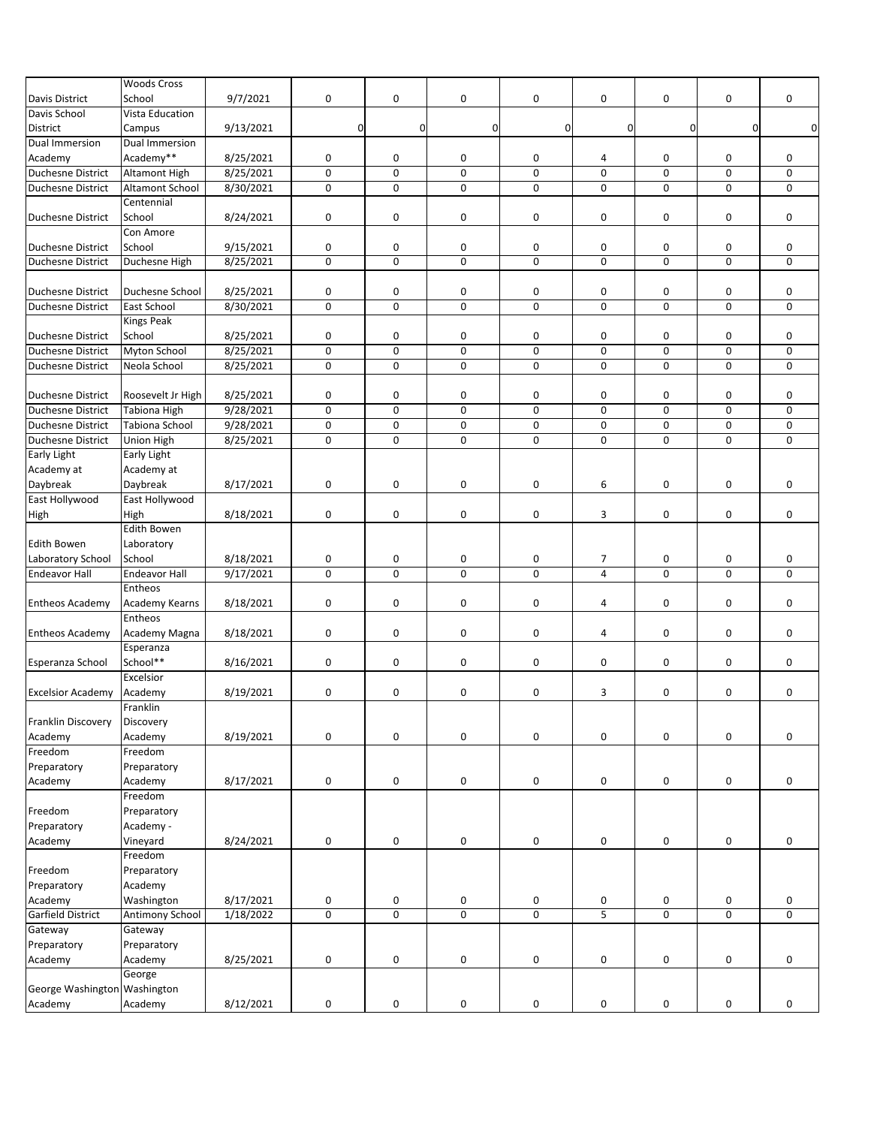|                              | <b>Woods Cross</b>     |           |                |             |                     |                     |                     |                     |                |             |
|------------------------------|------------------------|-----------|----------------|-------------|---------------------|---------------------|---------------------|---------------------|----------------|-------------|
| Davis District               | School                 | 9/7/2021  | $\mathbf 0$    | 0           | $\mathbf 0$         | 0                   | 0                   | 0                   | 0              | 0           |
| Davis School                 | Vista Education        |           |                |             |                     |                     |                     |                     |                |             |
| District                     | Campus                 | 9/13/2021 | 0              | $\mathbf 0$ | $\mathbf 0$         | 0                   | $\mathbf 0$         | 0                   | 0              | $\mathbf 0$ |
| Dual Immersion               | Dual Immersion         |           |                |             |                     |                     |                     |                     |                |             |
|                              | Academy**              |           | 0              | 0           | 0                   | 0                   |                     | 0                   | 0              | 0           |
| Academy                      |                        | 8/25/2021 |                |             |                     |                     | 4                   |                     |                |             |
| <b>Duchesne District</b>     | <b>Altamont High</b>   | 8/25/2021 | $\mathbf 0$    | $\mathbf 0$ | $\mathbf 0$         | 0                   | $\mathbf 0$         | $\mathsf{O}\xspace$ | 0              | 0           |
| <b>Duchesne District</b>     | <b>Altamont School</b> | 8/30/2021 | 0              | 0           | $\mathbf 0$         | 0                   | $\mathbf 0$         | 0                   | 0              | 0           |
|                              | Centennial             |           |                |             |                     |                     |                     |                     |                |             |
| <b>Duchesne District</b>     | School                 | 8/24/2021 | $\mathbf 0$    | 0           | 0                   | 0                   | 0                   | 0                   | 0              | 0           |
|                              | Con Amore              |           |                |             |                     |                     |                     |                     |                |             |
| <b>Duchesne District</b>     | School                 | 9/15/2021 | $\mathbf 0$    | 0           | 0                   | 0                   | 0                   | 0                   | 0              | 0           |
| <b>Duchesne District</b>     | Duchesne High          | 8/25/2021 | $\mathbf 0$    | $\mathbf 0$ | $\mathbf 0$         | 0                   | $\pmb{0}$           | $\mathsf 0$         | 0              | 0           |
|                              |                        |           |                |             |                     |                     |                     |                     |                |             |
| <b>Duchesne District</b>     | Duchesne School        | 8/25/2021 | 0              | 0           | 0                   | $\pmb{0}$           | $\pmb{0}$           | 0                   | 0              | 0           |
| Duchesne District            | East School            | 8/30/2021 | $\mathbf 0$    | 0           | $\mathbf 0$         | 0                   | $\mathbf 0$         | $\mathbf 0$         | 0              | 0           |
|                              | <b>Kings Peak</b>      |           |                |             |                     |                     |                     |                     |                |             |
| <b>Duchesne District</b>     | School                 | 8/25/2021 | 0              | 0           | 0                   | 0                   | 0                   | 0                   | 0              | 0           |
| <b>Duchesne District</b>     | Myton School           | 8/25/2021 | $\mathbf 0$    | $\mathbf 0$ | $\mathbf 0$         | 0                   | 0                   | 0                   | 0              | 0           |
|                              |                        |           |                |             | $\mathbf 0$         |                     |                     |                     |                |             |
| <b>Duchesne District</b>     | Neola School           | 8/25/2021 | 0              | 0           |                     | $\mathsf{O}\xspace$ | $\mathsf{O}\xspace$ | 0                   | 0              | 0           |
|                              |                        |           |                |             |                     |                     |                     |                     |                |             |
| <b>Duchesne District</b>     | Roosevelt Jr High      | 8/25/2021 | 0              | 0           | 0                   | 0                   | 0                   | 0                   | 0              | 0           |
| <b>Duchesne District</b>     | <b>Tabiona High</b>    | 9/28/2021 | $\mathbf 0$    | $\mathbf 0$ | $\mathbf 0$         | 0                   | 0                   | 0                   | 0              | 0           |
| <b>Duchesne District</b>     | Tabiona School         | 9/28/2021 | 0              | 0           | 0                   | 0                   | 0                   | 0                   | 0              | 0           |
| Duchesne District            | <b>Union High</b>      | 8/25/2021 | $\mathbf 0$    | $\mathbf 0$ | $\Omega$            | 0                   | $\mathbf 0$         | 0                   | 0              | 0           |
| <b>Early Light</b>           | Early Light            |           |                |             |                     |                     |                     |                     |                |             |
| Academy at                   | Academy at             |           |                |             |                     |                     |                     |                     |                |             |
| Daybreak                     | Daybreak               | 8/17/2021 | 0              | 0           | 0                   | 0                   | 6                   | 0                   | 0              | 0           |
| East Hollywood               | East Hollywood         |           |                |             |                     |                     |                     |                     |                |             |
| High                         | High                   | 8/18/2021 | 0              | 0           | 0                   | 0                   | 3                   | 0                   | 0              | 0           |
|                              | <b>Edith Bowen</b>     |           |                |             |                     |                     |                     |                     |                |             |
| Edith Bowen                  |                        |           |                |             |                     |                     |                     |                     |                |             |
|                              | Laboratory             |           |                |             |                     |                     |                     |                     |                |             |
| Laboratory School            | School                 | 8/18/2021 | $\mathbf 0$    | 0           | 0                   | 0                   | $\overline{7}$      | 0                   | 0              | 0           |
| <b>Endeavor Hall</b>         | <b>Endeavor Hall</b>   | 9/17/2021 | $\mathbf 0$    | $\mathbf 0$ | $\mathbf 0$         | 0                   | $\overline{4}$      | 0                   | 0              | 0           |
|                              | Entheos                |           |                |             |                     |                     |                     |                     |                |             |
| <b>Entheos Academy</b>       | Academy Kearns         | 8/18/2021 | $\mathbf 0$    | 0           | 0                   | 0                   | 4                   | 0                   | 0              | 0           |
|                              | Entheos                |           |                |             |                     |                     |                     |                     |                |             |
| <b>Entheos Academy</b>       | Academy Magna          | 8/18/2021 | 0              | $\mathbf 0$ | 0                   | 0                   | 4                   | 0                   | 0              | 0           |
|                              | Esperanza              |           |                |             |                     |                     |                     |                     |                |             |
| Esperanza School             | School**               | 8/16/2021 | $\mathbf 0$    | $\mathbf 0$ | $\mathbf 0$         | 0                   | 0                   | 0                   | 0              | 0           |
|                              | Excelsior              |           |                |             |                     |                     |                     |                     |                |             |
| <b>Excelsior Academy</b>     | Academy                | 8/19/2021 | $\pmb{0}$      | 0           | 0                   | 0                   | 3                   | 0                   | 0              | 0           |
|                              | Franklin               |           |                |             |                     |                     |                     |                     |                |             |
| Franklin Discovery           | Discovery              |           |                |             |                     |                     |                     |                     |                |             |
| Academy                      |                        |           |                |             |                     |                     |                     |                     |                | 0           |
|                              | Academy                | 8/19/2021 | 0              | 0           | 0                   | 0                   | 0                   | 0                   | 0              |             |
| Freedom                      | Freedom                |           |                |             |                     |                     |                     |                     |                |             |
| Preparatory                  | Preparatory            |           |                |             |                     |                     |                     |                     |                |             |
| Academy                      | Academy                | 8/17/2021 | $\pmb{0}$      | 0           | 0                   | 0                   | 0                   | 0                   | 0              | 0           |
|                              | Freedom                |           |                |             |                     |                     |                     |                     |                |             |
| Freedom                      | Preparatory            |           |                |             |                     |                     |                     |                     |                |             |
| Preparatory                  | Academy -              |           |                |             |                     |                     |                     |                     |                |             |
| Academy                      | Vineyard               | 8/24/2021 | $\pmb{0}$      | 0           | $\pmb{0}$           | 0                   | 0                   | 0                   | 0              | 0           |
|                              | Freedom                |           |                |             |                     |                     |                     |                     |                |             |
| Freedom                      | Preparatory            |           |                |             |                     |                     |                     |                     |                |             |
| Preparatory                  | Academy                |           |                |             |                     |                     |                     |                     |                |             |
| Academy                      | Washington             | 8/17/2021 | $\pmb{0}$      | 0           | 0                   | 0                   | 0                   | 0                   | 0              | 0           |
|                              |                        |           |                |             |                     |                     |                     |                     |                |             |
| <b>Garfield District</b>     | Antimony School        | 1/18/2022 | $\overline{0}$ | $\mathbf 0$ | $\overline{0}$      | $\overline{0}$      | $\overline{5}$      | $\mathsf{O}\xspace$ | $\overline{0}$ | 0           |
| Gateway                      | Gateway                |           |                |             |                     |                     |                     |                     |                |             |
| Preparatory                  | Preparatory            |           |                |             |                     |                     |                     |                     |                |             |
| Academy                      | Academy                | 8/25/2021 | $\pmb{0}$      | 0           | $\mathsf{O}\xspace$ | 0                   | 0                   | $\mathsf{O}\xspace$ | 0              | 0           |
|                              | George                 |           |                |             |                     |                     |                     |                     |                |             |
| George Washington Washington |                        |           |                |             |                     |                     |                     |                     |                |             |
| Academy                      | Academy                | 8/12/2021 | $\pmb{0}$      | $\mathsf 0$ | $\mathsf{O}\xspace$ | 0                   | 0                   | $\mathsf{O}\xspace$ | 0              | 0           |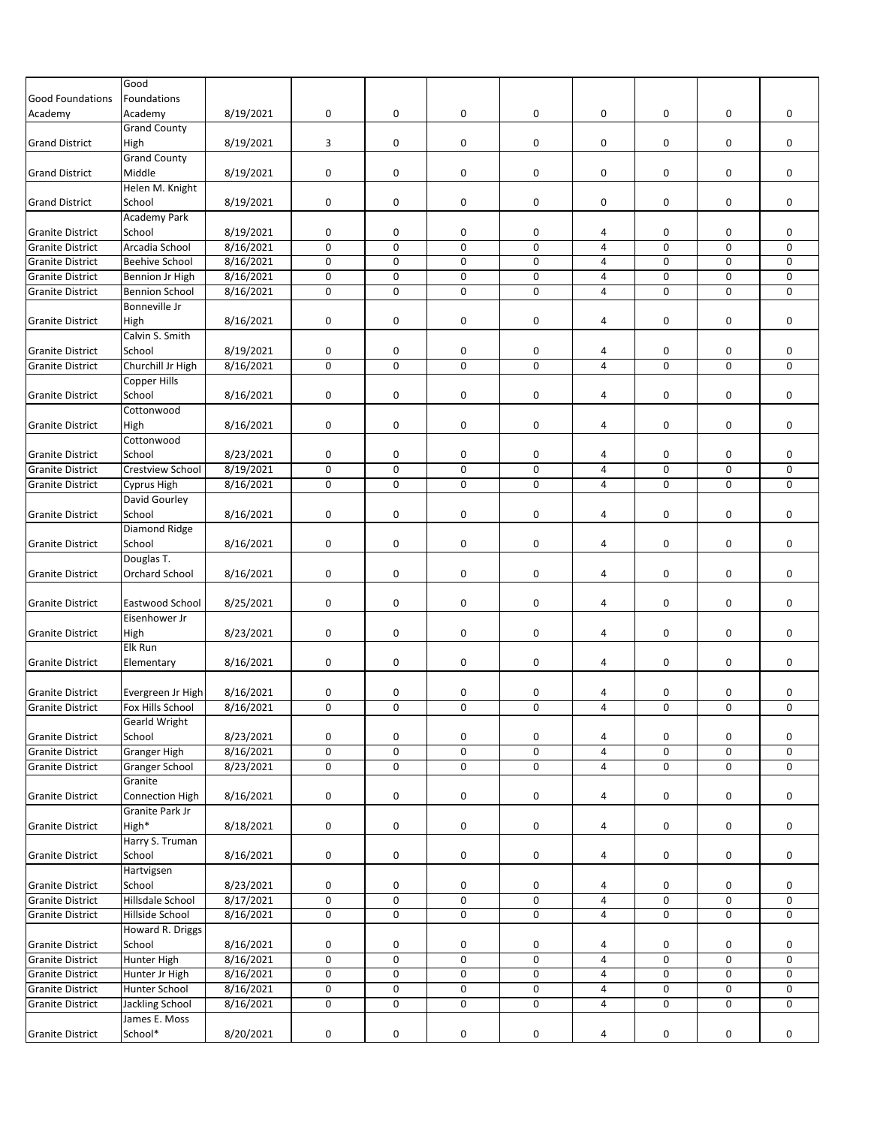|                         | Good                    |           |             |                |             |                |                |             |             |             |
|-------------------------|-------------------------|-----------|-------------|----------------|-------------|----------------|----------------|-------------|-------------|-------------|
| <b>Good Foundations</b> | Foundations             |           |             |                |             |                |                |             |             |             |
| Academy                 | Academy                 | 8/19/2021 | 0           | 0              | 0           | 0              | 0              | 0           | 0           | 0           |
|                         | <b>Grand County</b>     |           |             |                |             |                |                |             |             |             |
| <b>Grand District</b>   | High                    | 8/19/2021 | 3           | 0              | 0           | 0              | 0              | 0           | 0           | 0           |
|                         | <b>Grand County</b>     |           |             |                |             |                |                |             |             |             |
| <b>Grand District</b>   | Middle                  | 8/19/2021 | 0           | 0              | 0           | 0              | 0              | 0           | 0           | 0           |
|                         | Helen M. Knight         |           |             |                |             |                |                |             |             |             |
| <b>Grand District</b>   | School                  | 8/19/2021 | $\mathsf 0$ | 0              | 0           | 0              | 0              | 0           | 0           | 0           |
|                         | <b>Academy Park</b>     |           |             |                |             |                |                |             |             |             |
| <b>Granite District</b> | School                  | 8/19/2021 | 0           | 0              | 0           | 0              | 4              | 0           | 0           | 0           |
| <b>Granite District</b> | Arcadia School          | 8/16/2021 | $\mathsf 0$ | 0              | 0           | 0              | 4              | 0           | 0           | 0           |
|                         |                         | 8/16/2021 | $\mathsf 0$ | 0              | 0           | 0              | 4              | 0           | 0           | $\mathbf 0$ |
| <b>Granite District</b> | <b>Beehive School</b>   | 8/16/2021 |             | 0              |             |                |                |             |             |             |
| <b>Granite District</b> | Bennion Jr High         |           | $\mathsf 0$ |                | 0           | 0              | 4              | 0           | 0           | 0           |
| <b>Granite District</b> | <b>Bennion School</b>   | 8/16/2021 | 0           | 0              | $\mathbf 0$ | 0              | 4              | 0           | 0           | $\mathbf 0$ |
|                         | Bonneville Jr           |           |             |                |             |                |                |             |             |             |
| <b>Granite District</b> | High                    | 8/16/2021 | $\mathsf 0$ | 0              | 0           | 0              | 4              | 0           | 0           | 0           |
|                         | Calvin S. Smith         |           |             |                |             |                |                |             |             |             |
| <b>Granite District</b> | School                  | 8/19/2021 | 0           | 0              | 0           | 0              | 4              | 0           | 0           | 0           |
| <b>Granite District</b> | Churchill Jr High       | 8/16/2021 | $\mathsf 0$ | 0              | $\pmb{0}$   | 0              | $\overline{4}$ | $\mathsf 0$ | $\pmb{0}$   | 0           |
|                         | Copper Hills            |           |             |                |             |                |                |             |             |             |
| <b>Granite District</b> | School                  | 8/16/2021 | 0           | 0              | 0           | 0              | 4              | 0           | 0           | 0           |
|                         | Cottonwood              |           |             |                |             |                |                |             |             |             |
| <b>Granite District</b> | High                    | 8/16/2021 | 0           | 0              | 0           | 0              | 4              | 0           | 0           | 0           |
|                         | Cottonwood              |           |             |                |             |                |                |             |             |             |
| <b>Granite District</b> | School                  | 8/23/2021 | 0           | 0              | 0           | 0              | 4              | 0           | 0           | 0           |
| <b>Granite District</b> | <b>Crestview School</b> | 8/19/2021 | $\mathsf 0$ | 0              | $\pmb{0}$   | 0              | 4              | $\pmb{0}$   | 0           | 0           |
| <b>Granite District</b> | <b>Cyprus High</b>      | 8/16/2021 | $\mathsf 0$ | 0              | 0           | 0              | $\overline{4}$ | 0           | 0           | 0           |
|                         | David Gourley           |           |             |                |             |                |                |             |             |             |
| <b>Granite District</b> | School                  | 8/16/2021 | 0           | 0              | 0           | 0              | 4              | 0           | 0           | 0           |
|                         | Diamond Ridge           |           |             |                |             |                |                |             |             |             |
| <b>Granite District</b> | School                  | 8/16/2021 | $\mathsf 0$ | 0              | 0           | 0              | 4              | 0           | 0           | 0           |
|                         | Douglas T.              |           |             |                |             |                |                |             |             |             |
| <b>Granite District</b> | Orchard School          | 8/16/2021 | 0           | 0              | 0           | 0              | 4              | 0           | 0           | 0           |
|                         |                         |           |             |                |             |                |                |             |             |             |
|                         | Eastwood School         | 8/25/2021 | $\mathsf 0$ | 0              | 0           | 0              | 4              | 0           | 0           | 0           |
| <b>Granite District</b> | Eisenhower Jr           |           |             |                |             |                |                |             |             |             |
|                         |                         |           |             |                |             | 0              |                |             |             |             |
| <b>Granite District</b> | High                    | 8/23/2021 | 0           | 0              | 0           |                | 4              | 0           | 0           | 0           |
|                         | <b>Elk Run</b>          |           |             |                |             |                |                |             |             |             |
| <b>Granite District</b> | Elementary              | 8/16/2021 | $\mathsf 0$ | 0              | 0           | 0              | 4              | 0           | 0           | 0           |
|                         |                         |           |             |                |             |                |                |             |             |             |
| <b>Granite District</b> | Evergreen Jr High       | 8/16/2021 | 0           | 0              | 0           | 0              | 4              | 0           | 0           | 0           |
| <b>Granite District</b> | Fox Hills School        | 8/16/2021 | $\mathbf 0$ | 0              | $\mathbf 0$ | 0              | $\overline{4}$ | $\mathbf 0$ | $\mathbf 0$ | 0           |
|                         | <b>Gearld Wright</b>    |           |             |                |             |                |                |             |             |             |
| <b>Granite District</b> | School                  | 8/23/2021 | 0           | 0              | 0           | 0              | 4              | 0           | 0           | 0           |
| <b>Granite District</b> | <b>Granger High</b>     | 8/16/2021 | $\mathsf 0$ | 0              | 0           | 0              | 4              | 0           | 0           | 0           |
| <b>Granite District</b> | <b>Granger School</b>   | 8/23/2021 | $\pmb{0}$   | 0              | 0           | 0              | 4              | 0           | 0           | 0           |
|                         | Granite                 |           |             |                |             |                |                |             |             |             |
| <b>Granite District</b> | <b>Connection High</b>  | 8/16/2021 | $\mathsf 0$ | 0              | 0           | 0              | 4              | 0           | 0           | 0           |
|                         | <b>Granite Park Jr</b>  |           |             |                |             |                |                |             |             |             |
| <b>Granite District</b> | High*                   | 8/18/2021 | $\mathsf 0$ | 0              | 0           | 0              | 4              | 0           | 0           | 0           |
|                         | Harry S. Truman         |           |             |                |             |                |                |             |             |             |
| <b>Granite District</b> | School                  | 8/16/2021 | 0           | 0              | 0           | 0              | 4              | 0           | 0           | 0           |
|                         | Hartvigsen              |           |             |                |             |                |                |             |             |             |
| <b>Granite District</b> | School                  | 8/23/2021 | 0           | 0              | 0           | 0              | 4              | 0           | 0           | 0           |
| <b>Granite District</b> | Hillsdale School        | 8/17/2021 | $\mathsf 0$ | $\overline{0}$ | $\mathbf 0$ | $\overline{0}$ | 4              | $\mathbf 0$ | 0           | 0           |
| <b>Granite District</b> | Hillside School         | 8/16/2021 | $\pmb{0}$   | 0              | 0           | 0              | 4              | 0           | 0           | 0           |
|                         |                         |           |             |                |             |                |                |             |             |             |
|                         | Howard R. Driggs        |           |             |                |             |                |                |             |             |             |
| <b>Granite District</b> | School                  | 8/16/2021 | $\mathsf 0$ | 0              | 0           | 0              | 4              | 0           | 0           | 0           |
| <b>Granite District</b> | <b>Hunter High</b>      | 8/16/2021 | $\mathsf 0$ | $\mathbf 0$    | $\mathbf 0$ | 0              | $\overline{4}$ | $\pmb{0}$   | 0           | 0           |
| <b>Granite District</b> | Hunter Jr High          | 8/16/2021 | $\mathsf 0$ | 0              | 0           | 0              | 4              | 0           | 0           | 0           |
| <b>Granite District</b> | Hunter School           | 8/16/2021 | 0           | 0              | $\pmb{0}$   | 0              | 4              | 0           | 0           | 0           |
| <b>Granite District</b> | Jackling School         | 8/16/2021 | 0           | 0              | $\pmb{0}$   | 0              | 4              | 0           | 0           | 0           |
|                         | James E. Moss           |           |             |                |             |                |                |             |             |             |
| <b>Granite District</b> | School*                 | 8/20/2021 | $\mathsf 0$ | 0              | 0           | 0              | 4              | 0           | 0           | 0           |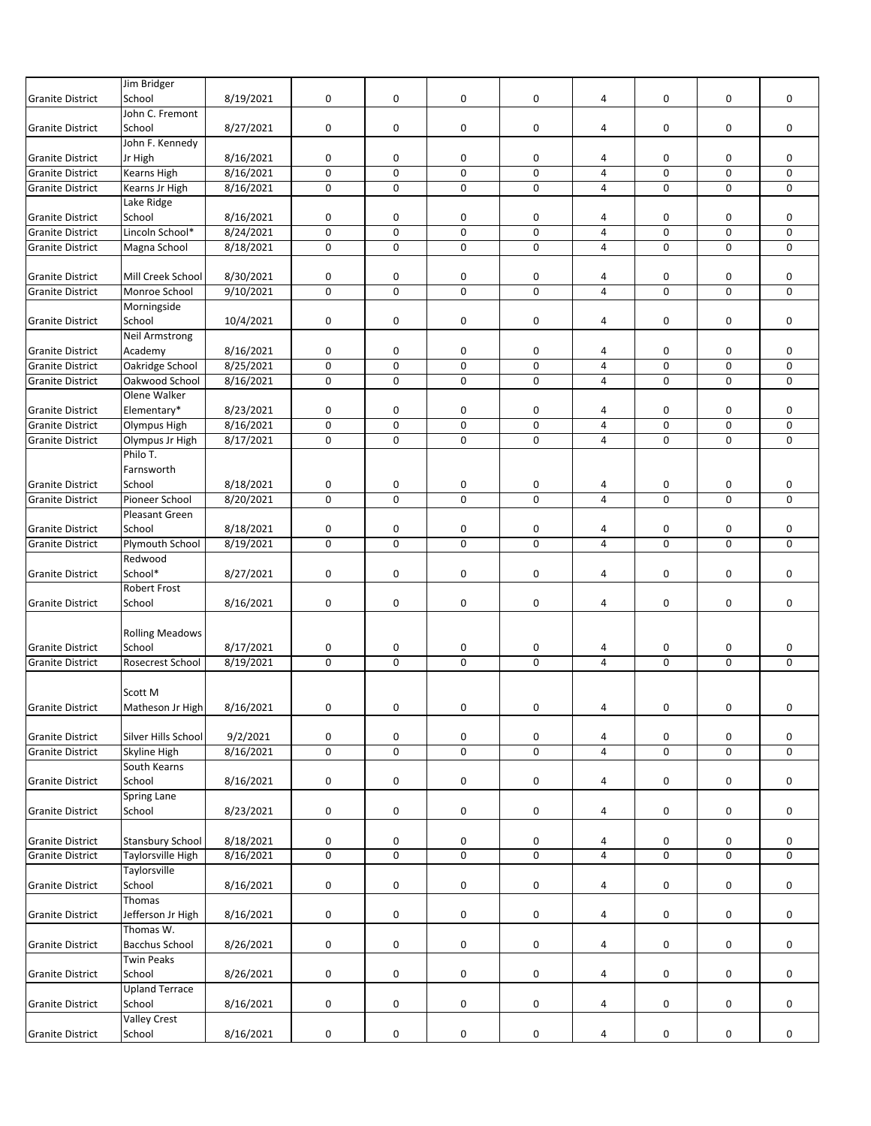|                         | Jim Bridger              |           |             |             |             |   |                |             |             |             |
|-------------------------|--------------------------|-----------|-------------|-------------|-------------|---|----------------|-------------|-------------|-------------|
| <b>Granite District</b> | School                   | 8/19/2021 | 0           | 0           | 0           | 0 | 4              | 0           | 0           | 0           |
|                         | John C. Fremont          |           |             |             |             |   |                |             |             |             |
| <b>Granite District</b> | School                   | 8/27/2021 | 0           | 0           | 0           | 0 | 4              | 0           | 0           | 0           |
|                         | John F. Kennedy          |           |             |             |             |   |                |             |             |             |
| <b>Granite District</b> | Jr High                  | 8/16/2021 | 0           | 0           | 0           | 0 | 4              | 0           | 0           | 0           |
| Granite District        | Kearns High              | 8/16/2021 | $\mathbf 0$ | 0           | $\pmb{0}$   | 0 | $\overline{4}$ | 0           | 0           | 0           |
| <b>Granite District</b> | Kearns Jr High           | 8/16/2021 | $\mathbf 0$ | 0           | $\mathbf 0$ | 0 | 4              | 0           | 0           | 0           |
|                         | Lake Ridge               |           |             |             |             |   |                |             |             |             |
| <b>Granite District</b> | School                   | 8/16/2021 | 0           | 0           | 0           | 0 | 4              | 0           | 0           | 0           |
| <b>Granite District</b> | Lincoln School*          | 8/24/2021 | $\pmb{0}$   | 0           | $\mathsf 0$ | 0 | $\overline{4}$ | 0           | 0           | 0           |
| <b>Granite District</b> | Magna School             | 8/18/2021 | $\pmb{0}$   | 0           | 0           | 0 | 4              | 0           | 0           | 0           |
|                         |                          |           |             |             |             |   |                |             |             |             |
| <b>Granite District</b> | Mill Creek School        | 8/30/2021 | 0           | 0           | 0           | 0 | 4              | 0           | 0           | 0           |
| <b>Granite District</b> | Monroe School            | 9/10/2021 | $\mathbf 0$ | 0           | $\mathbf 0$ | 0 | 4              | 0           | 0           | $\mathbf 0$ |
|                         | Morningside              |           |             |             |             |   |                |             |             |             |
| <b>Granite District</b> | School                   | 10/4/2021 | $\mathbf 0$ | 0           | 0           | 0 | 4              | $\pmb{0}$   | 0           | 0           |
|                         | <b>Neil Armstrong</b>    |           |             |             |             |   |                |             |             |             |
| <b>Granite District</b> |                          |           |             | 0           | 0           |   |                |             |             | 0           |
|                         | Academy                  | 8/16/2021 | 0           |             |             | 0 | 4              | 0           | 0           |             |
| <b>Granite District</b> | Oakridge School          | 8/25/2021 | $\mathsf 0$ | 0           | 0           | 0 | $\overline{4}$ | 0           | 0           | 0           |
| <b>Granite District</b> | Oakwood School           | 8/16/2021 | $\mathbf 0$ | 0           | $\mathbf 0$ | 0 | 4              | 0           | 0           | 0           |
|                         | Olene Walker             |           |             |             |             |   |                |             |             |             |
| <b>Granite District</b> | Elementary*              | 8/23/2021 | 0           | 0           | 0           | 0 | 4              | 0           | 0           | 0           |
| <b>Granite District</b> | Olympus High             | 8/16/2021 | $\pmb{0}$   | 0           | 0           | 0 | $\overline{4}$ | 0           | 0           | 0           |
| <b>Granite District</b> | Olympus Jr High          | 8/17/2021 | 0           | $\mathbf 0$ | $\mathbf 0$ | 0 | $\overline{4}$ | $\mathbf 0$ | 0           | 0           |
|                         | Philo T.                 |           |             |             |             |   |                |             |             |             |
|                         | Farnsworth               |           |             |             |             |   |                |             |             |             |
| <b>Granite District</b> | School                   | 8/18/2021 | 0           | 0           | 0           | 0 | 4              | 0           | 0           | 0           |
| <b>Granite District</b> | Pioneer School           | 8/20/2021 | $\mathbf 0$ | $\mathbf 0$ | $\mathbf 0$ | 0 | $\overline{4}$ | 0           | $\mathbf 0$ | 0           |
|                         | Pleasant Green           |           |             |             |             |   |                |             |             |             |
| <b>Granite District</b> | School                   | 8/18/2021 | 0           | 0           | 0           | 0 | 4              | 0           | 0           | 0           |
| <b>Granite District</b> | Plymouth School          | 8/19/2021 | $\mathbf 0$ | $\mathbf 0$ | $\mathbf 0$ | 0 | $\overline{4}$ | 0           | 0           | 0           |
|                         | Redwood                  |           |             |             |             |   |                |             |             |             |
| <b>Granite District</b> | School*                  | 8/27/2021 | 0           | 0           | 0           | 0 | 4              | 0           | 0           | 0           |
|                         | <b>Robert Frost</b>      |           |             |             |             |   |                |             |             |             |
| <b>Granite District</b> | School                   | 8/16/2021 | 0           | 0           | 0           | 0 | 4              | 0           | 0           | 0           |
|                         |                          |           |             |             |             |   |                |             |             |             |
|                         | <b>Rolling Meadows</b>   |           |             |             |             |   |                |             |             |             |
| <b>Granite District</b> | School                   | 8/17/2021 | 0           | 0           | 0           | 0 | 4              | 0           | 0           | 0           |
| <b>Granite District</b> | Rosecrest School         | 8/19/2021 | $\mathbf 0$ | $\Omega$    | 0           | 0 | $\overline{4}$ | 0           | $\Omega$    | $\Omega$    |
|                         |                          |           |             |             |             |   |                |             |             |             |
|                         | Scott M                  |           |             |             |             |   |                |             |             |             |
| <b>Granite District</b> | Matheson Jr High         | 8/16/2021 | $\mathbf 0$ | 0           | 0           | 0 | 4              | $\mathbf 0$ | 0           | $\mathbf 0$ |
|                         |                          |           |             |             |             |   |                |             |             |             |
| <b>Granite District</b> | Silver Hills School      | 9/2/2021  | 0           | 0           | 0           | 0 | 4              | 0           | 0           | $\mathbf 0$ |
| <b>Granite District</b> | Skyline High             | 8/16/2021 | $\pmb{0}$   | 0           | 0           | 0 | $\sqrt{4}$     | 0           | 0           | 0           |
|                         | South Kearns             |           |             |             |             |   |                |             |             |             |
| <b>Granite District</b> | School                   | 8/16/2021 | $\pmb{0}$   | 0           | $\pmb{0}$   | 0 | 4              | 0           | 0           | 0           |
|                         | Spring Lane              |           |             |             |             |   |                |             |             |             |
| <b>Granite District</b> | School                   | 8/23/2021 | $\pmb{0}$   | 0           | 0           | 0 | 4              | 0           | 0           | 0           |
|                         |                          |           |             |             |             |   |                |             |             |             |
| <b>Granite District</b> | <b>Stansbury School</b>  | 8/18/2021 | $\pmb{0}$   | 0           | 0           |   | 4              |             |             | 0           |
| <b>Granite District</b> | <b>Taylorsville High</b> |           | $\mathsf 0$ | 0           | $\mathbf 0$ | 0 | $\overline{4}$ | 0<br>0      | 0<br>0      |             |
|                         |                          | 8/16/2021 |             |             |             | 0 |                |             |             | 0           |
|                         | Taylorsville             |           |             |             |             |   |                |             |             |             |
| <b>Granite District</b> | School                   | 8/16/2021 | 0           | 0           | 0           | 0 | 4              | 0           | 0           | 0           |
|                         | Thomas                   |           |             |             |             |   |                |             |             |             |
| <b>Granite District</b> | Jefferson Jr High        | 8/16/2021 | 0           | 0           | 0           | 0 | 4              | 0           | 0           | 0           |
|                         | Thomas W.                |           |             |             |             |   |                |             |             |             |
| <b>Granite District</b> | <b>Bacchus School</b>    | 8/26/2021 | 0           | 0           | 0           | 0 | $\overline{4}$ | 0           | 0           | 0           |
|                         | <b>Twin Peaks</b>        |           |             |             |             |   |                |             |             |             |
| <b>Granite District</b> | School                   | 8/26/2021 | 0           | 0           | 0           | 0 | 4              | 0           | 0           | 0           |
|                         | <b>Upland Terrace</b>    |           |             |             |             |   |                |             |             |             |
| <b>Granite District</b> | School                   | 8/16/2021 | $\pmb{0}$   | 0           | 0           | 0 | 4              | 0           | 0           | 0           |
|                         | <b>Valley Crest</b>      |           |             |             |             |   |                |             |             |             |
| <b>Granite District</b> | School                   | 8/16/2021 | $\pmb{0}$   | 0           | 0           | 0 | 4              | 0           | 0           | 0           |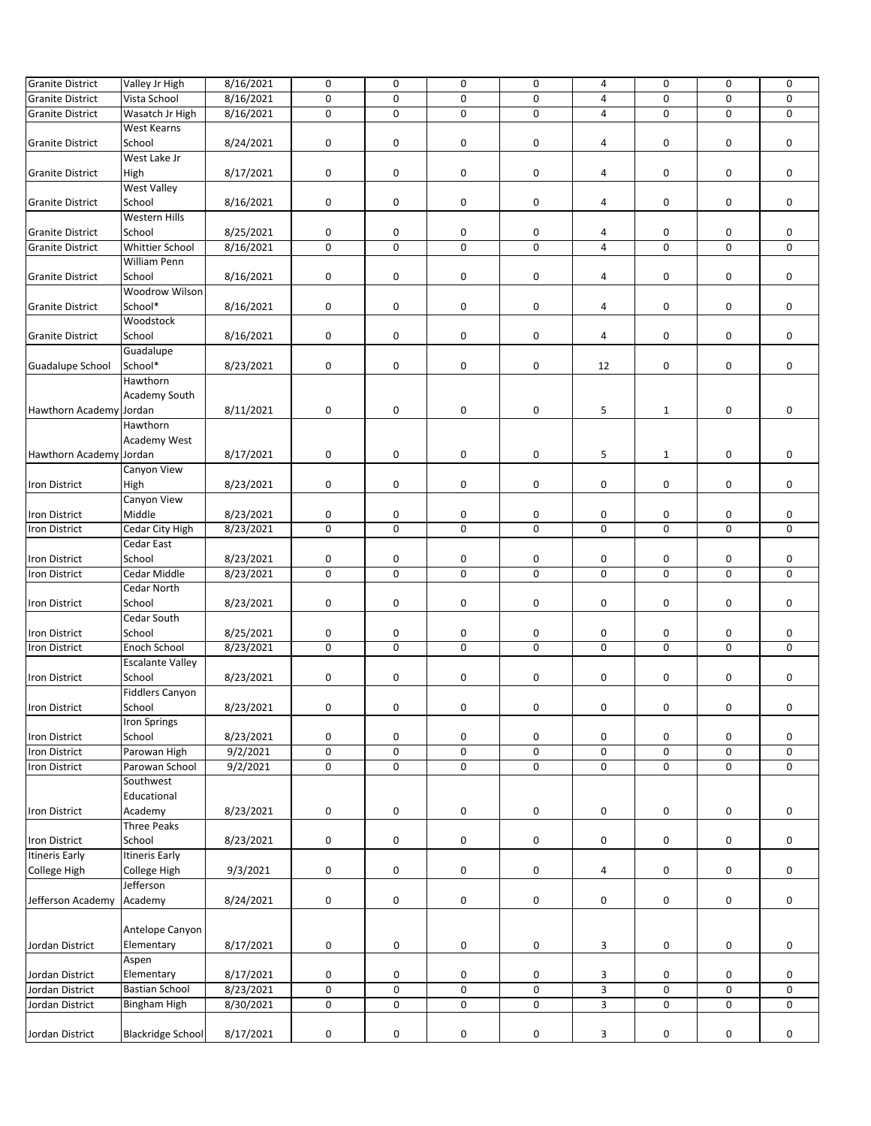| <b>Granite District</b> | Valley Jr High           | 8/16/2021 | $\mathbf 0$ | $\mathbf 0$ | 0           | 0 | 4              | 0            | 0           | $\mathbf 0$ |
|-------------------------|--------------------------|-----------|-------------|-------------|-------------|---|----------------|--------------|-------------|-------------|
| <b>Granite District</b> | Vista School             | 8/16/2021 | 0           | $\mathbf 0$ | 0           | 0 | 4              | 0            | 0           | $\mathbf 0$ |
| <b>Granite District</b> | Wasatch Jr High          | 8/16/2021 | $\pmb{0}$   | $\mathbf 0$ | $\mathbf 0$ | 0 | 4              | $\mathbf 0$  | $\mathbf 0$ | 0           |
|                         | West Kearns              |           |             |             |             |   |                |              |             |             |
| <b>Granite District</b> | School                   | 8/24/2021 | 0           | 0           | 0           | 0 | 4              | 0            | 0           | 0           |
|                         | West Lake Jr             |           |             |             |             |   |                |              |             |             |
| <b>Granite District</b> | High                     | 8/17/2021 | 0           | 0           | 0           | 0 | 4              | 0            | 0           | 0           |
|                         | <b>West Valley</b>       |           |             |             |             |   |                |              |             |             |
| <b>Granite District</b> | School                   | 8/16/2021 | 0           | 0           | 0           | 0 | 4              | 0            | 0           | 0           |
|                         | Western Hills            |           |             |             |             |   |                |              |             |             |
| <b>Granite District</b> | School                   | 8/25/2021 | 0           | 0           | 0           | 0 | 4              | 0            | 0           | 0           |
| <b>Granite District</b> | <b>Whittier School</b>   | 8/16/2021 | 0           | $\mathbf 0$ | $\mathbf 0$ | 0 | $\overline{4}$ | $\mathbf 0$  | 0           | $\mathbf 0$ |
|                         | William Penn             |           |             |             |             |   |                |              |             |             |
| <b>Granite District</b> | School                   | 8/16/2021 | $\pmb{0}$   | 0           | 0           | 0 | 4              | 0            | 0           | $\mathbf 0$ |
|                         | Woodrow Wilson           |           |             |             |             |   |                |              |             |             |
| <b>Granite District</b> | School*                  | 8/16/2021 | 0           | 0           | 0           | 0 | 4              | 0            | 0           | 0           |
|                         | Woodstock                |           |             |             |             |   |                |              |             |             |
| <b>Granite District</b> | School                   | 8/16/2021 | $\mathbf 0$ | 0           | 0           | 0 | 4              | 0            | 0           | $\mathbf 0$ |
|                         | Guadalupe                |           |             |             |             |   |                |              |             |             |
| Guadalupe School        | School*                  | 8/23/2021 | $\pmb{0}$   | 0           | 0           | 0 | 12             | 0            | 0           | $\mathbf 0$ |
|                         | Hawthorn                 |           |             |             |             |   |                |              |             |             |
|                         | Academy South            |           |             |             |             |   |                |              |             |             |
| Hawthorn Academy Jordan |                          | 8/11/2021 | $\pmb{0}$   | 0           | 0           | 0 | 5              | $\mathbf{1}$ | 0           | 0           |
|                         | Hawthorn                 |           |             |             |             |   |                |              |             |             |
|                         | Academy West             |           |             |             |             |   |                |              |             |             |
| Hawthorn Academy Jordan |                          | 8/17/2021 | $\pmb{0}$   | 0           | 0           | 0 | 5              | $\mathbf{1}$ | 0           | 0           |
|                         | Canyon View              |           |             |             |             |   |                |              |             |             |
| Iron District           | High                     |           | $\pmb{0}$   | 0           | 0           | 0 |                |              |             | 0           |
|                         | Canyon View              | 8/23/2021 |             |             |             |   | 0              | 0            | 0           |             |
|                         |                          |           |             |             |             |   |                |              |             |             |
| Iron District           | Middle                   | 8/23/2021 | 0           | 0           | 0           | 0 | 0              | 0            | 0           | 0           |
| Iron District           | Cedar City High          | 8/23/2021 | $\pmb{0}$   | $\mathbf 0$ | $\mathbf 0$ | 0 | 0              | 0            | 0           | 0           |
|                         | Cedar East               |           |             |             |             |   |                |              |             |             |
| Iron District           | School                   | 8/23/2021 | 0           | 0           | 0           | 0 | 0              | 0            | 0           | 0           |
| <b>Iron District</b>    | Cedar Middle             | 8/23/2021 | $\mathbf 0$ | $\Omega$    | $\Omega$    | 0 | $\mathbf 0$    | 0            | 0           | $\mathbf 0$ |
|                         | Cedar North              |           |             |             |             |   |                |              |             |             |
| Iron District           | School                   | 8/23/2021 | 0           | 0           | 0           | 0 | 0              | 0            | 0           | 0           |
|                         | Cedar South              |           |             |             |             |   |                |              |             |             |
| Iron District           | School                   | 8/25/2021 | 0           | 0           | 0           | 0 | 0              | 0            | 0           | 0           |
| <b>Iron District</b>    | Enoch School             | 8/23/2021 | 0           | $\mathbf 0$ | $\mathbf 0$ | 0 | $\mathbf 0$    | 0            | 0           | $\mathbf 0$ |
|                         | <b>Escalante Valley</b>  |           |             |             |             |   |                |              |             |             |
| <b>Iron District</b>    | School                   | 8/23/2021 | 0           | 0           | 0           | 0 | 0              | 0            | 0           | 0           |
|                         | <b>Fiddlers Canyon</b>   |           |             |             |             |   |                |              |             |             |
| <b>Iron District</b>    | School                   | 8/23/2021 | 0           | 0           | 0           | 0 | 0              | 0            | 0           | 0           |
|                         | <b>Iron Springs</b>      |           |             |             |             |   |                |              |             |             |
| Iron District           | School                   | 8/23/2021 | $\pmb{0}$   | 0           | 0           | 0 | 0              | $\pmb{0}$    | 0           | 0           |
| <b>Iron District</b>    | Parowan High             | 9/2/2021  | $\mathbf 0$ | 0           | $\pmb{0}$   | 0 | 0              | $\pmb{0}$    | 0           | 0           |
| <b>Iron District</b>    | Parowan School           | 9/2/2021  | 0           | 0           | 0           | 0 | $\pmb{0}$      | 0            | 0           | 0           |
|                         | Southwest                |           |             |             |             |   |                |              |             |             |
|                         | Educational              |           |             |             |             |   |                |              |             |             |
| <b>Iron District</b>    | Academy                  | 8/23/2021 | 0           | 0           | 0           | 0 | $\pmb{0}$      | 0            | 0           | 0           |
|                         | <b>Three Peaks</b>       |           |             |             |             |   |                |              |             |             |
| Iron District           | School                   | 8/23/2021 | 0           | 0           | 0           | 0 | 0              | 0            | 0           | 0           |
| <b>Itineris Early</b>   | <b>Itineris Early</b>    |           |             |             |             |   |                |              |             |             |
| College High            | College High             | 9/3/2021  | $\pmb{0}$   | 0           | 0           | 0 | 4              | 0            | 0           | 0           |
|                         | Jefferson                |           |             |             |             |   |                |              |             |             |
| Jefferson Academy       | Academy                  | 8/24/2021 | 0           | 0           | 0           | 0 | 0              | 0            | 0           | 0           |
|                         |                          |           |             |             |             |   |                |              |             |             |
|                         | Antelope Canyon          |           |             |             |             |   |                |              |             |             |
| Jordan District         | Elementary               | 8/17/2021 | 0           | 0           | 0           | 0 | 3              | 0            | 0           | 0           |
|                         | Aspen                    |           |             |             |             |   |                |              |             |             |
| Jordan District         | Elementary               | 8/17/2021 | 0           | 0           | 0           | 0 | 3              | 0            | 0           | 0           |
| Jordan District         | <b>Bastian School</b>    | 8/23/2021 | $\pmb{0}$   | 0           | 0           | 0 | $\mathsf 3$    | 0            | 0           | 0           |
| Jordan District         | Bingham High             | 8/30/2021 | 0           | 0           | $\pmb{0}$   | 0 | 3              | 0            | 0           | 0           |
|                         |                          |           |             |             |             |   |                |              |             |             |
| Jordan District         | <b>Blackridge School</b> | 8/17/2021 | 0           | 0           | 0           | 0 | 3              | 0            | 0           | 0           |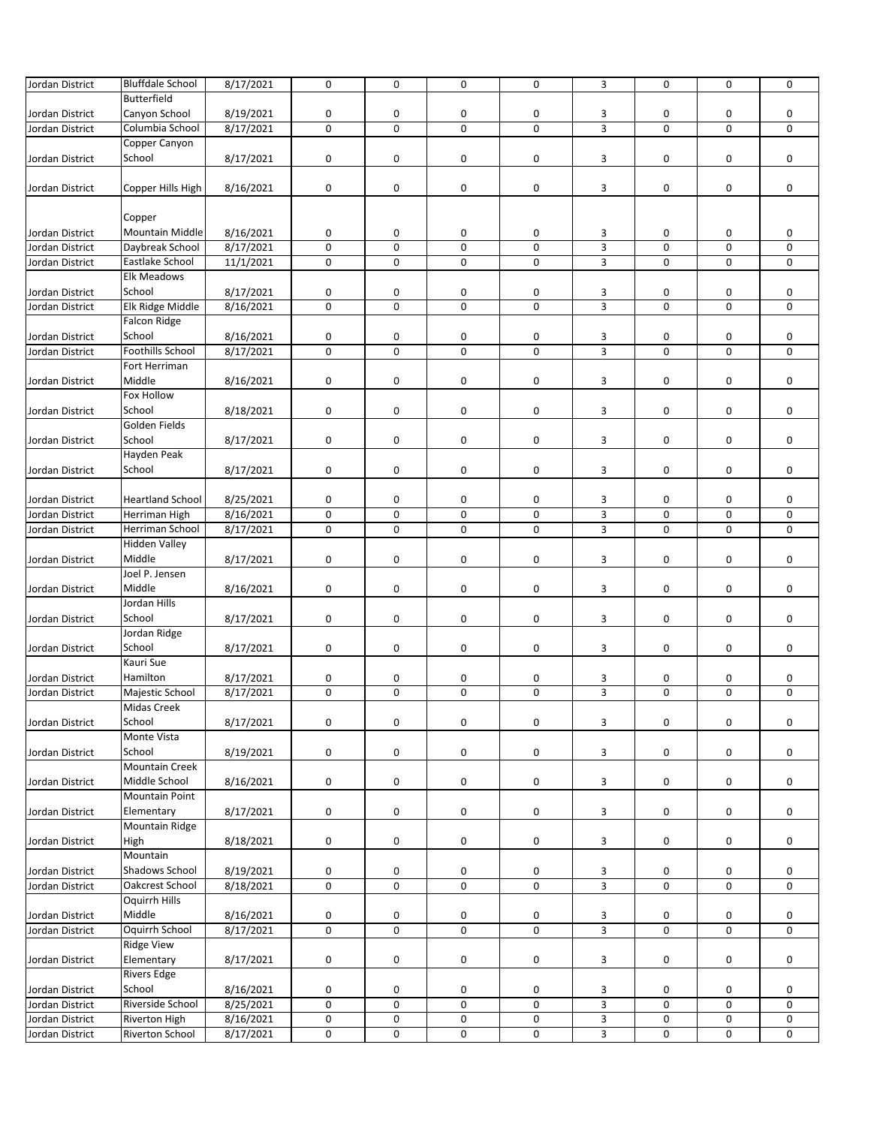| Jordan District | <b>Bluffdale School</b> | 8/17/2021 | $\mathbf 0$ | $\mathbf 0$ | $\mathbf 0$         | 0 | 3                         | $\mathbf 0$ | 0 | 0 |
|-----------------|-------------------------|-----------|-------------|-------------|---------------------|---|---------------------------|-------------|---|---|
|                 | Butterfield             |           |             |             |                     |   |                           |             |   |   |
|                 |                         |           |             |             |                     |   |                           |             |   |   |
| Jordan District | Canyon School           | 8/19/2021 | 0           | 0           | 0                   | 0 | 3                         | 0           | 0 | 0 |
| Jordan District | Columbia School         | 8/17/2021 | $\mathbf 0$ | 0           | 0                   | 0 | $\overline{\mathbf{3}}$   | 0           | 0 | 0 |
|                 | Copper Canyon           |           |             |             |                     |   |                           |             |   |   |
| Jordan District | School                  | 8/17/2021 | $\mathbf 0$ | 0           | 0                   | 0 | 3                         | 0           | 0 | 0 |
|                 |                         |           |             |             |                     |   |                           |             |   |   |
| Jordan District | Copper Hills High       | 8/16/2021 | 0           | 0           | 0                   | 0 | 3                         | 0           | 0 | 0 |
|                 |                         |           |             |             |                     |   |                           |             |   |   |
|                 |                         |           |             |             |                     |   |                           |             |   |   |
|                 | Copper                  |           |             |             |                     |   |                           |             |   |   |
| Jordan District | <b>Mountain Middle</b>  | 8/16/2021 | 0           | 0           | 0                   | 0 | 3                         | 0           | 0 | 0 |
| Jordan District | Daybreak School         | 8/17/2021 | $\mathsf 0$ | $\mathbf 0$ | $\mathsf{O}\xspace$ | 0 | $\mathsf 3$               | $\mathsf 0$ | 0 | 0 |
| Jordan District | Eastlake School         | 11/1/2021 | 0           | $\mathbf 0$ | $\mathbf 0$         | 0 | $\overline{3}$            | $\mathbf 0$ | 0 | 0 |
|                 | <b>Elk Meadows</b>      |           |             |             |                     |   |                           |             |   |   |
|                 |                         |           |             |             |                     |   |                           |             |   |   |
| Jordan District | School                  | 8/17/2021 | 0           | 0           | 0                   | 0 | 3                         | 0           | 0 | 0 |
| Jordan District | Elk Ridge Middle        | 8/16/2021 | $\mathsf 0$ | $\mathbf 0$ | $\mathbf 0$         | 0 | $\overline{3}$            | $\mathsf 0$ | 0 | 0 |
|                 | <b>Falcon Ridge</b>     |           |             |             |                     |   |                           |             |   |   |
| Jordan District | School                  | 8/16/2021 | 0           | 0           | 0                   | 0 | 3                         | 0           | 0 | 0 |
| Jordan District | Foothills School        | 8/17/2021 | $\pmb{0}$   | $\mathbf 0$ | $\mathsf 0$         | 0 | $\mathsf 3$               | 0           | 0 | 0 |
|                 | Fort Herriman           |           |             |             |                     |   |                           |             |   |   |
|                 | Middle                  | 8/16/2021 | $\mathbf 0$ | 0           | 0                   | 0 | 3                         | 0           | 0 | 0 |
| Jordan District |                         |           |             |             |                     |   |                           |             |   |   |
|                 | <b>Fox Hollow</b>       |           |             |             |                     |   |                           |             |   |   |
| Jordan District | School                  | 8/18/2021 | 0           | 0           | 0                   | 0 | 3                         | 0           | 0 | 0 |
|                 | Golden Fields           |           |             |             |                     |   |                           |             |   |   |
| Jordan District | School                  | 8/17/2021 | $\mathbf 0$ | 0           | 0                   | 0 | 3                         | 0           | 0 | 0 |
|                 | Hayden Peak             |           |             |             |                     |   |                           |             |   |   |
|                 | School                  |           |             |             |                     |   |                           |             |   |   |
| Jordan District |                         | 8/17/2021 | 0           | 0           | 0                   | 0 | 3                         | 0           | 0 | 0 |
|                 |                         |           |             |             |                     |   |                           |             |   |   |
| Jordan District | <b>Heartland School</b> | 8/25/2021 | 0           | 0           | 0                   | 0 | 3                         | 0           | 0 | 0 |
| Jordan District | Herriman High           | 8/16/2021 | $\mathbf 0$ | $\mathbf 0$ | $\mathbf 0$         | 0 | 3                         | 0           | 0 | 0 |
| Jordan District | Herriman School         | 8/17/2021 | 0           | $\mathbf 0$ | $\mathbf 0$         | 0 | $\overline{3}$            | 0           | 0 | 0 |
|                 | <b>Hidden Valley</b>    |           |             |             |                     |   |                           |             |   |   |
| Jordan District | Middle                  | 8/17/2021 | $\mathbf 0$ | 0           | 0                   | 0 | 3                         | 0           | 0 | 0 |
|                 |                         |           |             |             |                     |   |                           |             |   |   |
|                 | Joel P. Jensen          |           |             |             |                     |   |                           |             |   |   |
| Jordan District | Middle                  | 8/16/2021 | $\pmb{0}$   | 0           | 0                   | 0 | 3                         | 0           | 0 | 0 |
|                 | Jordan Hills            |           |             |             |                     |   |                           |             |   |   |
| Jordan District | School                  | 8/17/2021 | 0           | 0           | $\mathsf{O}\xspace$ | 0 | 3                         | 0           | 0 | 0 |
|                 | Jordan Ridge            |           |             |             |                     |   |                           |             |   |   |
| Jordan District | School                  | 8/17/2021 | $\pmb{0}$   | 0           | 0                   | 0 | 3                         | 0           | 0 | 0 |
|                 |                         |           |             |             |                     |   |                           |             |   |   |
|                 | Kauri Sue               |           |             |             |                     |   |                           |             |   |   |
| Jordan District | Hamilton                | 8/17/2021 | 0           | $\pmb{0}$   | 0                   | 0 | 3                         | 0           | 0 | 0 |
| Jordan District | Majestic School         | 8/17/2021 | $\mathbf 0$ | 0           | 0                   | 0 | $\overline{\mathbf{3}}$   | 0           | 0 | 0 |
|                 | <b>Midas Creek</b>      |           |             |             |                     |   |                           |             |   |   |
| Jordan District | School                  | 8/17/2021 | $\pmb{0}$   | 0           | 0                   | 0 | 3                         | 0           | 0 | 0 |
|                 | Monte Vista             |           |             |             |                     |   |                           |             |   |   |
|                 |                         |           |             |             |                     |   |                           |             |   |   |
| Jordan District | School                  | 8/19/2021 | 0           | 0           | 0                   | 0 | 3                         | 0           | 0 | 0 |
|                 | <b>Mountain Creek</b>   |           |             |             |                     |   |                           |             |   |   |
| Jordan District | Middle School           | 8/16/2021 | 0           | 0           | 0                   | 0 | 3                         | 0           | 0 | 0 |
|                 | <b>Mountain Point</b>   |           |             |             |                     |   |                           |             |   |   |
| Jordan District | Elementary              | 8/17/2021 | 0           | 0           | 0                   | 0 | 3                         | 0           | 0 | 0 |
|                 | <b>Mountain Ridge</b>   |           |             |             |                     |   |                           |             |   |   |
|                 |                         |           |             |             |                     |   |                           |             |   |   |
| Jordan District | High                    | 8/18/2021 | $\mathbf 0$ | 0           | 0                   | 0 | 3                         | 0           | 0 | 0 |
|                 | Mountain                |           |             |             |                     |   |                           |             |   |   |
| Jordan District | <b>Shadows School</b>   | 8/19/2021 | 0           | 0           | 0                   | 0 | 3                         | 0           | 0 | 0 |
| Jordan District | Oakcrest School         | 8/18/2021 | $\pmb{0}$   | $\pmb{0}$   | 0                   | 0 | $\overline{3}$            | 0           | 0 | 0 |
|                 | Oquirrh Hills           |           |             |             |                     |   |                           |             |   |   |
| Jordan District | Middle                  | 8/16/2021 | 0           | 0           | 0                   | 0 | 3                         | 0           | 0 | 0 |
|                 |                         |           |             |             |                     |   |                           |             |   |   |
| Jordan District | Oquirrh School          | 8/17/2021 | $\mathbf 0$ | 0           | 0                   | 0 | $\overline{3}$            | 0           | 0 | 0 |
|                 | <b>Ridge View</b>       |           |             |             |                     |   |                           |             |   |   |
| Jordan District | Elementary              | 8/17/2021 | $\pmb{0}$   | 0           | 0                   | 0 | 3                         | 0           | 0 | 0 |
|                 | <b>Rivers Edge</b>      |           |             |             |                     |   |                           |             |   |   |
| Jordan District | School                  | 8/16/2021 | 0           | 0           | 0                   | 0 | 3                         | 0           | 0 | 0 |
| Jordan District | Riverside School        | 8/25/2021 | 0           | 0           | 0                   | 0 | $\overline{3}$            | 0           | 0 | 0 |
| Jordan District | <b>Riverton High</b>    | 8/16/2021 | 0           | 0           | 0                   | 0 | $\ensuremath{\mathsf{3}}$ | 0           | 0 | 0 |
|                 |                         |           |             |             |                     |   |                           |             |   |   |
| Jordan District | Riverton School         | 8/17/2021 | 0           | 0           | 0                   | 0 | $\overline{3}$            | 0           | 0 | 0 |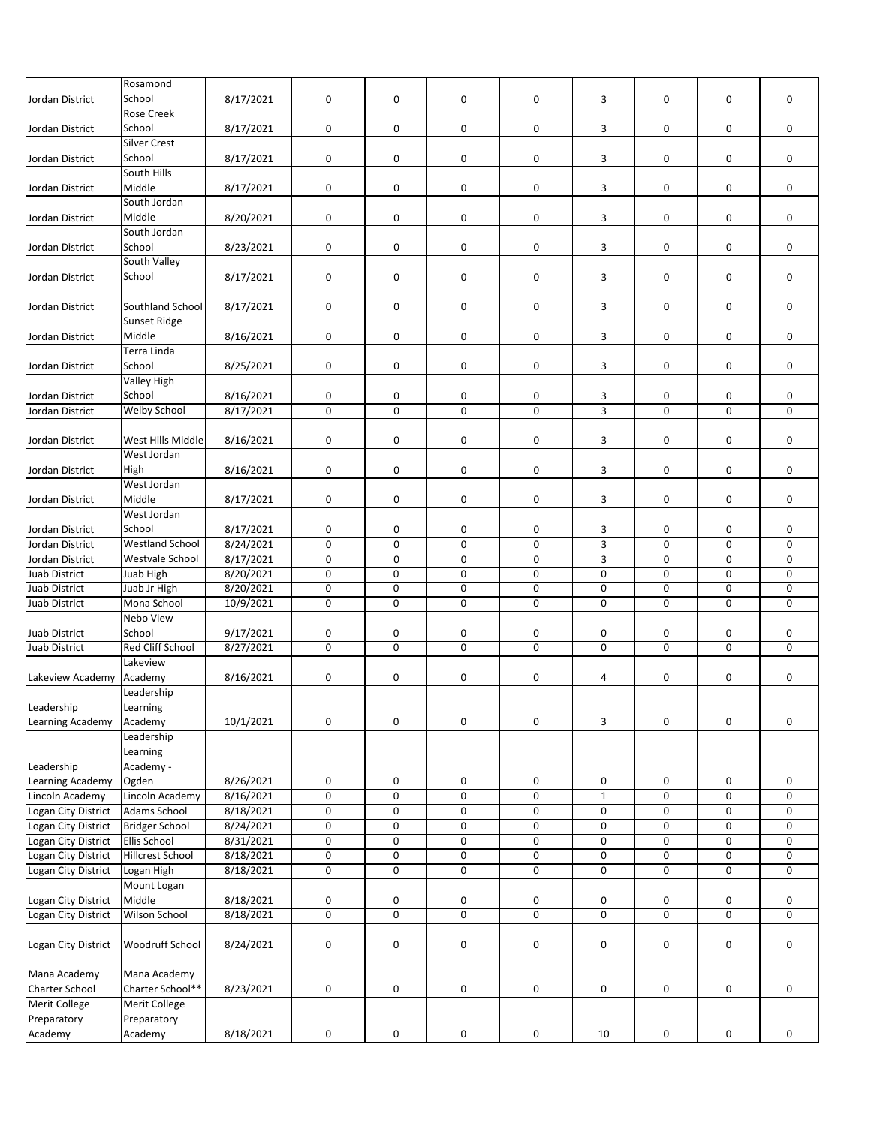|                     | Rosamond                |           |                |                |                     |   |             |             |             |             |
|---------------------|-------------------------|-----------|----------------|----------------|---------------------|---|-------------|-------------|-------------|-------------|
|                     |                         |           |                |                |                     |   |             |             |             |             |
| Jordan District     | School                  | 8/17/2021 | $\mathbf 0$    | 0              | 0                   | 0 | 3           | 0           | 0           | $\mathbf 0$ |
|                     | <b>Rose Creek</b>       |           |                |                |                     |   |             |             |             |             |
| Jordan District     | School                  | 8/17/2021 | $\pmb{0}$      | 0              | 0                   | 0 | 3           | 0           | 0           | 0           |
|                     | Silver Crest            |           |                |                |                     |   |             |             |             |             |
| Jordan District     | School                  | 8/17/2021 | $\mathbf 0$    | 0              | 0                   | 0 | 3           | 0           | 0           | 0           |
|                     |                         |           |                |                |                     |   |             |             |             |             |
|                     | South Hills             |           |                |                |                     |   |             |             |             |             |
| Jordan District     | Middle                  | 8/17/2021 | 0              | 0              | 0                   | 0 | 3           | 0           | 0           | 0           |
|                     | South Jordan            |           |                |                |                     |   |             |             |             |             |
| Jordan District     | Middle                  | 8/20/2021 | $\mathbf 0$    | 0              | 0                   | 0 | 3           | 0           | 0           | 0           |
|                     | South Jordan            |           |                |                |                     |   |             |             |             |             |
|                     |                         |           |                |                |                     |   |             |             |             |             |
| Jordan District     | School                  | 8/23/2021 | 0              | 0              | 0                   | 0 | 3           | 0           | 0           | 0           |
|                     | South Valley            |           |                |                |                     |   |             |             |             |             |
| Jordan District     | School                  | 8/17/2021 | 0              | 0              | 0                   | 0 | 3           | 0           | 0           | 0           |
|                     |                         |           |                |                |                     |   |             |             |             |             |
|                     | Southland School        |           |                |                |                     |   |             |             |             |             |
| Jordan District     |                         | 8/17/2021 | 0              | 0              | 0                   | 0 | 3           | 0           | 0           | 0           |
|                     | Sunset Ridge            |           |                |                |                     |   |             |             |             |             |
| Jordan District     | Middle                  | 8/16/2021 | $\mathbf 0$    | 0              | $\pmb{0}$           | 0 | 3           | 0           | 0           | 0           |
|                     | Terra Linda             |           |                |                |                     |   |             |             |             |             |
| Jordan District     | School                  | 8/25/2021 | 0              | 0              | 0                   | 0 | 3           | 0           | 0           | 0           |
|                     |                         |           |                |                |                     |   |             |             |             |             |
|                     | Valley High             |           |                |                |                     |   |             |             |             |             |
| Jordan District     | School                  | 8/16/2021 | 0              | 0              | 0                   | 0 | 3           | 0           | 0           | 0           |
| Jordan District     | Welby School            | 8/17/2021 | 0              | 0              | 0                   | 0 | 3           | 0           | 0           | 0           |
|                     |                         |           |                |                |                     |   |             |             |             |             |
| Jordan District     | West Hills Middle       | 8/16/2021 | $\mathbf 0$    | 0              | 0                   | 0 | 3           | 0           | 0           | 0           |
|                     | West Jordan             |           |                |                |                     |   |             |             |             |             |
|                     |                         |           |                |                |                     |   |             |             |             |             |
| Jordan District     | High                    | 8/16/2021 | $\pmb{0}$      | 0              | 0                   | 0 | 3           | 0           | 0           | 0           |
|                     | West Jordan             |           |                |                |                     |   |             |             |             |             |
| Jordan District     | Middle                  | 8/17/2021 | $\pmb{0}$      | 0              | 0                   | 0 | 3           | 0           | 0           | 0           |
|                     | West Jordan             |           |                |                |                     |   |             |             |             |             |
|                     |                         |           |                |                |                     |   |             |             |             |             |
| Jordan District     | School                  | 8/17/2021 | 0              | 0              | 0                   | 0 | 3           | 0           | 0           | 0           |
| Jordan District     | <b>Westland School</b>  | 8/24/2021 | $\mathbf 0$    | 0              | 0                   | 0 | 3           | 0           | 0           | 0           |
| Jordan District     | Westvale School         | 8/17/2021 | $\mathbf 0$    | $\mathbf 0$    | 0                   | 0 | 3           | 0           | $\mathbf 0$ | 0           |
| Juab District       | Juab High               | 8/20/2021 | $\mathbf 0$    | 0              | $\mathbf 0$         | 0 | 0           | 0           | 0           | 0           |
| Juab District       | Juab Jr High            | 8/20/2021 | 0              | 0              | 0                   | 0 | 0           | 0           | 0           | 0           |
|                     |                         |           |                |                |                     |   |             |             |             |             |
| Juab District       | Mona School             | 10/9/2021 | $\mathbf 0$    | $\mathbf 0$    | $\mathbf 0$         | 0 | $\mathbf 0$ | 0           | 0           | 0           |
|                     | Nebo View               |           |                |                |                     |   |             |             |             |             |
| Juab District       | School                  | 9/17/2021 | 0              | 0              | 0                   | 0 | 0           | 0           | 0           | 0           |
| Juab District       | <b>Red Cliff School</b> | 8/27/2021 | 0              | $\Omega$       | $\Omega$            | 0 | $\mathbf 0$ | $\mathbf 0$ | $\mathbf 0$ | $\mathbf 0$ |
|                     | Lakeview                |           |                |                |                     |   |             |             |             |             |
|                     |                         |           |                |                |                     |   |             |             |             |             |
| Lakeview Academy    | Academy                 | 8/16/2021 | 0              | 0              | 0                   | 0 | 4           | 0           | 0           | 0           |
|                     | Leadership              |           |                |                |                     |   |             |             |             |             |
| Leadership          | Learning                |           |                |                |                     |   |             |             |             |             |
| Learning Academy    | Academy                 | 10/1/2021 | $\mathbf 0$    | 0              | 0                   | 0 | 3           | 0           | $\pmb{0}$   | $\pmb{0}$   |
|                     | Leadership              |           |                |                |                     |   |             |             |             |             |
|                     |                         |           |                |                |                     |   |             |             |             |             |
|                     | Learning                |           |                |                |                     |   |             |             |             |             |
| Leadership          | Academy -               |           |                |                |                     |   |             |             |             |             |
| Learning Academy    | Ogden                   | 8/26/2021 | 0              | 0              | 0                   | 0 | 0           | 0           | 0           | 0           |
| Lincoln Academy     | Lincoln Academy         | 8/16/2021 | $\overline{0}$ | $\overline{0}$ | $\pmb{0}$           | 0 | $\mathbf 1$ | 0           | 0           | 0           |
| Logan City District | Adams School            | 8/18/2021 |                | 0              | $\pmb{0}$           |   |             |             |             | 0           |
|                     |                         |           | 0              |                |                     | 0 | 0           | 0           | 0           |             |
| Logan City District | <b>Bridger School</b>   | 8/24/2021 | $\pmb{0}$      | 0              | $\mathsf{O}\xspace$ | 0 | $\pmb{0}$   | 0           | 0           | $\pmb{0}$   |
| Logan City District | <b>Ellis School</b>     | 8/31/2021 | $\pmb{0}$      | 0              | 0                   | 0 | 0           | $\pmb{0}$   | 0           | 0           |
| Logan City District | <b>Hillcrest School</b> | 8/18/2021 | $\pmb{0}$      | 0              | 0                   | 0 | 0           | 0           | 0           | $\pmb{0}$   |
| Logan City District | Logan High              | 8/18/2021 | $\pmb{0}$      | 0              | $\pmb{0}$           | 0 | 0           | 0           | 0           | 0           |
|                     |                         |           |                |                |                     |   |             |             |             |             |
|                     | Mount Logan             |           |                |                |                     |   |             |             |             |             |
| Logan City District | Middle                  | 8/18/2021 | 0              | 0              | 0                   | 0 | 0           | 0           | 0           | 0           |
| Logan City District | Wilson School           | 8/18/2021 | $\overline{0}$ | 0              | $\overline{0}$      | 0 | $\pmb{0}$   | 0           | 0           | 0           |
|                     |                         |           |                |                |                     |   |             |             |             |             |
| Logan City District | Woodruff School         | 8/24/2021 | $\pmb{0}$      | 0              | 0                   | 0 | 0           | 0           | 0           | 0           |
|                     |                         |           |                |                |                     |   |             |             |             |             |
|                     |                         |           |                |                |                     |   |             |             |             |             |
| Mana Academy        | Mana Academy            |           |                |                |                     |   |             |             |             |             |
| Charter School      | Charter School**        | 8/23/2021 | 0              | 0              | $\pmb{0}$           | 0 | 0           | 0           | 0           | 0           |
| Merit College       | Merit College           |           |                |                |                     |   |             |             |             |             |
| Preparatory         | Preparatory             |           |                |                |                     |   |             |             |             |             |
|                     |                         |           |                |                |                     |   |             |             |             |             |
| Academy             | Academy                 | 8/18/2021 | 0              | 0              | $\pmb{0}$           | 0 | 10          | 0           | 0           | 0           |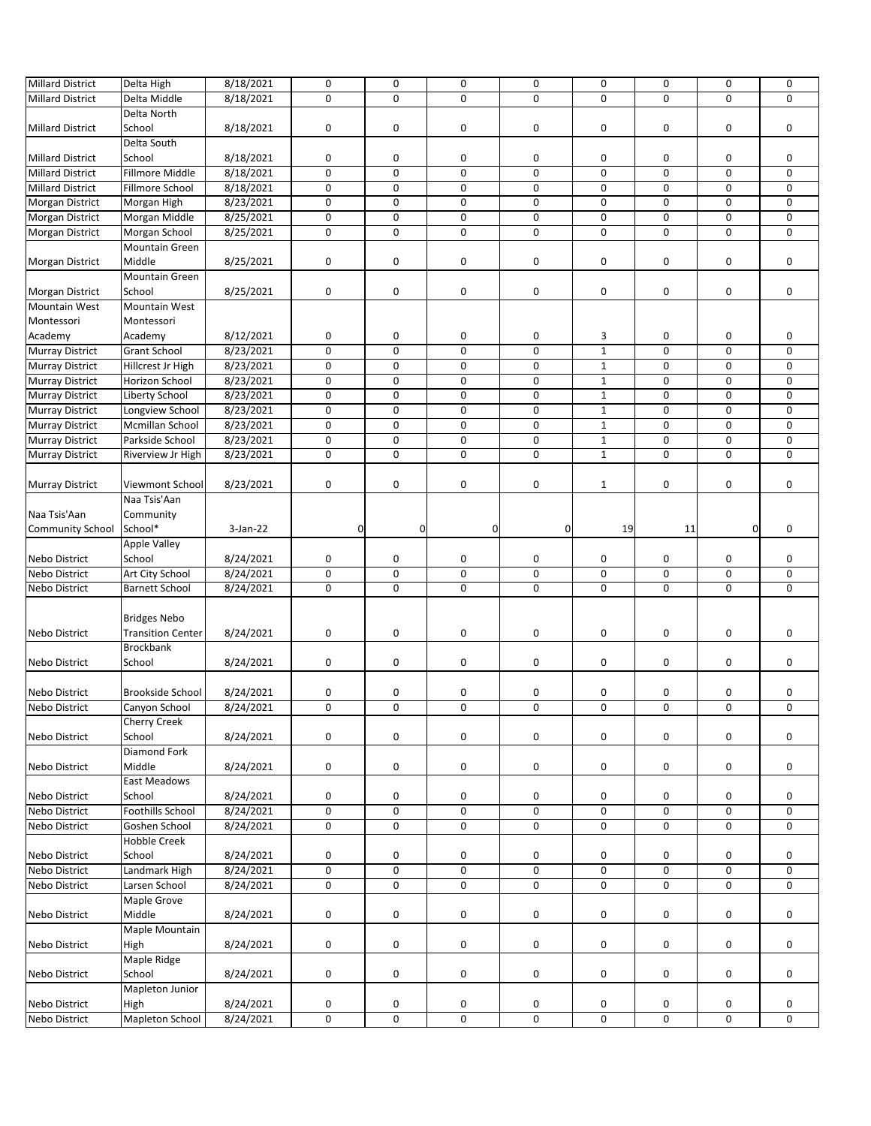| <b>Millard District</b>        | Delta High               | 8/18/2021              | 0           | 0           | 0           | 0            | 0              | 0           | 0           | 0           |
|--------------------------------|--------------------------|------------------------|-------------|-------------|-------------|--------------|----------------|-------------|-------------|-------------|
| <b>Millard District</b>        | Delta Middle             | 8/18/2021              | 0           | 0           | $\mathbf 0$ | 0            | $\mathbf 0$    | 0           | 0           | 0           |
|                                |                          |                        |             |             |             |              |                |             |             |             |
|                                | Delta North              |                        |             |             |             |              |                |             |             |             |
| <b>Millard District</b>        | School                   | 8/18/2021              | 0           | 0           | 0           | 0            | 0              | 0           | 0           | 0           |
|                                | Delta South              |                        |             |             |             |              |                |             |             |             |
|                                | School                   | 8/18/2021              |             | 0           |             |              |                |             |             | 0           |
| <b>Millard District</b>        |                          |                        | 0           |             | 0           | 0            | 0              | 0           | 0           |             |
| <b>Millard District</b>        | <b>Fillmore Middle</b>   | 8/18/2021              | $\mathbf 0$ | $\mathbf 0$ | $\Omega$    | 0            | $\mathbf 0$    | 0           | $\mathbf 0$ | $\mathbf 0$ |
| <b>Millard District</b>        | Fillmore School          | 8/18/2021              | $\mathbf 0$ | 0           | 0           | 0            | 0              | 0           | 0           | 0           |
|                                |                          |                        |             |             |             |              |                |             |             |             |
| <b>Morgan District</b>         | Morgan High              | 8/23/2021              | $\mathbf 0$ | 0           | 0           | 0            | 0              | 0           | 0           | 0           |
| Morgan District                | Morgan Middle            | 8/25/2021              | $\pmb{0}$   | 0           | $\pmb{0}$   | 0            | 0              | 0           | 0           | 0           |
| <b>Morgan District</b>         | Morgan School            | 8/25/2021              | 0           | $\mathbf 0$ | $\mathbf 0$ | 0            | 0              | 0           | 0           | 0           |
|                                |                          |                        |             |             |             |              |                |             |             |             |
|                                | Mountain Green           |                        |             |             |             |              |                |             |             |             |
| <b>Morgan District</b>         | Middle                   | 8/25/2021              | 0           | 0           | 0           | 0            | 0              | 0           | 0           | 0           |
|                                | Mountain Green           |                        |             |             |             |              |                |             |             |             |
|                                |                          |                        |             |             |             |              |                |             |             |             |
| Morgan District                | School                   | 8/25/2021              | $\pmb{0}$   | 0           | 0           | 0            | 0              | 0           | 0           | 0           |
| Mountain West                  | Mountain West            |                        |             |             |             |              |                |             |             |             |
| Montessori                     | Montessori               |                        |             |             |             |              |                |             |             |             |
|                                |                          |                        |             |             |             |              |                |             |             |             |
| Academy                        | Academy                  | 8/12/2021              | 0           | 0           | $\pmb{0}$   | 0            | 3              | 0           | 0           | 0           |
| <b>Murray District</b>         | <b>Grant School</b>      | 8/23/2021              | 0           | 0           | 0           | 0            | $\mathbf{1}$   | 0           | 0           | $\mathbf 0$ |
| <b>Murray District</b>         | Hillcrest Jr High        | 8/23/2021              | $\mathbf 0$ | 0           | 0           | 0            | $\mathbf 1$    | $\pmb{0}$   | 0           | 0           |
|                                |                          |                        |             |             |             |              |                |             |             |             |
| <b>Murray District</b>         | Horizon School           | 8/23/2021              | $\mathsf 0$ | 0           | 0           | 0            | $\mathbf{1}$   | 0           | 0           | 0           |
| <b>Murray District</b>         | Liberty School           | 8/23/2021              | $\mathbf 0$ | 0           | $\mathbf 0$ | 0            | $\mathbf 1$    | 0           | 0           | 0           |
|                                |                          |                        | $\pmb{0}$   | 0           | $\mathbf 0$ | 0            | $\mathbf{1}$   | 0           | 0           | 0           |
| <b>Murray District</b>         | Longview School          | 8/23/2021              |             |             |             |              |                |             |             |             |
| <b>Murray District</b>         | Mcmillan School          | 8/23/2021              | 0           | 0           | 0           | 0            | $\mathbf 1$    | 0           | 0           | 0           |
| <b>Murray District</b>         | Parkside School          | 8/23/2021              | 0           | 0           | 0           | 0            | $\mathbf{1}$   | 0           | 0           | 0           |
| <b>Murray District</b>         | Riverview Jr High        | 8/23/2021              | 0           | $\mathbf 0$ | $\mathbf 0$ | 0            | $\mathbf 1$    | 0           | 0           | 0           |
|                                |                          |                        |             |             |             |              |                |             |             |             |
|                                |                          |                        |             |             |             |              |                |             |             |             |
| <b>Murray District</b>         | Viewmont School          | 8/23/2021              | 0           | 0           | 0           | 0            | $\mathbf 1$    | 0           | 0           | 0           |
|                                | Naa Tsis'Aan             |                        |             |             |             |              |                |             |             |             |
|                                |                          |                        |             |             |             |              |                |             |             |             |
| Naa Tsis'Aan                   | Community                |                        |             |             |             |              |                |             |             |             |
| <b>Community School</b>        | School*                  | $3-Jan-22$             | 0           | $\mathbf 0$ | $\mathbf 0$ | $\mathbf{0}$ | 19             | 11          | $\mathbf 0$ | 0           |
|                                |                          |                        |             |             |             |              |                |             |             |             |
|                                | <b>Apple Valley</b>      |                        |             |             |             |              |                |             |             |             |
| Nebo District                  | School                   | 8/24/2021              | 0           | 0           | 0           | 0            | 0              | 0           | 0           | 0           |
| Nebo District                  | Art City School          | 8/24/2021              | $\mathbf 0$ | $\mathbf 0$ | $\mathbf 0$ | 0            | $\mathsf 0$    | 0           | $\mathsf 0$ | 0           |
|                                |                          |                        |             |             |             |              |                |             |             |             |
| Nebo District                  | <b>Barnett School</b>    | 8/24/2021              | $\mathbf 0$ | 0           | 0           | 0            | $\mathbf 0$    | $\mathbf 0$ | 0           | 0           |
|                                |                          |                        |             |             |             |              |                |             |             |             |
|                                |                          |                        |             |             |             |              |                |             |             |             |
|                                |                          |                        |             |             |             |              |                |             |             |             |
|                                | <b>Bridges Nebo</b>      |                        |             |             |             |              |                |             |             |             |
| Nebo District                  | <b>Transition Center</b> | 8/24/2021              | 0           | 0           | 0           | 0            | 0              | 0           | 0           | 0           |
|                                |                          |                        |             |             |             |              |                |             |             |             |
|                                | Brockbank                |                        |             |             |             |              |                |             |             |             |
| <b>Nebo District</b>           | School                   | 8/24/2021              | 0           | 0           | 0           | 0            | 0              | 0           | 0           | 0           |
|                                |                          |                        |             |             |             |              |                |             |             |             |
|                                |                          |                        |             |             |             |              |                |             |             |             |
| Nebo District                  | Brookside School         | 8/24/2021              | 0           | 0           | 0           | 0            | 0              | 0           | 0           | 0           |
| <b>Nebo District</b>           | Canyon School            | 8/24/2021              | $\mathbf 0$ | 0           | $\mathbf 0$ | 0            | $\mathbf 0$    | $\mathbf 0$ | 0           | $\mathbf 0$ |
|                                | <b>Cherry Creek</b>      |                        |             |             |             |              |                |             |             |             |
| <b>Nebo District</b>           | School                   | 8/24/2021              | $\pmb{0}$   | 0           | 0           | 0            | $\pmb{0}$      | 0           | 0           | 0           |
|                                |                          |                        |             |             |             |              |                |             |             |             |
|                                | <b>Diamond Fork</b>      |                        |             |             |             |              |                |             |             |             |
| Nebo District                  | Middle                   | 8/24/2021              | 0           | 0           | $\pmb{0}$   | 0            | 0              | 0           | 0           | 0           |
|                                | <b>East Meadows</b>      |                        |             |             |             |              |                |             |             |             |
|                                |                          |                        |             |             |             |              |                |             |             |             |
| Nebo District                  | School                   | 8/24/2021              | 0           | 0           | 0           | 0            | 0              | 0           | 0           | 0           |
| Nebo District                  | Foothills School         | 8/24/2021              | $\pmb{0}$   | 0           | 0           | 0            | $\pmb{0}$      | 0           | 0           | 0           |
|                                | Goshen School            |                        |             | 0           | 0           |              |                |             |             |             |
| Nebo District                  |                          | 8/24/2021              | 0           |             |             | 0            | 0              | 0           | 0           | 0           |
|                                | Hobble Creek             |                        |             |             |             |              |                |             |             |             |
| <b>Nebo District</b>           | School                   | 8/24/2021              | $\pmb{0}$   | 0           | 0           | 0            | 0              | 0           | 0           | 0           |
|                                |                          |                        |             |             |             |              |                |             |             |             |
| Nebo District                  | Landmark High            | 8/24/2021              | $\pmb{0}$   | 0           | 0           | 0            | $\pmb{0}$      | 0           | 0           | 0           |
| Nebo District                  | Larsen School            | 8/24/2021              | 0           | 0           | 0           | 0            | $\pmb{0}$      | 0           | 0           | 0           |
|                                | Maple Grove              |                        |             |             |             |              |                |             |             |             |
|                                |                          |                        |             |             |             |              |                |             |             |             |
| Nebo District                  | Middle                   | 8/24/2021              | $\pmb{0}$   | 0           | 0           | 0            | $\pmb{0}$      | 0           | 0           | 0           |
|                                | Maple Mountain           |                        |             |             |             |              |                |             |             |             |
| Nebo District                  | High                     | 8/24/2021              | $\pmb{0}$   | 0           | 0           | 0            | 0              | 0           | 0           | 0           |
|                                |                          |                        |             |             |             |              |                |             |             |             |
|                                | Maple Ridge              |                        |             |             |             |              |                |             |             |             |
| Nebo District                  | School                   | 8/24/2021              | $\pmb{0}$   | 0           | 0           | 0            | $\pmb{0}$      | 0           | 0           | 0           |
|                                | Mapleton Junior          |                        |             |             |             |              |                |             |             |             |
|                                |                          |                        |             |             |             |              |                |             |             |             |
| Nebo District<br>Nebo District | High<br>Mapleton School  | 8/24/2021<br>8/24/2021 | 0<br>0      | 0<br>0      | 0<br>0      | 0<br>0       | 0<br>$\pmb{0}$ | 0<br>0      | 0<br>0      | 0<br>0      |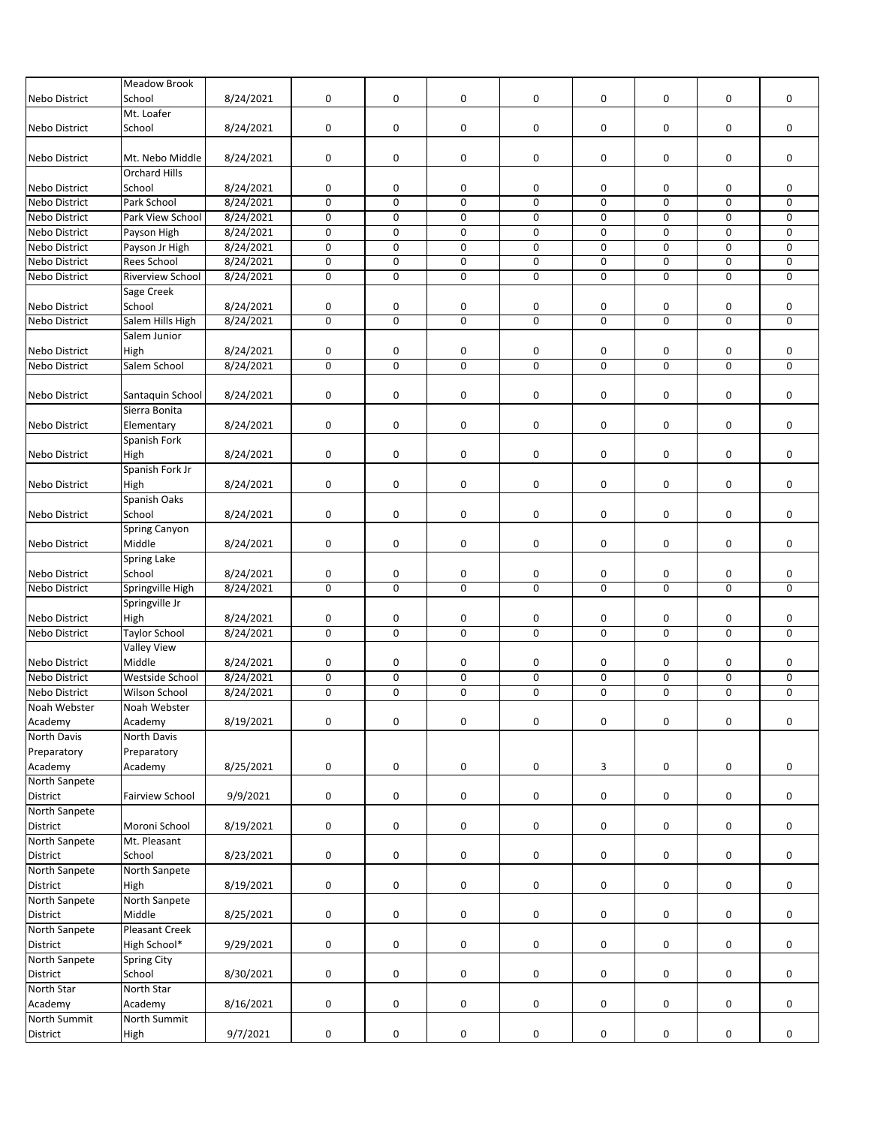|                      | <b>Meadow Brook</b>     |           |             |             |                     |   |             |                     |             |             |
|----------------------|-------------------------|-----------|-------------|-------------|---------------------|---|-------------|---------------------|-------------|-------------|
| Nebo District        | School                  | 8/24/2021 | $\mathbf 0$ | 0           | 0                   | 0 | 0           | 0                   | 0           | $\mathbf 0$ |
|                      |                         |           |             |             |                     |   |             |                     |             |             |
|                      | Mt. Loafer              |           |             |             |                     |   |             |                     |             |             |
| Nebo District        | School                  | 8/24/2021 | 0           | 0           | 0                   | 0 | 0           | 0                   | 0           | 0           |
|                      |                         |           |             |             |                     |   |             |                     |             |             |
| <b>Nebo District</b> | Mt. Nebo Middle         | 8/24/2021 | 0           | 0           | 0                   | 0 | 0           | 0                   | 0           | 0           |
|                      | <b>Orchard Hills</b>    |           |             |             |                     |   |             |                     |             |             |
|                      |                         |           |             |             |                     |   |             |                     |             |             |
| Nebo District        | School                  | 8/24/2021 | 0           | 0           | 0                   | 0 | 0           | 0                   | 0           | 0           |
| Nebo District        | Park School             | 8/24/2021 | $\pmb{0}$   | 0           | 0                   | 0 | 0           | 0                   | 0           | 0           |
| Nebo District        | Park View School        | 8/24/2021 | 0           | $\mathbf 0$ | 0                   | 0 | $\mathbf 0$ | $\mathbf 0$         | $\mathbf 0$ | 0           |
| Nebo District        | Payson High             | 8/24/2021 | $\pmb{0}$   | 0           | 0                   | 0 | 0           | 0                   | 0           | 0           |
| <b>Nebo District</b> | Payson Jr High          | 8/24/2021 | $\mathbf 0$ | 0           | $\mathbf 0$         | 0 | 0           | 0                   | 0           | 0           |
|                      |                         |           |             |             |                     |   |             |                     |             |             |
| <b>Nebo District</b> | Rees School             | 8/24/2021 | $\pmb{0}$   | 0           | $\pmb{0}$           | 0 | $\pmb{0}$   | 0                   | 0           | 0           |
| <b>Nebo District</b> | <b>Riverview School</b> | 8/24/2021 | $\mathbf 0$ | $\mathbf 0$ | $\mathbf 0$         | 0 | $\mathbf 0$ | 0                   | $\mathbf 0$ | 0           |
|                      | Sage Creek              |           |             |             |                     |   |             |                     |             |             |
| Nebo District        | School                  | 8/24/2021 | 0           | 0           | 0                   | 0 | 0           | 0                   | 0           | 0           |
|                      |                         |           |             | $\mathbf 0$ |                     |   |             |                     |             |             |
| Nebo District        | Salem Hills High        | 8/24/2021 | $\mathbf 0$ |             | $\mathbf 0$         | 0 | $\mathbf 0$ | 0                   | 0           | $\mathbf 0$ |
|                      | Salem Junior            |           |             |             |                     |   |             |                     |             |             |
| Nebo District        | High                    | 8/24/2021 | $\pmb{0}$   | 0           | 0                   | 0 | 0           | 0                   | 0           | 0           |
| Nebo District        | Salem School            | 8/24/2021 | $\pmb{0}$   | 0           | 0                   | 0 | 0           | 0                   | 0           | 0           |
|                      |                         |           |             |             |                     |   |             |                     |             |             |
|                      |                         |           |             |             |                     |   |             |                     |             |             |
| Nebo District        | Santaquin School        | 8/24/2021 | $\pmb{0}$   | 0           | 0                   | 0 | 0           | 0                   | 0           | 0           |
|                      | Sierra Bonita           |           |             |             |                     |   |             |                     |             |             |
| <b>Nebo District</b> | Elementary              | 8/24/2021 | $\pmb{0}$   | 0           | 0                   | 0 | 0           | 0                   | 0           | 0           |
|                      | Spanish Fork            |           |             |             |                     |   |             |                     |             |             |
| <b>Nebo District</b> | High                    | 8/24/2021 | $\pmb{0}$   | 0           | 0                   | 0 | 0           | 0                   | 0           | 0           |
|                      |                         |           |             |             |                     |   |             |                     |             |             |
|                      | Spanish Fork Jr         |           |             |             |                     |   |             |                     |             |             |
| <b>Nebo District</b> | High                    | 8/24/2021 | 0           | 0           | 0                   | 0 | 0           | 0                   | 0           | 0           |
|                      | Spanish Oaks            |           |             |             |                     |   |             |                     |             |             |
| <b>Nebo District</b> | School                  | 8/24/2021 | 0           | 0           | 0                   | 0 | 0           | 0                   | 0           | 0           |
|                      | <b>Spring Canyon</b>    |           |             |             |                     |   |             |                     |             |             |
|                      |                         |           |             |             |                     |   |             |                     |             |             |
| <b>Nebo District</b> | Middle                  | 8/24/2021 | 0           | 0           | 0                   | 0 | 0           | 0                   | 0           | 0           |
|                      | Spring Lake             |           |             |             |                     |   |             |                     |             |             |
| Nebo District        | School                  | 8/24/2021 | 0           | 0           | 0                   | 0 | 0           | 0                   | 0           | 0           |
| Nebo District        | Springville High        | 8/24/2021 | 0           | 0           | $\mathbf 0$         | 0 | 0           | 0                   | 0           | 0           |
|                      | Springville Jr          |           |             |             |                     |   |             |                     |             |             |
|                      |                         |           |             |             |                     |   |             |                     |             |             |
| Nebo District        | High                    | 8/24/2021 | 0           | 0           | 0                   | 0 | 0           | 0                   | 0           | 0           |
| <b>Nebo District</b> | <b>Taylor School</b>    | 8/24/2021 | $\mathbf 0$ | $\mathbf 0$ | $\mathbf 0$         | 0 | $\pmb{0}$   | 0                   | 0           | $\mathbf 0$ |
|                      | <b>Valley View</b>      |           |             |             |                     |   |             |                     |             |             |
| <b>Nebo District</b> | Middle                  | 8/24/2021 | 0           | 0           | 0                   | 0 | 0           | 0                   | 0           | 0           |
| Nebo District        | Westside School         | 8/24/2021 | $\mathbf 0$ | $\mathbf 0$ | $\mathbf 0$         | 0 | $\pmb{0}$   | 0                   | $\pmb{0}$   | 0           |
|                      |                         |           |             |             |                     |   |             |                     |             |             |
| Nebo District        | Wilson School           | 8/24/2021 | 0           | 0           | 0                   | 0 | 0           | 0                   | 0           | $\mathbf 0$ |
| Noah Webster         | Noah Webster            |           |             |             |                     |   |             |                     |             |             |
| Academy              | Academy                 | 8/19/2021 | $\pmb{0}$   | 0           | 0                   | 0 | $\pmb{0}$   | $\mathsf{O}\xspace$ | $\mathsf 0$ | 0           |
| North Davis          | North Davis             |           |             |             |                     |   |             |                     |             |             |
| Preparatory          | Preparatory             |           |             |             |                     |   |             |                     |             |             |
|                      |                         |           |             |             |                     |   |             |                     |             |             |
| Academy              | Academy                 | 8/25/2021 | $\pmb{0}$   | 0           | 0                   | 0 | 3           | 0                   | 0           | 0           |
| North Sanpete        |                         |           |             |             |                     |   |             |                     |             |             |
| District             | Fairview School         | 9/9/2021  | 0           | 0           | $\mathsf{O}\xspace$ | 0 | $\pmb{0}$   | 0                   | 0           | 0           |
| North Sanpete        |                         |           |             |             |                     |   |             |                     |             |             |
| District             | Moroni School           | 8/19/2021 | 0           | 0           | 0                   | 0 | $\pmb{0}$   | 0                   | 0           | 0           |
|                      |                         |           |             |             |                     |   |             |                     |             |             |
| North Sanpete        | Mt. Pleasant            |           |             |             |                     |   |             |                     |             |             |
| District             | School                  | 8/23/2021 | 0           | 0           | $\mathbf 0$         | 0 | $\pmb{0}$   | $\mathsf{O}\xspace$ | 0           | 0           |
| North Sanpete        | North Sanpete           |           |             |             |                     |   |             |                     |             |             |
| District             | High                    | 8/19/2021 | 0           | 0           | 0                   | 0 | 0           | 0                   | 0           | 0           |
| North Sanpete        | North Sanpete           |           |             |             |                     |   |             |                     |             |             |
|                      |                         |           |             |             |                     |   |             |                     |             |             |
| District             | Middle                  | 8/25/2021 | 0           | 0           | $\mathbf 0$         | 0 | 0           | 0                   | 0           | 0           |
| North Sanpete        | <b>Pleasant Creek</b>   |           |             |             |                     |   |             |                     |             |             |
| District             | High School*            | 9/29/2021 | 0           | 0           | 0                   | 0 | $\pmb{0}$   | 0                   | 0           | 0           |
| North Sanpete        | Spring City             |           |             |             |                     |   |             |                     |             |             |
| District             | School                  | 8/30/2021 |             |             | $\mathsf{O}\xspace$ |   |             |                     |             |             |
|                      |                         |           | 0           | 0           |                     | 0 | 0           | 0                   | 0           | 0           |
| North Star           | North Star              |           |             |             |                     |   |             |                     |             |             |
| Academy              | Academy                 | 8/16/2021 | 0           | 0           | 0                   | 0 | 0           | 0                   | 0           | 0           |
| North Summit         | North Summit            |           |             |             |                     |   |             |                     |             |             |
| District             | High                    | 9/7/2021  | 0           | 0           | 0                   | 0 | $\pmb{0}$   | 0                   | 0           | 0           |
|                      |                         |           |             |             |                     |   |             |                     |             |             |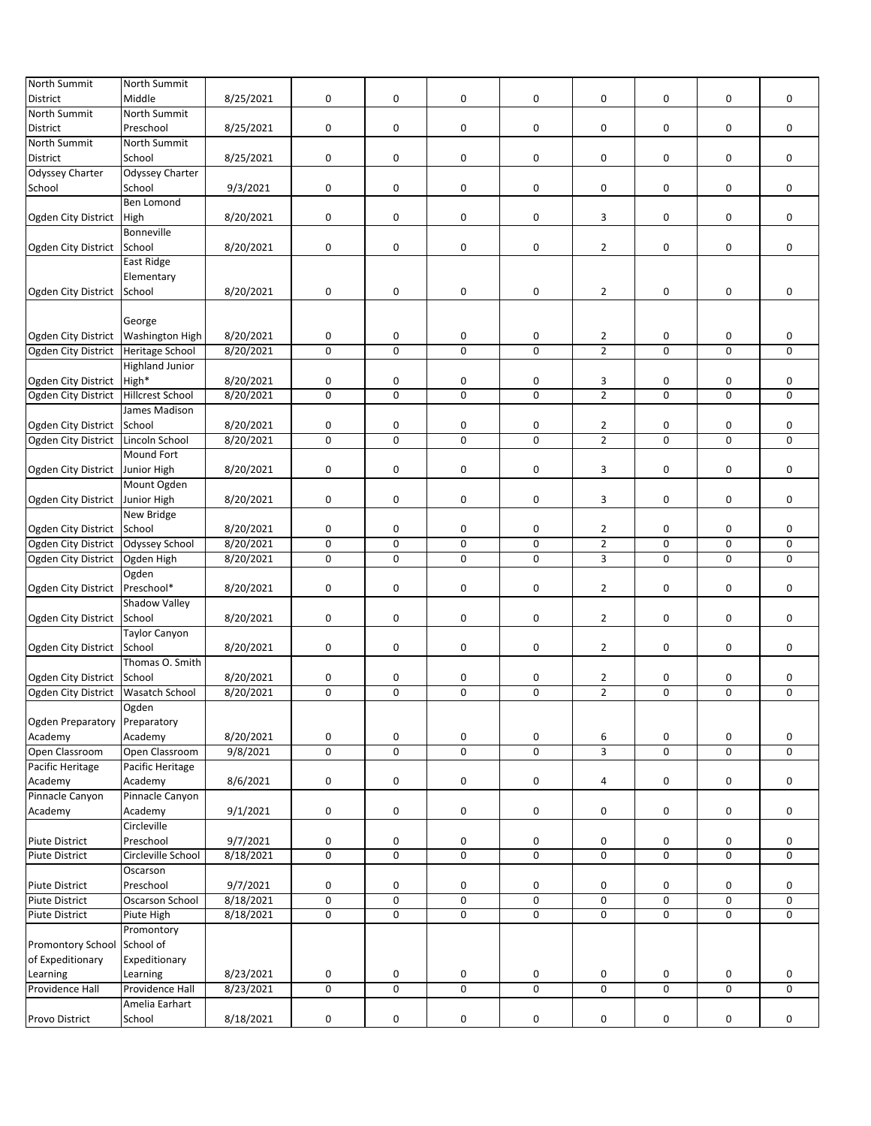| <b>North Summit</b>           | North Summit           |           |           |             |                |   |                |                     |           |   |
|-------------------------------|------------------------|-----------|-----------|-------------|----------------|---|----------------|---------------------|-----------|---|
| District                      | Middle                 | 8/25/2021 | $\pmb{0}$ | 0           | 0              | 0 | 0              | 0                   | 0         | 0 |
|                               |                        |           |           |             |                |   |                |                     |           |   |
| <b>North Summit</b>           | <b>North Summit</b>    |           |           |             |                |   |                |                     |           |   |
| <b>District</b>               | Preschool              | 8/25/2021 | $\pmb{0}$ | 0           | 0              | 0 | $\pmb{0}$      | $\pmb{0}$           | 0         | 0 |
| North Summit                  | North Summit           |           |           |             |                |   |                |                     |           |   |
| District                      | School                 | 8/25/2021 | 0         | 0           | 0              | 0 | 0              | 0                   | 0         | 0 |
| <b>Odyssey Charter</b>        | <b>Odyssey Charter</b> |           |           |             |                |   |                |                     |           |   |
|                               |                        |           |           |             |                |   |                |                     |           |   |
| School                        | School                 | 9/3/2021  | 0         | 0           | 0              | 0 | 0              | 0                   | 0         | 0 |
|                               | <b>Ben Lomond</b>      |           |           |             |                |   |                |                     |           |   |
| Ogden City District           | High                   | 8/20/2021 | $\pmb{0}$ | 0           | 0              | 0 | 3              | 0                   | 0         | 0 |
|                               | Bonneville             |           |           |             |                |   |                |                     |           |   |
| Ogden City District           | School                 | 8/20/2021 | 0         | 0           | 0              | 0 | $\overline{2}$ | 0                   | 0         | 0 |
|                               | East Ridge             |           |           |             |                |   |                |                     |           |   |
|                               |                        |           |           |             |                |   |                |                     |           |   |
|                               | Elementary             |           |           |             |                |   |                |                     |           |   |
| Ogden City District           | School                 | 8/20/2021 | 0         | 0           | 0              | 0 | $\overline{2}$ | 0                   | 0         | 0 |
|                               |                        |           |           |             |                |   |                |                     |           |   |
|                               | George                 |           |           |             |                |   |                |                     |           |   |
| Ogden City District           | <b>Washington High</b> | 8/20/2021 | 0         | 0           | 0              | 0 | $\overline{2}$ | 0                   | 0         | 0 |
| Ogden City District           | Heritage School        | 8/20/2021 | 0         | 0           | $\mathsf 0$    | 0 | $\overline{2}$ | 0                   | 0         | 0 |
|                               |                        |           |           |             |                |   |                |                     |           |   |
|                               | <b>Highland Junior</b> |           |           |             |                |   |                |                     |           |   |
| Ogden City District           | High*                  | 8/20/2021 | 0         | 0           | 0              | 0 | 3              | 0                   | 0         | 0 |
| Ogden City District           | Hillcrest School       | 8/20/2021 | $\pmb{0}$ | 0           | $\overline{0}$ | 0 | $\overline{2}$ | $\mathbf 0$         | $\pmb{0}$ | 0 |
|                               | James Madison          |           |           |             |                |   |                |                     |           |   |
| Ogden City District           | School                 | 8/20/2021 | 0         | 0           | 0              | 0 | $\overline{2}$ | 0                   | 0         | 0 |
| Ogden City District           | Lincoln School         | 8/20/2021 | 0         | 0           | $\mathbf 0$    | 0 | $\overline{2}$ | $\pmb{0}$           | $\pmb{0}$ | 0 |
|                               |                        |           |           |             |                |   |                |                     |           |   |
|                               | Mound Fort             |           |           |             |                |   |                |                     |           |   |
| Ogden City District           | Junior High            | 8/20/2021 | $\pmb{0}$ | 0           | 0              | 0 | 3              | 0                   | 0         | 0 |
|                               | Mount Ogden            |           |           |             |                |   |                |                     |           |   |
| Ogden City District           | Junior High            | 8/20/2021 | $\pmb{0}$ | 0           | 0              | 0 | 3              | 0                   | 0         | 0 |
|                               | New Bridge             |           |           |             |                |   |                |                     |           |   |
|                               |                        |           |           |             |                |   |                |                     |           |   |
| Ogden City District           | School                 | 8/20/2021 | 0         | 0           | 0              | 0 | $\overline{2}$ | 0                   | 0         | 0 |
| Ogden City District           | Odyssey School         | 8/20/2021 | $\pmb{0}$ | 0           | $\pmb{0}$      | 0 | $\overline{2}$ | 0                   | 0         | 0 |
| Ogden City District           | Ogden High             | 8/20/2021 | $\pmb{0}$ | $\mathbf 0$ | $\mathbf 0$    | 0 | $\overline{3}$ | $\mathbf 0$         | 0         | 0 |
|                               | Ogden                  |           |           |             |                |   |                |                     |           |   |
| Ogden City District           | Preschool*             | 8/20/2021 | 0         | 0           | 0              | 0 | $\overline{2}$ | 0                   | 0         | 0 |
|                               | Shadow Valley          |           |           |             |                |   |                |                     |           |   |
|                               |                        |           |           |             |                |   |                |                     |           |   |
| Ogden City District           | School                 | 8/20/2021 | 0         | 0           | 0              | 0 | $\overline{2}$ | 0                   | 0         | 0 |
|                               | <b>Taylor Canyon</b>   |           |           |             |                |   |                |                     |           |   |
| Ogden City District           | School                 | 8/20/2021 | 0         | 0           | 0              | 0 | $\overline{2}$ | 0                   | 0         | 0 |
|                               | Thomas O. Smith        |           |           |             |                |   |                |                     |           |   |
| Ogden City District           | School                 | 8/20/2021 | 0         | 0           | 0              | 0 | $\overline{2}$ | 0                   | 0         | 0 |
| Ogden City District           | <b>Wasatch School</b>  | 8/20/2021 | 0         | 0           | 0              | 0 | $\overline{2}$ | 0                   | 0         | 0 |
|                               |                        |           |           |             |                |   |                |                     |           |   |
|                               | Ogden                  |           |           |             |                |   |                |                     |           |   |
| Ogden Preparatory Preparatory |                        |           |           |             |                |   |                |                     |           |   |
| Academy                       | Academy                | 8/20/2021 | 0         | 0           | 0              | 0 | 6              | 0                   | 0         | 0 |
| Open Classroom                | Open Classroom         | 9/8/2021  | 0         | 0           | $\mathsf 0$    | 0 | 3              | $\mathsf{O}\xspace$ | 0         | 0 |
| Pacific Heritage              | Pacific Heritage       |           |           |             |                |   |                |                     |           |   |
| Academy                       | Academy                | 8/6/2021  | 0         | 0           | 0              | 0 | 4              | 0                   | 0         | 0 |
|                               |                        |           |           |             |                |   |                |                     |           |   |
| Pinnacle Canyon               | Pinnacle Canyon        |           |           |             |                |   |                |                     |           |   |
| Academy                       | Academy                | 9/1/2021  | $\pmb{0}$ | 0           | 0              | 0 | 0              | 0                   | 0         | 0 |
|                               | Circleville            |           |           |             |                |   |                |                     |           |   |
| <b>Piute District</b>         | Preschool              | 9/7/2021  | 0         | 0           | 0              | 0 | 0              | 0                   | 0         | 0 |
| <b>Piute District</b>         | Circleville School     | 8/18/2021 | $\pmb{0}$ | 0           | $\mathsf 0$    | 0 | 0              | $\mathsf 0$         | 0         | 0 |
|                               | Oscarson               |           |           |             |                |   |                |                     |           |   |
|                               |                        |           |           |             |                |   |                |                     |           |   |
| <b>Piute District</b>         | Preschool              | 9/7/2021  | 0         | 0           | 0              | 0 | 0              | 0                   | 0         | 0 |
| <b>Piute District</b>         | Oscarson School        | 8/18/2021 | $\pmb{0}$ | 0           | $\mathsf 0$    | 0 | $\pmb{0}$      | $\mathsf{O}\xspace$ | 0         | 0 |
| <b>Piute District</b>         | Piute High             | 8/18/2021 | 0         | 0           | $\mathsf{O}$   | 0 | 0              | 0                   | 0         | 0 |
|                               | Promontory             |           |           |             |                |   |                |                     |           |   |
| Promontory School School of   |                        |           |           |             |                |   |                |                     |           |   |
|                               |                        |           |           |             |                |   |                |                     |           |   |
| of Expeditionary              | Expeditionary          |           |           |             |                |   |                |                     |           |   |
| Learning                      | Learning               | 8/23/2021 | 0         | 0           | 0              | 0 | 0              | 0                   | 0         | 0 |
| Providence Hall               | Providence Hall        | 8/23/2021 | $\pmb{0}$ | 0           | $\mathsf 0$    | 0 | $\pmb{0}$      | 0                   | 0         | 0 |
|                               | Amelia Earhart         |           |           |             |                |   |                |                     |           |   |
| Provo District                | School                 | 8/18/2021 | $\pmb{0}$ | 0           | $\pmb{0}$      | 0 | 0              | 0                   | 0         | 0 |
|                               |                        |           |           |             |                |   |                |                     |           |   |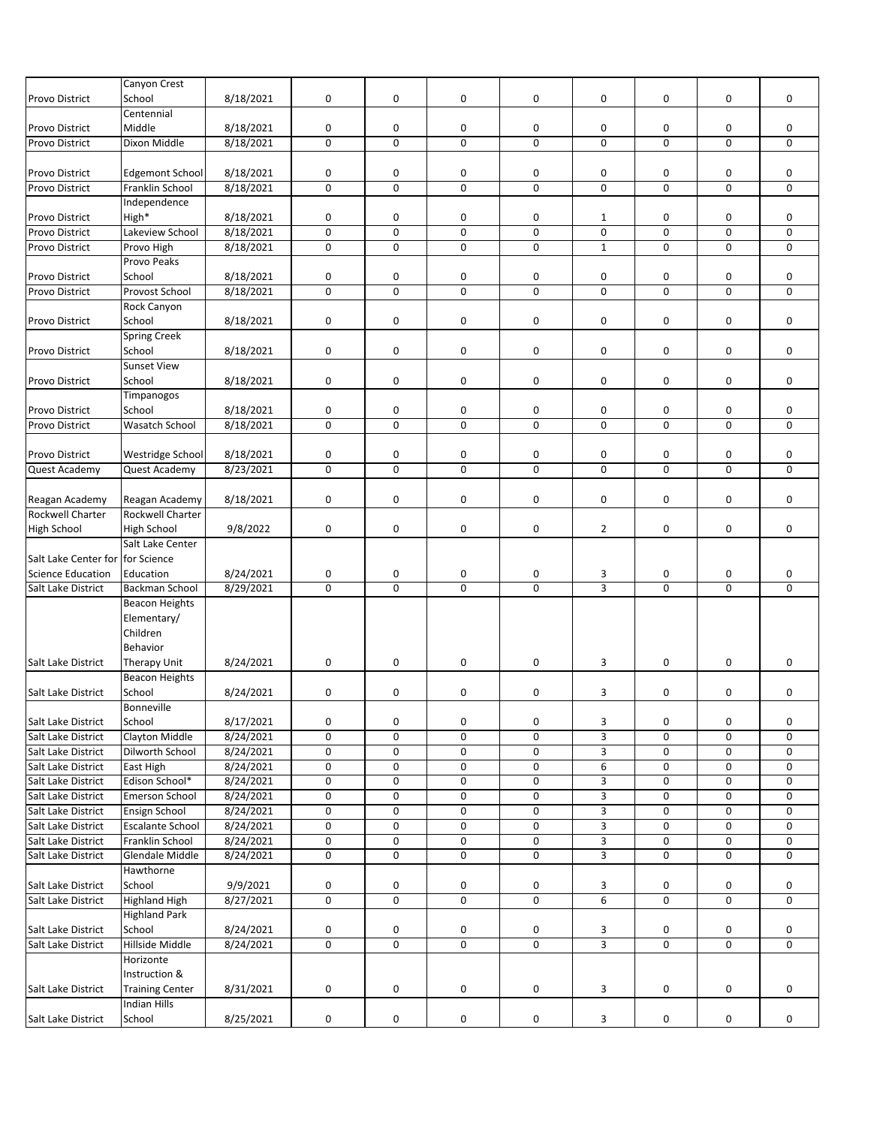|                                  | Canyon Crest           |           |                |                |             |                |                |             |             |             |
|----------------------------------|------------------------|-----------|----------------|----------------|-------------|----------------|----------------|-------------|-------------|-------------|
| Provo District                   | School                 | 8/18/2021 | 0              | 0              | 0           | 0              | 0              | 0           | 0           | 0           |
|                                  | Centennial             |           |                |                |             |                |                |             |             |             |
| Provo District                   | Middle                 | 8/18/2021 | 0              | 0              | 0           | 0              | 0              | 0           | 0           | 0           |
| Provo District                   | Dixon Middle           | 8/18/2021 | $\pmb{0}$      | $\mathbf 0$    | $\mathbf 0$ | 0              | $\pmb{0}$      | 0           | 0           | 0           |
|                                  |                        |           |                |                |             |                |                |             |             |             |
| Provo District                   | <b>Edgemont School</b> | 8/18/2021 | 0              | 0              | 0           | 0              | 0              | 0           | 0           | 0           |
| Provo District                   | Franklin School        | 8/18/2021 | $\mathbf 0$    | $\mathbf 0$    | $\Omega$    | 0              | $\mathbf 0$    | $\mathbf 0$ | $\mathbf 0$ | $\mathbf 0$ |
|                                  | Independence           |           |                |                |             |                |                |             |             |             |
| Provo District                   | High*                  | 8/18/2021 | $\pmb{0}$      | 0              | 0           | 0              | $\mathbf{1}$   | 0           | 0           | 0           |
| <b>Provo District</b>            | Lakeview School        | 8/18/2021 | 0              | $\mathbf 0$    | $\mathbf 0$ | 0              | $\pmb{0}$      | 0           | 0           | 0           |
| Provo District                   | Provo High             | 8/18/2021 | $\pmb{0}$      | 0              | 0           | 0              | $\mathbf 1$    | 0           | 0           | 0           |
|                                  | Provo Peaks            |           |                |                |             |                |                |             |             |             |
| <b>Provo District</b>            | School                 | 8/18/2021 | 0              | 0              | 0           | 0              | 0              | 0           | 0           | 0           |
| Provo District                   | Provost School         | 8/18/2021 | $\mathbf 0$    | 0              | $\mathbf 0$ | 0              | $\mathbf 0$    | 0           | 0           | $\mathbf 0$ |
|                                  | Rock Canyon            |           |                |                |             |                |                |             |             |             |
| Provo District                   | School                 | 8/18/2021 | $\mathbf 0$    | 0              | 0           | 0              | 0              | 0           | 0           | 0           |
|                                  | <b>Spring Creek</b>    |           |                |                |             |                |                |             |             |             |
| Provo District                   | School                 | 8/18/2021 | 0              | 0              | 0           | 0              | 0              | 0           | 0           | 0           |
|                                  | <b>Sunset View</b>     |           |                |                |             |                |                |             |             |             |
| Provo District                   | School                 | 8/18/2021 | $\pmb{0}$      | 0              | 0           | 0              | 0              | 0           | 0           | 0           |
|                                  | Timpanogos             |           |                |                |             |                |                |             |             |             |
| Provo District                   | School                 | 8/18/2021 | 0              | 0              | 0           | 0              | 0              | 0           | 0           | 0           |
| Provo District                   | Wasatch School         | 8/18/2021 | $\pmb{0}$      | 0              | $\mathbf 0$ | 0              | $\mathbf 0$    | 0           | 0           | 0           |
|                                  |                        |           |                |                |             |                |                |             |             |             |
| Provo District                   | Westridge School       | 8/18/2021 | 0              | 0              | 0           | 0              | 0              | 0           | 0           | 0           |
| Quest Academy                    | Quest Academy          | 8/23/2021 | $\pmb{0}$      | 0              | $\pmb{0}$   | 0              | $\mathsf 0$    | 0           | 0           | 0           |
|                                  |                        |           |                |                |             |                |                |             |             |             |
| Reagan Academy                   | Reagan Academy         | 8/18/2021 | 0              | 0              | 0           | 0              | 0              | 0           | 0           | 0           |
| Rockwell Charter                 | Rockwell Charter       |           |                |                |             |                |                |             |             |             |
| <b>High School</b>               | High School            | 9/8/2022  | 0              | 0              | 0           | 0              | $\overline{2}$ | 0           | 0           | 0           |
|                                  | Salt Lake Center       |           |                |                |             |                |                |             |             |             |
| Salt Lake Center for for Science |                        |           |                |                |             |                |                |             |             |             |
| <b>Science Education</b>         | Education              | 8/24/2021 | 0              | 0              | 0           | 0              | 3              | 0           | 0           | 0           |
| Salt Lake District               | <b>Backman School</b>  | 8/29/2021 | $\mathbf 0$    | $\mathbf 0$    | $\mathbf 0$ | 0              | $\overline{3}$ | 0           | $\mathbf 0$ | $\mathbf 0$ |
|                                  | <b>Beacon Heights</b>  |           |                |                |             |                |                |             |             |             |
|                                  | Elementary/            |           |                |                |             |                |                |             |             |             |
|                                  | Children               |           |                |                |             |                |                |             |             |             |
|                                  | Behavior               |           |                |                |             |                |                |             |             |             |
| Salt Lake District               | Therapy Unit           | 8/24/2021 | 0              | 0              | 0           | 0              | 3              | 0           | 0           | 0           |
|                                  | Beacon Heights         |           |                |                |             |                |                |             |             |             |
| Salt Lake District               | School                 | 8/24/2021 | 0              | 0              | 0           | 0              | 3              | 0           | 0           | 0           |
|                                  | Bonneville             |           |                |                |             |                |                |             |             |             |
| Salt Lake District               | School                 | 8/17/2021 | 0              | 0              | 0           | 0              | 3              | 0           | 0           | 0           |
| Salt Lake District               | Clayton Middle         | 8/24/2021 | 0              | 0              | 0           | 0              | $\overline{3}$ | 0           | 0           | 0           |
| Salt Lake District               | Dilworth School        | 8/24/2021 | 0              | 0              | 0           | 0              | 3              | 0           | 0           | 0           |
| Salt Lake District               | East High              | 8/24/2021 | $\pmb{0}$      | 0              | 0           | 0              | 6              | 0           | 0           | 0           |
| Salt Lake District               | Edison School*         | 8/24/2021 | 0              | 0              | 0           | 0              | 3              | 0           | 0           | 0           |
| Salt Lake District               | Emerson School         | 8/24/2021 | $\pmb{0}$      | 0              | 0           | 0              | 3              | 0           | 0           | 0           |
| Salt Lake District               | Ensign School          | 8/24/2021 | 0              | 0              | 0           | 0              | 3              | 0           | 0           | 0           |
| Salt Lake District               | Escalante School       | 8/24/2021 | 0              | 0              | 0           | 0              | 3              | 0           | 0           | 0           |
| Salt Lake District               | Franklin School        | 8/24/2021 | 0              | 0              | 0           | 0              | 3              | 0           | 0           | 0           |
| Salt Lake District               | Glendale Middle        | 8/24/2021 | $\pmb{0}$      | 0              | 0           | 0              | 3              | 0           | 0           | 0           |
|                                  | Hawthorne              |           |                |                |             |                |                |             |             |             |
| Salt Lake District               | School                 | 9/9/2021  | 0              | 0              | 0           | 0              | 3              | 0           | 0           | 0           |
| Salt Lake District               | <b>Highland High</b>   | 8/27/2021 | $\overline{0}$ | $\overline{0}$ | 0           | $\overline{0}$ | $\overline{6}$ | 0           | $\mathbf 0$ | 0           |
|                                  | <b>Highland Park</b>   |           |                |                |             |                |                |             |             |             |
| Salt Lake District               | School                 | 8/24/2021 | 0              | 0              | 0           | 0              | 3              | 0           | 0           | 0           |
| Salt Lake District               | Hillside Middle        | 8/24/2021 | 0              | 0              | 0           | 0              | $\overline{3}$ | 0           | 0           | 0           |
|                                  | Horizonte              |           |                |                |             |                |                |             |             |             |
|                                  | Instruction &          |           |                |                |             |                |                |             |             |             |
| Salt Lake District               | <b>Training Center</b> | 8/31/2021 | 0              | 0              | 0           | 0              | 3              | 0           | 0           | 0           |
|                                  | <b>Indian Hills</b>    |           |                |                |             |                |                |             |             |             |
| Salt Lake District               | School                 | 8/25/2021 | 0              | 0              | 0           | 0              | 3              | 0           | 0           | 0           |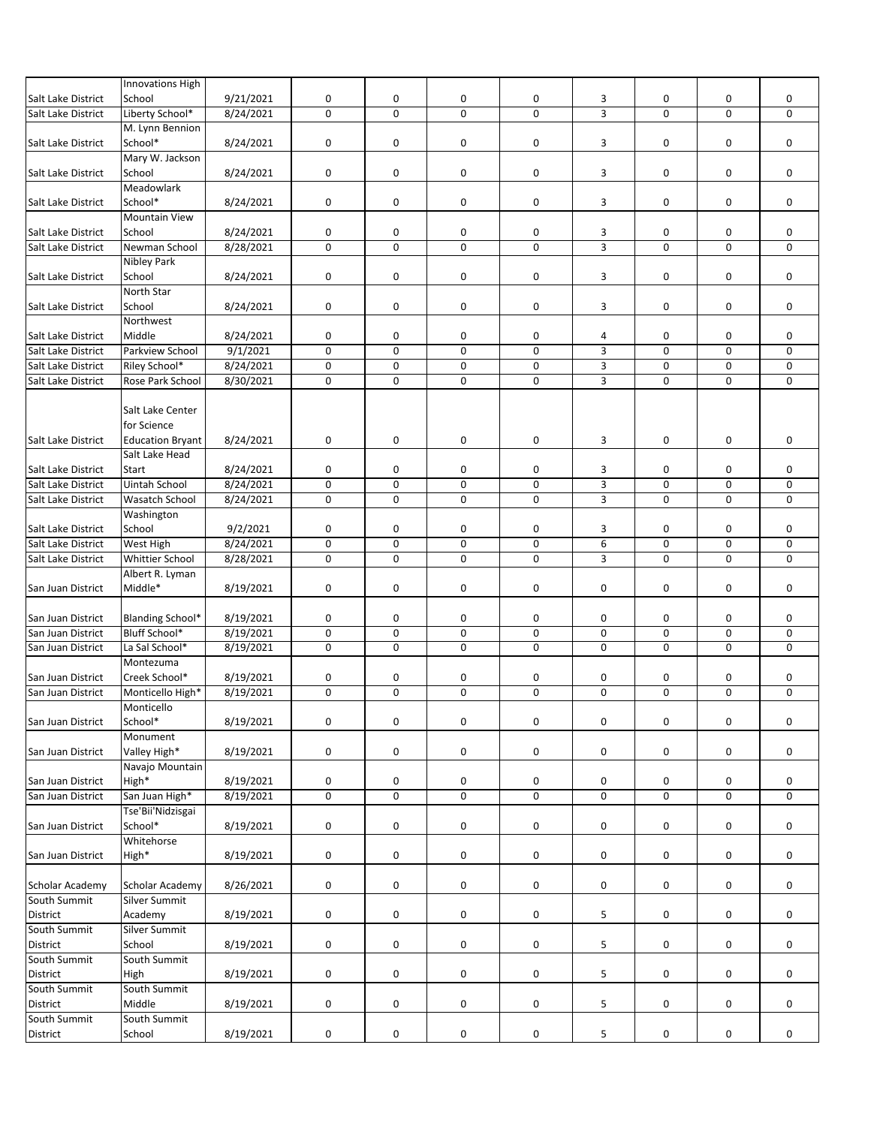|                    | Innovations High        |           |             |             |                     |             |                |                     |             |             |
|--------------------|-------------------------|-----------|-------------|-------------|---------------------|-------------|----------------|---------------------|-------------|-------------|
| Salt Lake District | School                  | 9/21/2021 | $\mathsf 0$ | 0           | 0                   | 0           | 3              | 0                   | 0           | $\mathbf 0$ |
| Salt Lake District | Liberty School*         | 8/24/2021 | $\mathbf 0$ | 0           | $\mathbf 0$         | $\mathbf 0$ | 3              | 0                   | $\mathbf 0$ | 0           |
|                    | M. Lynn Bennion         |           |             |             |                     |             |                |                     |             |             |
| Salt Lake District | School*                 | 8/24/2021 | $\pmb{0}$   | 0           | 0                   | 0           | 3              | 0                   | 0           | 0           |
|                    | Mary W. Jackson         |           |             |             |                     |             |                |                     |             |             |
| Salt Lake District | School                  | 8/24/2021 | 0           | $\mathbf 0$ | 0                   | 0           | 3              | 0                   | 0           | 0           |
|                    | Meadowlark              |           |             |             |                     |             |                |                     |             |             |
|                    |                         |           |             |             |                     |             |                |                     |             |             |
| Salt Lake District | School*                 | 8/24/2021 | $\mathsf 0$ | $\mathbf 0$ | $\mathbf 0$         | 0           | 3              | 0                   | 0           | 0           |
|                    | <b>Mountain View</b>    |           |             |             |                     |             |                |                     |             |             |
| Salt Lake District | School                  | 8/24/2021 | 0           | 0           | 0                   | 0           | 3              | 0                   | 0           | $\mathbf 0$ |
| Salt Lake District | Newman School           | 8/28/2021 | $\pmb{0}$   | 0           | $\pmb{0}$           | 0           | $\overline{3}$ | 0                   | 0           | 0           |
|                    | Nibley Park             |           |             |             |                     |             |                |                     |             |             |
| Salt Lake District | School                  | 8/24/2021 | $\pmb{0}$   | 0           | 0                   | 0           | 3              | 0                   | 0           | 0           |
|                    | North Star              |           |             |             |                     |             |                |                     |             |             |
| Salt Lake District | School                  | 8/24/2021 | 0           | 0           | 0                   | 0           | 3              | 0                   | 0           | 0           |
|                    | Northwest               |           |             |             |                     |             |                |                     |             |             |
| Salt Lake District | Middle                  | 8/24/2021 | 0           | 0           | 0                   | 0           | 4              | 0                   | 0           | 0           |
| Salt Lake District | Parkview School         | 9/1/2021  | $\mathsf 0$ | $\mathbf 0$ | $\mathbf 0$         | 0           | 3              | $\mathsf{O}\xspace$ | 0           | 0           |
| Salt Lake District | Riley School*           | 8/24/2021 | $\mathsf 0$ | 0           | $\mathbf 0$         | 0           | 3              | 0                   | 0           | 0           |
| Salt Lake District | Rose Park School        | 8/30/2021 | $\pmb{0}$   | $\mathbf 0$ | $\mathbf 0$         | 0           | $\overline{3}$ | $\mathbf 0$         | 0           | 0           |
|                    |                         |           |             |             |                     |             |                |                     |             |             |
|                    |                         |           |             |             |                     |             |                |                     |             |             |
|                    | Salt Lake Center        |           |             |             |                     |             |                |                     |             |             |
|                    | for Science             |           |             |             |                     |             |                |                     |             |             |
| Salt Lake District | <b>Education Bryant</b> | 8/24/2021 | $\mathsf 0$ | $\mathbf 0$ | 0                   | 0           | 3              | 0                   | 0           | 0           |
|                    | Salt Lake Head          |           |             |             |                     |             |                |                     |             |             |
| Salt Lake District | <b>Start</b>            | 8/24/2021 | 0           | $\mathbf 0$ | 0                   | 0           | 3              | 0                   | 0           | $\mathbf 0$ |
| Salt Lake District | Uintah School           | 8/24/2021 | $\mathsf 0$ | 0           | 0                   | 0           | $\mathsf 3$    | 0                   | 0           | 0           |
| Salt Lake District | <b>Wasatch School</b>   | 8/24/2021 | 0           | $\mathbf 0$ | $\mathbf 0$         | 0           | $\overline{3}$ | $\mathbf 0$         | $\mathbf 0$ | 0           |
|                    | Washington              |           |             |             |                     |             |                |                     |             |             |
| Salt Lake District | School                  | 9/2/2021  | 0           | 0           | 0                   | 0           | 3              | 0                   | 0           | 0           |
| Salt Lake District | West High               | 8/24/2021 | 0           | $\mathbf 0$ | $\mathsf{O}\xspace$ | 0           | 6              | 0                   | 0           | 0           |
| Salt Lake District | <b>Whittier School</b>  | 8/28/2021 | $\mathbf 0$ | $\mathbf 0$ | $\Omega$            | $\mathbf 0$ | 3              | 0                   | $\mathbf 0$ | $\mathbf 0$ |
|                    | Albert R. Lyman         |           |             |             |                     |             |                |                     |             |             |
| San Juan District  | Middle*                 | 8/19/2021 | $\pmb{0}$   | 0           | 0                   | 0           | 0              | 0                   | 0           | 0           |
|                    |                         |           |             |             |                     |             |                |                     |             |             |
| San Juan District  | Blanding School*        | 8/19/2021 | 0           | 0           | 0                   | 0           | 0              | 0                   | 0           | 0           |
| San Juan District  | Bluff School*           | 8/19/2021 | 0           | 0           | $\mathsf{O}\xspace$ | 0           | 0              | 0                   | 0           | 0           |
| San Juan District  | La Sal School*          |           |             |             |                     |             |                |                     |             |             |
|                    |                         | 8/19/2021 | $\pmb{0}$   | 0           | $\mathbf 0$         | 0           | 0              | 0                   | 0           | 0           |
|                    | Montezuma               |           |             |             |                     |             |                |                     |             |             |
| San Juan District  | Creek School*           | 8/19/2021 | 0           | 0           | 0                   | 0           | 0              | 0                   | 0           | 0           |
| San Juan District  | Monticello High*        | 8/19/2021 | $\mathbf 0$ | 0           | $\mathbf 0$         | 0           | $\mathbf 0$    | $\mathbf 0$         | $\mathbf 0$ | 0           |
|                    | Monticello              |           |             |             |                     |             |                |                     |             |             |
| San Juan District  | School*                 | 8/19/2021 | $\pmb{0}$   | 0           | $\mathbf 0$         | 0           | 0              | $\mathsf{O}\xspace$ | 0           | 0           |
|                    | Monument                |           |             |             |                     |             |                |                     |             |             |
| San Juan District  | Valley High*            | 8/19/2021 | 0           | 0           | 0                   | 0           | 0              | 0                   | 0           | 0           |
|                    | Navajo Mountain         |           |             |             |                     |             |                |                     |             |             |
| San Juan District  | High*                   | 8/19/2021 | 0           | 0           | 0                   | 0           | 0              | 0                   | 0           | 0           |
| San Juan District  | San Juan High*          | 8/19/2021 | 0           | 0           | 0                   | 0           | 0              | 0                   | 0           | 0           |
|                    | Tse'Bii'Nidzisgai       |           |             |             |                     |             |                |                     |             |             |
| San Juan District  | School*                 | 8/19/2021 | $\mathsf 0$ | 0           | 0                   | 0           | 0              | 0                   | 0           | 0           |
|                    | Whitehorse              |           |             |             |                     |             |                |                     |             |             |
|                    | High*                   |           | $\mathbf 0$ | 0           | 0                   | 0           | 0              | 0                   | 0           | 0           |
| San Juan District  |                         | 8/19/2021 |             |             |                     |             |                |                     |             |             |
|                    |                         |           |             |             |                     |             |                |                     |             |             |
| Scholar Academy    | Scholar Academy         | 8/26/2021 | 0           | 0           | 0                   | 0           | 0              | 0                   | 0           | 0           |
| South Summit       | <b>Silver Summit</b>    |           |             |             |                     |             |                |                     |             |             |
| District           | Academy                 | 8/19/2021 | 0           | 0           | 0                   | 0           | 5              | 0                   | 0           | 0           |
| South Summit       | <b>Silver Summit</b>    |           |             |             |                     |             |                |                     |             |             |
| District           | School                  | 8/19/2021 | $\mathbf 0$ | 0           | 0                   | 0           | 5              | 0                   | 0           | 0           |
| South Summit       | South Summit            |           |             |             |                     |             |                |                     |             |             |
| District           | High                    | 8/19/2021 | 0           | 0           | 0                   | 0           | 5              | 0                   | 0           | 0           |
| South Summit       | South Summit            |           |             |             |                     |             |                |                     |             |             |
| District           | Middle                  | 8/19/2021 | 0           | 0           | 0                   | 0           | 5              | 0                   | 0           | 0           |
| South Summit       | South Summit            |           |             |             |                     |             |                |                     |             |             |
| District           | School                  | 8/19/2021 | $\pmb{0}$   | 0           | 0                   | 0           | 5              | 0                   | 0           | 0           |
|                    |                         |           |             |             |                     |             |                |                     |             |             |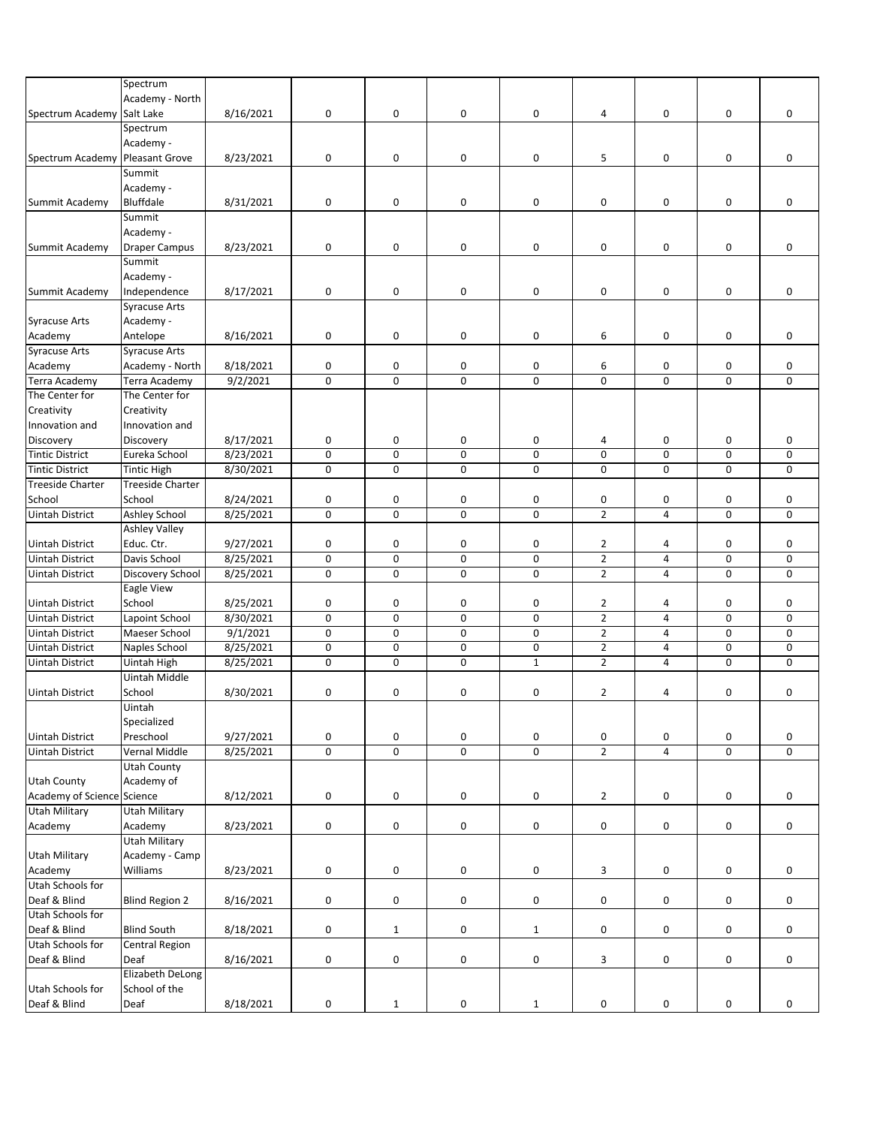|                            | Spectrum                |           |             |              |             |              |                |                |             |   |
|----------------------------|-------------------------|-----------|-------------|--------------|-------------|--------------|----------------|----------------|-------------|---|
|                            |                         |           |             |              |             |              |                |                |             |   |
|                            | Academy - North         |           |             |              |             |              |                |                |             |   |
| Spectrum Academy           | Salt Lake               | 8/16/2021 | 0           | 0            | 0           | 0            | 4              | 0              | 0           | 0 |
|                            | Spectrum                |           |             |              |             |              |                |                |             |   |
|                            | Academy -               |           |             |              |             |              |                |                |             |   |
| Spectrum Academy           | <b>Pleasant Grove</b>   | 8/23/2021 | 0           | 0            | 0           | 0            | 5              | 0              | 0           | 0 |
|                            |                         |           |             |              |             |              |                |                |             |   |
|                            | Summit                  |           |             |              |             |              |                |                |             |   |
|                            | Academy -               |           |             |              |             |              |                |                |             |   |
| Summit Academy             | Bluffdale               | 8/31/2021 | 0           | 0            | 0           | 0            | 0              | 0              | 0           | 0 |
|                            | Summit                  |           |             |              |             |              |                |                |             |   |
|                            | Academy -               |           |             |              |             |              |                |                |             |   |
| Summit Academy             | <b>Draper Campus</b>    | 8/23/2021 | 0           | 0            | 0           | 0            | 0              | 0              | 0           | 0 |
|                            |                         |           |             |              |             |              |                |                |             |   |
|                            | Summit                  |           |             |              |             |              |                |                |             |   |
|                            | Academy -               |           |             |              |             |              |                |                |             |   |
| Summit Academy             | Independence            | 8/17/2021 | 0           | 0            | $\pmb{0}$   | 0            | 0              | 0              | 0           | 0 |
|                            | <b>Syracuse Arts</b>    |           |             |              |             |              |                |                |             |   |
|                            | Academy -               |           |             |              |             |              |                |                |             |   |
| <b>Syracuse Arts</b>       |                         |           |             |              |             |              |                |                |             |   |
| Academy                    | Antelope                | 8/16/2021 | $\mathsf 0$ | 0            | 0           | 0            | 6              | 0              | 0           | 0 |
| <b>Syracuse Arts</b>       | <b>Syracuse Arts</b>    |           |             |              |             |              |                |                |             |   |
| Academy                    | Academy - North         | 8/18/2021 | 0           | 0            | 0           | 0            | 6              | 0              | 0           | 0 |
| <b>Terra Academy</b>       | Terra Academy           | 9/2/2021  | $\pmb{0}$   | 0            | $\mathbf 0$ | 0            | 0              | 0              | 0           | 0 |
| The Center for             | The Center for          |           |             |              |             |              |                |                |             |   |
|                            |                         |           |             |              |             |              |                |                |             |   |
| Creativity                 | Creativity              |           |             |              |             |              |                |                |             |   |
| Innovation and             | Innovation and          |           |             |              |             |              |                |                |             |   |
| Discovery                  | Discovery               | 8/17/2021 | 0           | 0            | 0           | 0            | 4              | 0              | 0           | 0 |
| <b>Tintic District</b>     | Eureka School           | 8/23/2021 | $\pmb{0}$   | $\mathbf 0$  | $\mathbf 0$ | 0            | 0              | 0              | 0           | 0 |
| <b>Tintic District</b>     | <b>Tintic High</b>      | 8/30/2021 | $\mathsf 0$ | 0            | 0           | 0            | 0              | 0              | 0           | 0 |
|                            |                         |           |             |              |             |              |                |                |             |   |
| <b>Treeside Charter</b>    | <b>Treeside Charter</b> |           |             |              |             |              |                |                |             |   |
| School                     | School                  | 8/24/2021 | 0           | 0            | 0           | 0            | 0              | 0              | 0           | 0 |
| <b>Uintah District</b>     | <b>Ashley School</b>    | 8/25/2021 | $\pmb{0}$   | 0            | $\mathbf 0$ | 0            | $\overline{2}$ | 4              | 0           | 0 |
|                            | <b>Ashley Valley</b>    |           |             |              |             |              |                |                |             |   |
| Uintah District            | Educ. Ctr.              | 9/27/2021 | 0           | 0            | 0           | 0            | $\overline{2}$ | 4              | 0           | 0 |
| <b>Uintah District</b>     | Davis School            | 8/25/2021 | $\pmb{0}$   | 0            | $\mathbf 0$ | 0            | $\overline{2}$ | $\overline{4}$ | $\mathbf 0$ | 0 |
|                            |                         |           |             |              |             |              |                |                |             |   |
| Uintah District            | Discovery School        | 8/25/2021 | $\pmb{0}$   | 0            | $\mathbf 0$ | 0            | $\overline{2}$ | 4              | 0           | 0 |
|                            | Eagle View              |           |             |              |             |              |                |                |             |   |
| Uintah District            | School                  | 8/25/2021 | 0           | 0            | 0           | 0            | 2              | 4              | 0           | 0 |
| <b>Uintah District</b>     | Lapoint School          | 8/30/2021 | $\mathbf 0$ | 0            | $\Omega$    | 0            | $\overline{2}$ | $\overline{4}$ | 0           | 0 |
| <b>Uintah District</b>     | Maeser School           | 9/1/2021  | $\mathsf 0$ | 0            | 0           | 0            | $\overline{2}$ | 4              | 0           | 0 |
|                            |                         |           |             |              |             |              |                |                |             |   |
| <b>Uintah District</b>     | Naples School           | 8/25/2021 | $\mathsf 0$ | 0            | 0           | 0            | $\mathbf{2}$   | $\overline{4}$ | 0           | 0 |
| Uintah District            | Uintah High             | 8/25/2021 | $\pmb{0}$   | 0            | $\mathbf 0$ | $\mathbf{1}$ | $\overline{2}$ | $\overline{4}$ | $\mathbf 0$ | 0 |
|                            | Uintah Middle           |           |             |              |             |              |                |                |             |   |
| <b>Uintah District</b>     | School                  | 8/30/2021 | $\pmb{0}$   | 0            | 0           | 0            | $\overline{2}$ | 4              | 0           | 0 |
|                            | Uintah                  |           |             |              |             |              |                |                |             |   |
|                            |                         |           |             |              |             |              |                |                |             |   |
|                            | Specialized             |           |             |              |             |              |                |                |             |   |
| <b>Uintah District</b>     | Preschool               | 9/27/2021 | $\mathsf 0$ | 0            | $\pmb{0}$   | 0            | 0              | 0              | 0           | 0 |
| <b>Uintah District</b>     | Vernal Middle           | 8/25/2021 | $\pmb{0}$   | 0            | $\mathbf 0$ | 0            | $\overline{2}$ | 4              | 0           | 0 |
|                            | Utah County             |           |             |              |             |              |                |                |             |   |
| <b>Utah County</b>         | Academy of              |           |             |              |             |              |                |                |             |   |
| Academy of Science Science |                         | 8/12/2021 | $\mathbf 0$ | 0            | $\pmb{0}$   | 0            | $\overline{2}$ | 0              | 0           | 0 |
|                            |                         |           |             |              |             |              |                |                |             |   |
| <b>Utah Military</b>       | <b>Utah Military</b>    |           |             |              |             |              |                |                |             |   |
| Academy                    | Academy                 | 8/23/2021 | $\mathbf 0$ | 0            | $\pmb{0}$   | 0            | 0              | 0              | 0           | 0 |
|                            | <b>Utah Military</b>    |           |             |              |             |              |                |                |             |   |
| <b>Utah Military</b>       | Academy - Camp          |           |             |              |             |              |                |                |             |   |
| Academy                    | Williams                | 8/23/2021 | $\pmb{0}$   | 0            | 0           | 0            | 3              | $\pmb{0}$      | 0           | 0 |
|                            |                         |           |             |              |             |              |                |                |             |   |
| Utah Schools for           |                         |           |             |              |             |              |                |                |             |   |
| Deaf & Blind               | <b>Blind Region 2</b>   | 8/16/2021 | $\pmb{0}$   | 0            | 0           | 0            | 0              | 0              | 0           | 0 |
| Utah Schools for           |                         |           |             |              |             |              |                |                |             |   |
| Deaf & Blind               | <b>Blind South</b>      | 8/18/2021 | $\pmb{0}$   | $\mathbf{1}$ | 0           | $\mathbf{1}$ | 0              | 0              | 0           | 0 |
| Utah Schools for           | Central Region          |           |             |              |             |              |                |                |             |   |
| Deaf & Blind               | Deaf                    |           |             |              |             |              |                |                |             |   |
|                            |                         | 8/16/2021 | $\mathsf 0$ | 0            | $\pmb{0}$   | 0            | 3              | 0              | 0           | 0 |
|                            | Elizabeth DeLong        |           |             |              |             |              |                |                |             |   |
| Utah Schools for           | School of the           |           |             |              |             |              |                |                |             |   |
| Deaf & Blind               | Deaf                    | 8/18/2021 | $\pmb{0}$   | $\mathbf{1}$ | 0           | $\mathbf{1}$ | 0              | 0              | 0           | 0 |
|                            |                         |           |             |              |             |              |                |                |             |   |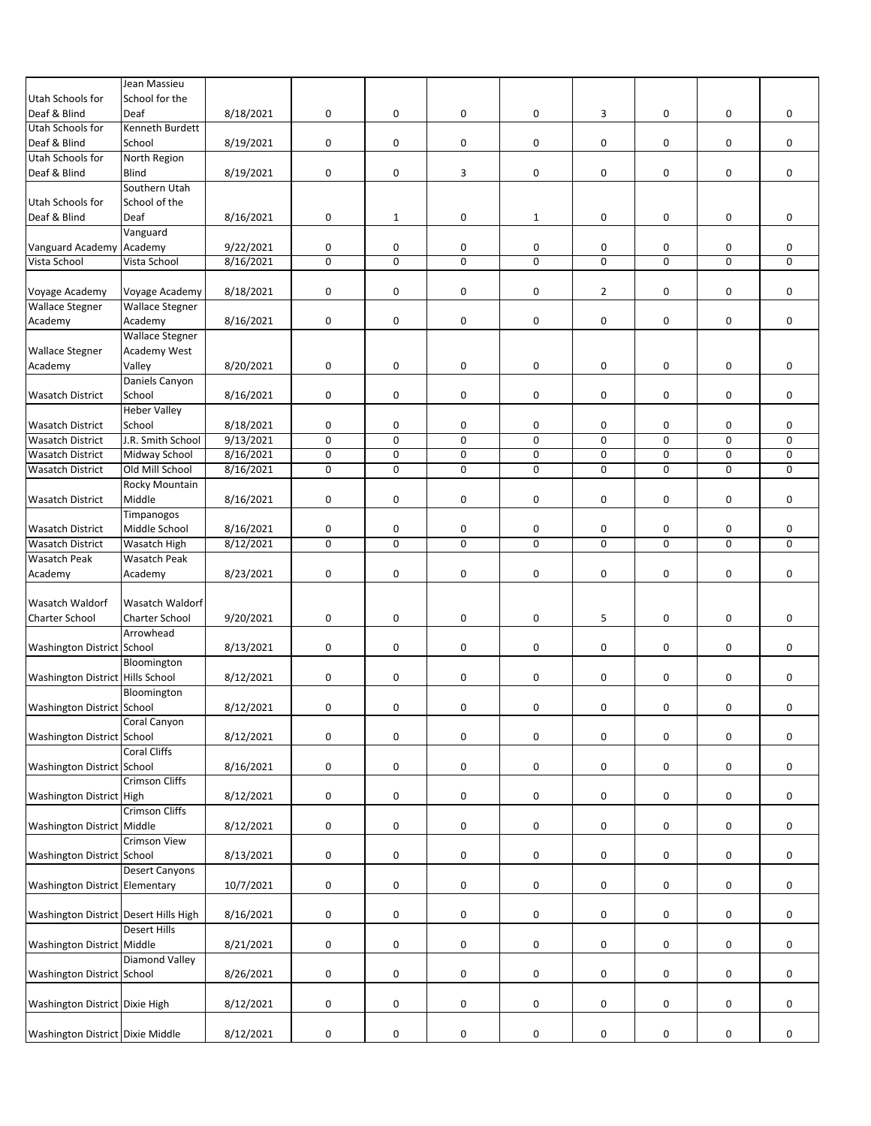|                                       | Jean Massieu           |           |           |              |                |              |                |                     |             |   |
|---------------------------------------|------------------------|-----------|-----------|--------------|----------------|--------------|----------------|---------------------|-------------|---|
| Utah Schools for                      | School for the         |           |           |              |                |              |                |                     |             |   |
|                                       |                        |           |           |              |                |              |                |                     |             |   |
| Deaf & Blind                          | Deaf                   | 8/18/2021 | 0         | 0            | 0              | 0            | 3              | 0                   | 0           | 0 |
| Utah Schools for                      | Kenneth Burdett        |           |           |              |                |              |                |                     |             |   |
| Deaf & Blind                          | School                 | 8/19/2021 | 0         | 0            | 0              | 0            | 0              | 0                   | 0           | 0 |
| Utah Schools for                      | North Region           |           |           |              |                |              |                |                     |             |   |
| Deaf & Blind                          | <b>Blind</b>           | 8/19/2021 | 0         | 0            | 3              | 0            | 0              | 0                   | 0           | 0 |
|                                       | Southern Utah          |           |           |              |                |              |                |                     |             |   |
|                                       |                        |           |           |              |                |              |                |                     |             |   |
| Utah Schools for                      | School of the          |           |           |              |                |              |                |                     |             |   |
| Deaf & Blind                          | Deaf                   | 8/16/2021 | $\pmb{0}$ | $\mathbf{1}$ | 0              | $\mathbf{1}$ | 0              | 0                   | 0           | 0 |
|                                       | Vanguard               |           |           |              |                |              |                |                     |             |   |
| Vanguard Academy Academy              |                        | 9/22/2021 | 0         | 0            | 0              | 0            | 0              | 0                   | 0           | 0 |
| Vista School                          | Vista School           |           | $\pmb{0}$ | $\mathbf 0$  | $\overline{0}$ | $\mathbf 0$  | 0              | $\mathsf{O}\xspace$ | 0           | 0 |
|                                       |                        | 8/16/2021 |           |              |                |              |                |                     |             |   |
|                                       |                        |           |           |              |                |              |                |                     |             |   |
| Voyage Academy                        | Voyage Academy         | 8/18/2021 | $\pmb{0}$ | 0            | 0              | 0            | $\overline{2}$ | 0                   | 0           | 0 |
| <b>Wallace Stegner</b>                | <b>Wallace Stegner</b> |           |           |              |                |              |                |                     |             |   |
| Academy                               | Academy                | 8/16/2021 | $\pmb{0}$ | 0            | 0              | 0            | 0              | 0                   | 0           | 0 |
|                                       | <b>Wallace Stegner</b> |           |           |              |                |              |                |                     |             |   |
|                                       |                        |           |           |              |                |              |                |                     |             |   |
| <b>Wallace Stegner</b>                | Academy West           |           |           |              |                |              |                |                     |             |   |
| Academy                               | Valley                 | 8/20/2021 | $\pmb{0}$ | 0            | 0              | 0            | 0              | 0                   | 0           | 0 |
|                                       | Daniels Canyon         |           |           |              |                |              |                |                     |             |   |
| <b>Wasatch District</b>               | School                 | 8/16/2021 | $\pmb{0}$ | 0            | 0              | 0            | 0              | 0                   | 0           | 0 |
|                                       |                        |           |           |              |                |              |                |                     |             |   |
|                                       | <b>Heber Valley</b>    |           |           |              |                |              |                |                     |             |   |
| <b>Wasatch District</b>               | School                 | 8/18/2021 | 0         | 0            | 0              | 0            | 0              | 0                   | 0           | 0 |
| <b>Wasatch District</b>               | J.R. Smith School      | 9/13/2021 | $\pmb{0}$ | $\mathbf 0$  | $\overline{0}$ | $\mathbf 0$  | 0              | $\mathbf 0$         | $\mathbf 0$ | 0 |
| <b>Wasatch District</b>               | Midway School          | 8/16/2021 | $\pmb{0}$ | $\mathbf 0$  | 0              | 0            | 0              | $\mathsf{O}\xspace$ | 0           | 0 |
| <b>Wasatch District</b>               | Old Mill School        | 8/16/2021 | $\pmb{0}$ | 0            | 0              | 0            | 0              | $\mathsf{O}\xspace$ | 0           | 0 |
|                                       |                        |           |           |              |                |              |                |                     |             |   |
|                                       | Rocky Mountain         |           |           |              |                |              |                |                     |             |   |
| <b>Wasatch District</b>               | Middle                 | 8/16/2021 | $\pmb{0}$ | 0            | 0              | 0            | 0              | 0                   | 0           | 0 |
|                                       | Timpanogos             |           |           |              |                |              |                |                     |             |   |
| <b>Wasatch District</b>               | Middle School          | 8/16/2021 | 0         | 0            | 0              | 0            | 0              | 0                   | 0           | 0 |
| <b>Wasatch District</b>               | Wasatch High           | 8/12/2021 | $\pmb{0}$ | $\mathbf 0$  | $\mathbf 0$    | 0            | 0              | 0                   | 0           | 0 |
|                                       |                        |           |           |              |                |              |                |                     |             |   |
| <b>Wasatch Peak</b>                   | <b>Wasatch Peak</b>    |           |           |              |                |              |                |                     |             |   |
| Academy                               | Academy                | 8/23/2021 | 0         | 0            | 0              | 0            | 0              | 0                   | 0           | 0 |
|                                       |                        |           |           |              |                |              |                |                     |             |   |
| <b>Wasatch Waldorf</b>                | <b>Wasatch Waldorf</b> |           |           |              |                |              |                |                     |             |   |
| <b>Charter School</b>                 | Charter School         | 9/20/2021 | $\pmb{0}$ | 0            | 0              | 0            | 5              | 0                   | 0           | 0 |
|                                       | Arrowhead              |           |           |              |                |              |                |                     |             |   |
|                                       |                        |           |           |              |                |              |                |                     |             |   |
| Washington District School            |                        | 8/13/2021 | $\pmb{0}$ | 0            | 0              | 0            | 0              | $\pmb{0}$           | 0           | 0 |
|                                       | Bloomington            |           |           |              |                |              |                |                     |             |   |
| Washington District Hills School      |                        | 8/12/2021 | $\pmb{0}$ | 0            | 0              | 0            | 0              | 0                   | 0           | 0 |
|                                       | Bloomington            |           |           |              |                |              |                |                     |             |   |
| Washington District School            |                        | 8/12/2021 | $\pmb{0}$ | 0            | 0              | 0            | 0              | 0                   | 0           | 0 |
|                                       |                        |           |           |              |                |              |                |                     |             |   |
|                                       | Coral Canyon           |           |           |              |                |              |                |                     |             |   |
| Washington District School            |                        | 8/12/2021 | $\pmb{0}$ | 0            | 0              | 0            | 0              | 0                   | 0           | 0 |
|                                       | <b>Coral Cliffs</b>    |           |           |              |                |              |                |                     |             |   |
| <b>Washington District School</b>     |                        | 8/16/2021 | $\pmb{0}$ | 0            | 0              | 0            | 0              | 0                   | 0           | 0 |
|                                       | <b>Crimson Cliffs</b>  |           |           |              |                |              |                |                     |             |   |
|                                       |                        |           |           |              |                |              |                |                     |             |   |
| Washington District High              |                        | 8/12/2021 | $\pmb{0}$ | 0            | 0              | 0            | 0              | 0                   | 0           | 0 |
|                                       | <b>Crimson Cliffs</b>  |           |           |              |                |              |                |                     |             |   |
| Washington District Middle            |                        | 8/12/2021 | $\pmb{0}$ | 0            | 0              | 0            | 0              | 0                   | 0           | 0 |
|                                       | <b>Crimson View</b>    |           |           |              |                |              |                |                     |             |   |
| Washington District School            |                        | 8/13/2021 |           |              |                |              |                |                     |             |   |
|                                       |                        |           | $\pmb{0}$ | 0            | 0              | 0            | 0              | 0                   | 0           | 0 |
|                                       | <b>Desert Canyons</b>  |           |           |              |                |              |                |                     |             |   |
| Washington District Elementary        |                        | 10/7/2021 | 0         | 0            | 0              | 0            | 0              | 0                   | 0           | 0 |
|                                       |                        |           |           |              |                |              |                |                     |             |   |
| Washington District Desert Hills High |                        | 8/16/2021 | 0         | 0            | 0              | 0            | 0              | 0                   | 0           | 0 |
|                                       |                        |           |           |              |                |              |                |                     |             |   |
|                                       | <b>Desert Hills</b>    |           |           |              |                |              |                |                     |             |   |
| Washington District Middle            |                        | 8/21/2021 | $\pmb{0}$ | 0            | 0              | 0            | 0              | 0                   | 0           | 0 |
|                                       | <b>Diamond Valley</b>  |           |           |              |                |              |                |                     |             |   |
| Washington District School            |                        | 8/26/2021 | 0         | 0            | 0              | 0            | 0              | 0                   | 0           | 0 |
|                                       |                        |           |           |              |                |              |                |                     |             |   |
|                                       |                        |           |           |              |                |              |                |                     |             |   |
| Washington District Dixie High        |                        | 8/12/2021 | $\pmb{0}$ | 0            | 0              | 0            | 0              | 0                   | 0           | 0 |
|                                       |                        |           |           |              |                |              |                |                     |             |   |
| Washington District Dixie Middle      |                        | 8/12/2021 | $\pmb{0}$ | 0            | 0              | 0            | 0              | 0                   | 0           | 0 |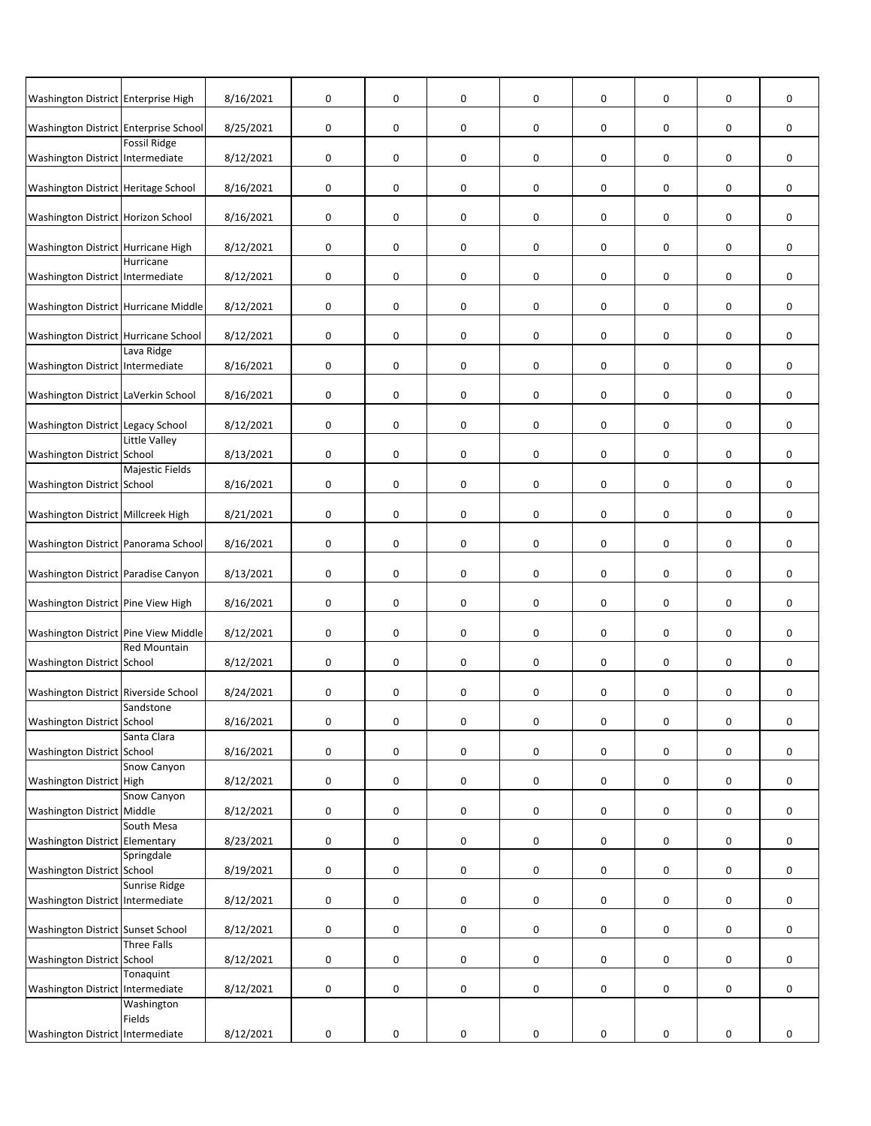| Washington District Enterprise High   |                           | 8/16/2021 | $\pmb{0}$   | 0           | 0                   | 0 | $\mathbf 0$ | 0 | 0                   | 0           |
|---------------------------------------|---------------------------|-----------|-------------|-------------|---------------------|---|-------------|---|---------------------|-------------|
| Washington District Enterprise School |                           | 8/25/2021 | 0           | 0           | 0                   | 0 | 0           | 0 | 0                   | 0           |
| Washington District Intermediate      | <b>Fossil Ridge</b>       | 8/12/2021 | $\mathsf 0$ | 0           | 0                   | 0 | 0           | 0 | 0                   | 0           |
| Washington District Heritage School   |                           | 8/16/2021 | $\mathsf 0$ | 0           | 0                   | 0 | 0           | 0 | 0                   | 0           |
| Washington District Horizon School    |                           | 8/16/2021 | $\mathbf 0$ | 0           | 0                   | 0 | 0           | 0 | 0                   | 0           |
| Washington District Hurricane High    |                           | 8/12/2021 | $\mathsf 0$ | 0           | 0                   | 0 | 0           | 0 | 0                   | 0           |
| Washington District Intermediate      | Hurricane                 | 8/12/2021 | $\mathsf 0$ | 0           | 0                   | 0 | 0           | 0 | 0                   | 0           |
| Washington District Hurricane Middle  |                           | 8/12/2021 | $\pmb{0}$   | 0           | 0                   | 0 | 0           | 0 | 0                   | 0           |
| Washington District Hurricane School  |                           | 8/12/2021 | $\mathsf 0$ | 0           | $\mathbf 0$         | 0 | 0           | 0 | 0                   | 0           |
| Washington District Intermediate      | Lava Ridge                | 8/16/2021 | 0           | 0           | 0                   | 0 | $\mathbf 0$ | 0 | 0                   | 0           |
| Washington District LaVerkin School   |                           | 8/16/2021 | 0           | 0           | 0                   | 0 | 0           | 0 | 0                   | 0           |
| Washington District Legacy School     |                           | 8/12/2021 | 0           | 0           | 0                   | 0 | 0           | 0 | 0                   | 0           |
| Washington District School            | Little Valley             | 8/13/2021 | 0           | 0           | 0                   | 0 | 0           | 0 | 0                   | 0           |
| Washington District School            | Majestic Fields           | 8/16/2021 | 0           | 0           | 0                   | 0 | 0           | 0 | 0                   | 0           |
| Washington District Millcreek High    |                           | 8/21/2021 | 0           | 0           | 0                   | 0 | 0           | 0 | 0                   | 0           |
| Washington District Panorama School   |                           | 8/16/2021 | $\pmb{0}$   | 0           | 0                   | 0 | $\mathbf 0$ | 0 | 0                   | 0           |
| Washington District Paradise Canyon   |                           | 8/13/2021 | $\pmb{0}$   | 0           | 0                   | 0 | 0           | 0 | 0                   | 0           |
| Washington District Pine View High    |                           | 8/16/2021 | $\pmb{0}$   | 0           | 0                   | 0 | $\mathbf 0$ | 0 | 0                   | 0           |
| Washington District Pine View Middle  |                           | 8/12/2021 | $\pmb{0}$   | 0           | 0                   | 0 | 0           | 0 | 0                   | 0           |
| Washington District School            | <b>Red Mountain</b>       | 8/12/2021 | $\mathsf 0$ | 0           | 0                   | 0 | 0           | 0 | 0                   | $\mathbf 0$ |
| Washington District Riverside School  | Sandstone                 | 8/24/2021 | $\pmb{0}$   | 0           | 0                   | 0 | 0           | 0 | $\pmb{0}$           | 0           |
| Washington District School            | Santa Clara               | 8/16/2021 | $\pmb{0}$   | $\mathsf 0$ | $\mathsf{O}\xspace$ | 0 | $\pmb{0}$   | 0 | $\mathsf{O}\xspace$ | $\pmb{0}$   |
| Washington District School            |                           | 8/16/2021 | $\pmb{0}$   | 0           | $\pmb{0}$           | 0 | 0           | 0 | $\pmb{0}$           | 0           |
| Washington District High              | Snow Canyon               | 8/12/2021 | $\pmb{0}$   | 0           | 0                   | 0 | 0           | 0 | 0                   | 0           |
| Washington District Middle            | Snow Canyon               | 8/12/2021 | $\pmb{0}$   | 0           | 0                   | 0 | 0           | 0 | 0                   | 0           |
| Washington District Elementary        | South Mesa                | 8/23/2021 | $\pmb{0}$   | 0           | 0                   | 0 | $\pmb{0}$   | 0 | 0                   | 0           |
| Washington District School            | Springdale                | 8/19/2021 | 0           | 0           | $\pmb{0}$           | 0 | 0           | 0 | 0                   | 0           |
| Washington District Intermediate      | Sunrise Ridge             | 8/12/2021 | $\pmb{0}$   | 0           | 0                   | 0 | $\pmb{0}$   | 0 | 0                   | 0           |
| Washington District Sunset School     |                           | 8/12/2021 | $\pmb{0}$   | 0           | $\pmb{0}$           | 0 | 0           | 0 | 0                   | 0           |
| <b>Washington District School</b>     | <b>Three Falls</b>        | 8/12/2021 | $\mathsf 0$ | 0           | 0                   | 0 | 0           | 0 | 0                   | 0           |
| Washington District                   | Tonaquint<br>Intermediate | 8/12/2021 | $\pmb{0}$   | 0           | $\pmb{0}$           | 0 | 0           | 0 | 0                   | 0           |
|                                       | Washington<br>Fields      |           |             |             |                     |   |             |   |                     |             |
| Washington District Intermediate      |                           | 8/12/2021 | $\pmb{0}$   | 0           | $\pmb{0}$           | 0 | 0           | 0 | 0                   | 0           |